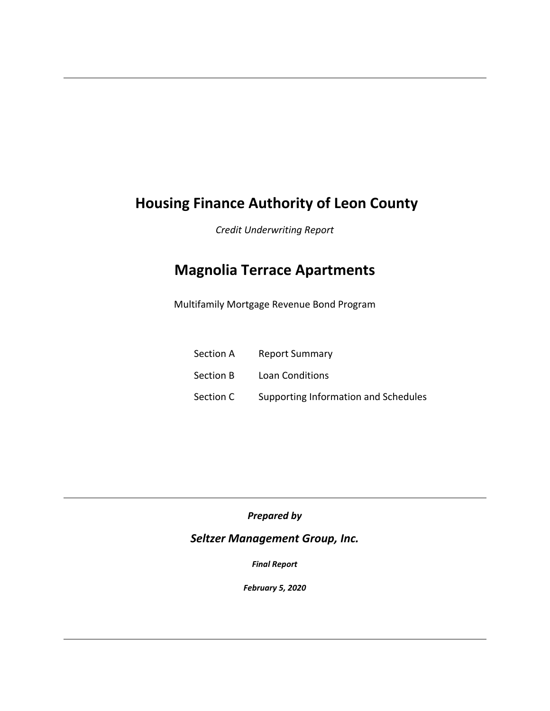# **Housing Finance Authority of Leon County**

*Credit Underwriting Report* 

# **Magnolia Terrace Apartments**

Multifamily Mortgage Revenue Bond Program

| Section A | <b>Report Summary</b>                |
|-----------|--------------------------------------|
| Section B | Loan Conditions                      |
| Section C | Supporting Information and Schedules |

*Prepared by*

## *Seltzer Management Group, Inc.*

*Final Report*

*February 5, 2020*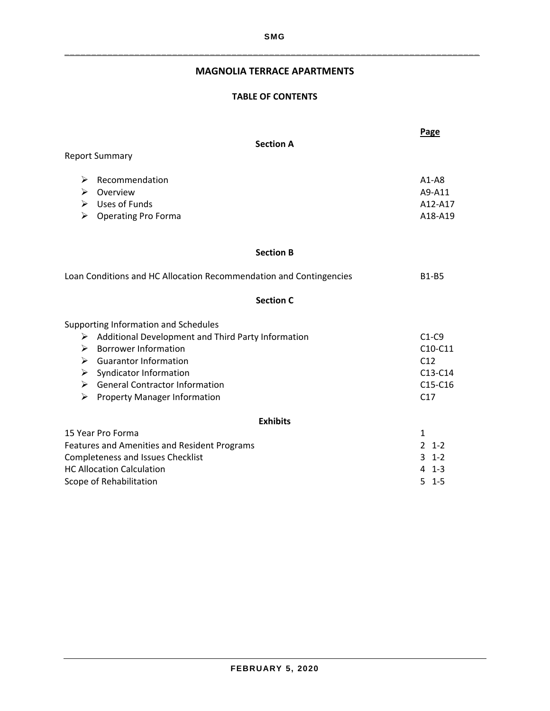## **MAGNOLIA TERRACE APARTMENTS**

#### **TABLE OF CONTENTS**

|                       |                                                                                            | Page                                      |
|-----------------------|--------------------------------------------------------------------------------------------|-------------------------------------------|
|                       | <b>Section A</b>                                                                           |                                           |
|                       | <b>Report Summary</b>                                                                      |                                           |
| ➤<br>➤<br>⋗           | Recommendation<br>Overview<br>$\triangleright$ Uses of Funds<br><b>Operating Pro Forma</b> | $A1 - A8$<br>A9-A11<br>A12-A17<br>A18-A19 |
|                       | <b>Section B</b>                                                                           |                                           |
|                       | Loan Conditions and HC Allocation Recommendation and Contingencies                         | <b>B1-B5</b>                              |
|                       | <b>Section C</b>                                                                           |                                           |
|                       | Supporting Information and Schedules                                                       |                                           |
| ➤                     | Additional Development and Third Party Information                                         | $C1-C9$                                   |
| ➤                     | <b>Borrower Information</b>                                                                | C10-C11                                   |
|                       | $\triangleright$ Guarantor Information                                                     | C12                                       |
|                       | $\triangleright$ Syndicator Information                                                    | $C13-C14$                                 |
|                       | $\triangleright$ General Contractor Information                                            | $C15-C16$                                 |
| $\blacktriangleright$ | <b>Property Manager Information</b>                                                        | C17                                       |
|                       | <b>Exhibits</b>                                                                            |                                           |
|                       | 15 Year Pro Forma                                                                          | $\mathbf{1}$                              |
|                       | Features and Amenities and Resident Programs                                               | $\mathcal{L}$<br>$1 - 2$                  |
|                       | <b>Completeness and Issues Checklist</b>                                                   | $3 - 1 - 2$                               |
|                       | <b>HC Allocation Calculation</b>                                                           | $4 \t1-3$                                 |
|                       | Scope of Rehabilitation                                                                    | $5 \t1-5$                                 |
|                       |                                                                                            |                                           |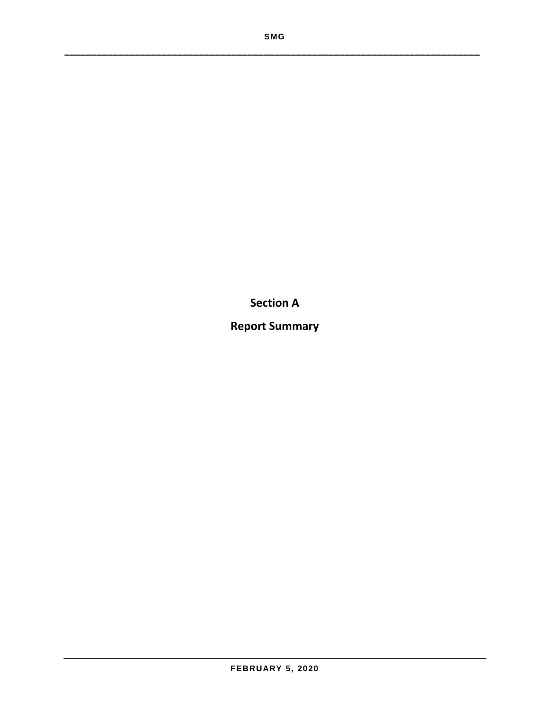**Section A**

**Report Summary**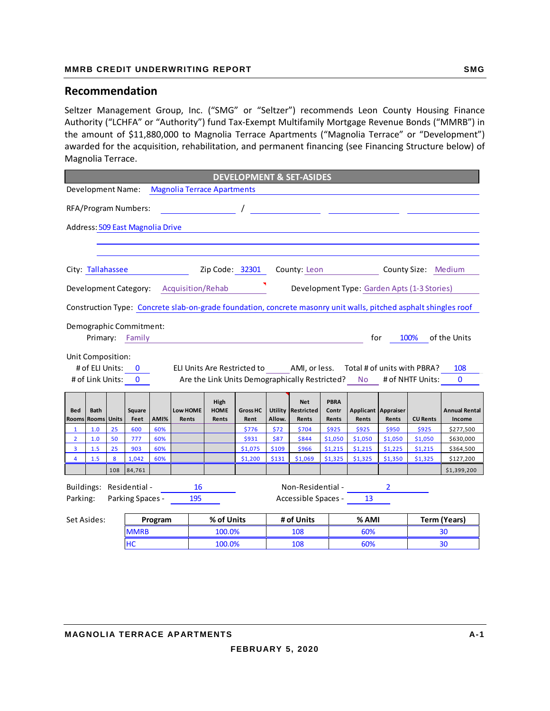#### **MMRB CREDIT UNDERWRITING REPORT SMG AND READLER SMG**

#### **Recommendation**

Seltzer Management Group, Inc. ("SMG" or "Seltzer") recommends Leon County Housing Finance Authority ("LCHFA" or "Authority") fund Tax‐Exempt Multifamily Mortgage Revenue Bonds ("MMRB") in the amount of \$11,880,000 to Magnolia Terrace Apartments ("Magnolia Terrace" or "Development") awarded for the acquisition, rehabilitation, and permanent financing (see Financing Structure below) of Magnolia Terrace.

|                     | <b>DEVELOPMENT &amp; SET-ASIDES</b> |              |                                  |            |                                                                                                                  |                                                                                                                                      |                    |                |                     |                    |                    |                     |                                                                    |                        |
|---------------------|-------------------------------------|--------------|----------------------------------|------------|------------------------------------------------------------------------------------------------------------------|--------------------------------------------------------------------------------------------------------------------------------------|--------------------|----------------|---------------------|--------------------|--------------------|---------------------|--------------------------------------------------------------------|------------------------|
|                     | <b>Development Name:</b>            |              |                                  |            | <b>Magnolia Terrace Apartments</b>                                                                               |                                                                                                                                      |                    |                |                     |                    |                    |                     |                                                                    |                        |
|                     |                                     |              | RFA/Program Numbers:             |            |                                                                                                                  | $\frac{1}{\sqrt{1-\frac{1}{2}}}\frac{1}{\sqrt{1-\frac{1}{2}}\sqrt{1-\frac{1}{2}}\frac{1}{\sqrt{1-\frac{1}{2}}\sqrt{1-\frac{1}{2}}}}$ |                    |                |                     |                    |                    |                     |                                                                    |                        |
|                     |                                     |              | Address: 509 East Magnolia Drive |            |                                                                                                                  |                                                                                                                                      |                    |                |                     |                    |                    |                     |                                                                    |                        |
|                     |                                     |              |                                  |            |                                                                                                                  |                                                                                                                                      |                    |                |                     |                    |                    |                     |                                                                    |                        |
|                     |                                     |              |                                  |            |                                                                                                                  |                                                                                                                                      |                    |                |                     |                    |                    |                     |                                                                    |                        |
|                     | City: Tallahassee                   |              |                                  |            |                                                                                                                  |                                                                                                                                      | Zip Code: 32301    |                | County: Leon        |                    |                    |                     | County Size: Medium                                                |                        |
|                     |                                     |              |                                  |            | Development Category: Acquisition/Rehab                                                                          |                                                                                                                                      |                    |                |                     |                    |                    |                     | Development Type: Garden Apts (1-3 Stories)                        |                        |
|                     |                                     |              |                                  |            | Construction Type: Concrete slab-on-grade foundation, concrete masonry unit walls, pitched asphalt shingles roof |                                                                                                                                      |                    |                |                     |                    |                    |                     |                                                                    |                        |
|                     |                                     |              | Demographic Commitment:          |            |                                                                                                                  |                                                                                                                                      |                    |                |                     |                    |                    |                     |                                                                    |                        |
|                     |                                     |              | Primary: Family                  |            |                                                                                                                  |                                                                                                                                      |                    |                |                     |                    | for                |                     | 100%                                                               | of the Units           |
|                     | Unit Composition:                   |              |                                  |            |                                                                                                                  |                                                                                                                                      |                    |                |                     |                    |                    |                     |                                                                    |                        |
|                     |                                     |              | # of ELI Units: 0                |            | ELI Units Are Restricted to AMI, or less. Total # of units with PBRA?                                            |                                                                                                                                      |                    |                |                     |                    |                    |                     |                                                                    | 108                    |
|                     |                                     |              | # of Link Units: 0               |            |                                                                                                                  |                                                                                                                                      |                    |                |                     |                    |                    |                     | Are the Link Units Demographically Restricted? No # of NHTF Units: | $\Omega$               |
|                     |                                     |              |                                  |            |                                                                                                                  |                                                                                                                                      |                    |                | <b>Net</b>          | <b>PBRA</b>        |                    |                     |                                                                    |                        |
| <b>Bed</b>          | <b>Bath</b>                         |              | Square                           |            | <b>Low HOME</b>                                                                                                  | High<br><b>HOME</b>                                                                                                                  | <b>Gross HC</b>    |                | Utility Restricted  | Contr              |                    | Applicant Appraiser |                                                                    | <b>Annual Rental</b>   |
| Rooms               | Rooms                               | <b>Units</b> | Feet                             | AMI%       | Rents                                                                                                            | Rents                                                                                                                                | Rent               | Allow.         | Rents               | Rents              | Rents              | Rents               | <b>CU Rents</b>                                                    | Income                 |
| $\mathbf{1}$        | 1.0                                 | 25           | 600                              | 60%        |                                                                                                                  |                                                                                                                                      | \$776              | \$72           | \$704               | \$925              | \$925              | \$950               | \$925                                                              | \$277,500              |
| $\overline{2}$      | 1.0                                 | 50           | 777                              | 60%        |                                                                                                                  |                                                                                                                                      | \$931              | \$87           | \$844               | \$1,050            | \$1,050            | \$1,050             | \$1,050                                                            | \$630,000              |
| 3<br>$\overline{4}$ | 1.5<br>1.5                          | 25<br>8      | 903<br>1,042                     | 60%<br>60% |                                                                                                                  |                                                                                                                                      | \$1,075<br>\$1,200 | \$109<br>\$131 | \$966<br>\$1,069    | \$1,215<br>\$1,325 | \$1,215<br>\$1,325 | \$1,225<br>\$1,350  | \$1,215<br>\$1,325                                                 | \$364,500<br>\$127,200 |
|                     |                                     | 108          | 84,761                           |            |                                                                                                                  |                                                                                                                                      |                    |                |                     |                    |                    |                     |                                                                    | \$1,399,200            |
|                     |                                     |              |                                  |            |                                                                                                                  |                                                                                                                                      |                    |                |                     |                    |                    |                     |                                                                    |                        |
|                     |                                     |              | Buildings: Residential -         |            | 16                                                                                                               |                                                                                                                                      |                    |                | Non-Residential -   |                    |                    | $\overline{2}$      |                                                                    |                        |
| Parking:            |                                     |              | Parking Spaces -                 |            | 195                                                                                                              |                                                                                                                                      |                    |                | Accessible Spaces - |                    | 13                 |                     |                                                                    |                        |
|                     |                                     |              |                                  |            |                                                                                                                  | % of Units                                                                                                                           |                    |                | # of Units          |                    | % AMI              |                     |                                                                    |                        |
|                     | Set Asides:                         |              | <b>MMRB</b>                      | Program    |                                                                                                                  |                                                                                                                                      |                    |                | 108                 |                    | 60%                |                     |                                                                    | <b>Term (Years)</b>    |
|                     |                                     |              |                                  |            |                                                                                                                  | 100.0%                                                                                                                               |                    |                |                     |                    |                    |                     |                                                                    | 30                     |
|                     | HC<br>60%<br>100.0%<br>108<br>30    |              |                                  |            |                                                                                                                  |                                                                                                                                      |                    |                |                     |                    |                    |                     |                                                                    |                        |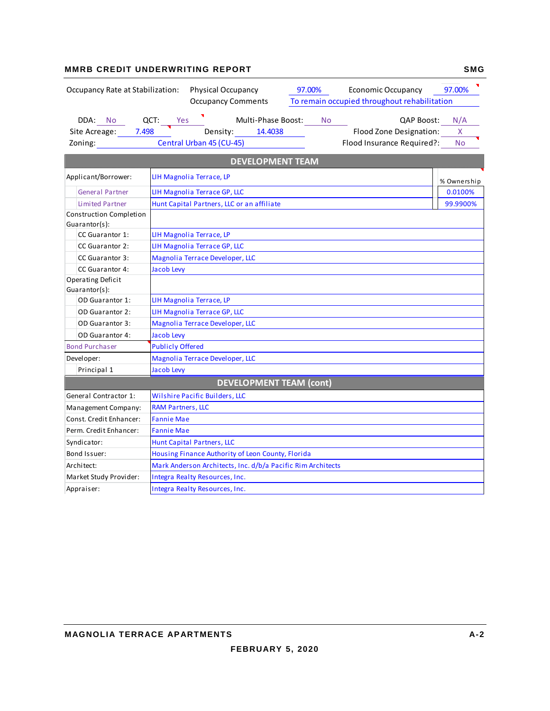#### **MMRB CREDIT UNDERWRITING REPORT SMG**

| Occupancy Rate at Stabilization:                                                                                                                           | Physical Occupancy<br><b>Economic Occupancy</b><br>97.00%<br><b>Occupancy Comments</b><br>To remain occupied throughout rehabilitation          | 97.00%                |
|------------------------------------------------------------------------------------------------------------------------------------------------------------|-------------------------------------------------------------------------------------------------------------------------------------------------|-----------------------|
| DDA: No QCT: Yes<br>Site Acreage: 7.498<br>Zoning: The control of the control of the control of the control of the control of the control of the control o | Multi-Phase Boost:<br>No<br>OAP Boost:<br>Density: 14.4038<br>Flood Zone Designation:<br>Central Urban 45 (CU-45)<br>Flood Insurance Required?: | N/A<br>X<br><b>No</b> |
|                                                                                                                                                            | <b>DEVELOPMENT TEAM</b>                                                                                                                         |                       |
| Applicant/Borrower:                                                                                                                                        | LIH Magnolia Terrace, LP                                                                                                                        | % Ownership           |
| <b>General Partner</b>                                                                                                                                     | LIH Magnolia Terrace GP, LLC                                                                                                                    | 0.0100%               |
| <b>Limited Partner</b>                                                                                                                                     | Hunt Capital Partners, LLC or an affiliate                                                                                                      | 99.9900%              |
| Construction Completion                                                                                                                                    |                                                                                                                                                 |                       |
| Guarantor(s):<br>CC Guarantor 1:                                                                                                                           | LIH Magnolia Terrace, LP                                                                                                                        |                       |
| CC Guarantor 2:                                                                                                                                            | <b>LIH Magnolia Terrace GP, LLC</b>                                                                                                             |                       |
| CC Guarantor 3:                                                                                                                                            | Magnolia Terrace Developer, LLC                                                                                                                 |                       |
| <b>CC Guarantor 4:</b>                                                                                                                                     | Jacob Levy                                                                                                                                      |                       |
| Operating Deficit<br>Guarantor(s):                                                                                                                         |                                                                                                                                                 |                       |
| <b>OD Guarantor 1:</b>                                                                                                                                     | LIH Magnolia Terrace, LP                                                                                                                        |                       |
| <b>OD</b> Guarantor 2:                                                                                                                                     | <b>LIH Magnolia Terrace GP, LLC</b>                                                                                                             |                       |
| <b>OD Guarantor 3:</b>                                                                                                                                     | Magnolia Terrace Developer, LLC                                                                                                                 |                       |
| OD Guarantor 4:                                                                                                                                            | Jacob Levy                                                                                                                                      |                       |
| <b>Bond Purchaser</b>                                                                                                                                      | <b>Publicly Offered</b>                                                                                                                         |                       |
| Developer:                                                                                                                                                 | Magnolia Terrace Developer, LLC                                                                                                                 |                       |
| Principal 1                                                                                                                                                | <b>Jacob Levy</b>                                                                                                                               |                       |
|                                                                                                                                                            | <b>DEVELOPMENT TEAM (cont)</b>                                                                                                                  |                       |
| General Contractor 1:                                                                                                                                      | Wilshire Pacific Builders, LLC                                                                                                                  |                       |
| Management Company:                                                                                                                                        | <b>RAM Partners, LLC</b>                                                                                                                        |                       |
| Const. Credit Enhancer:                                                                                                                                    | <b>Fannie Mae</b>                                                                                                                               |                       |
| Perm. Credit Enhancer:                                                                                                                                     | <b>Fannie Mae</b>                                                                                                                               |                       |
| Syndicator:                                                                                                                                                | Hunt Capital Partners, LLC                                                                                                                      |                       |
| Bond Issuer:                                                                                                                                               | Housing Finance Authority of Leon County, Florida                                                                                               |                       |
| Architect:                                                                                                                                                 | Mark Anderson Architects, Inc. d/b/a Pacific Rim Architects                                                                                     |                       |
| Market Study Provider:                                                                                                                                     | Integra Realty Resources, Inc.                                                                                                                  |                       |
| Appraiser:                                                                                                                                                 | Integra Realty Resources, Inc.                                                                                                                  |                       |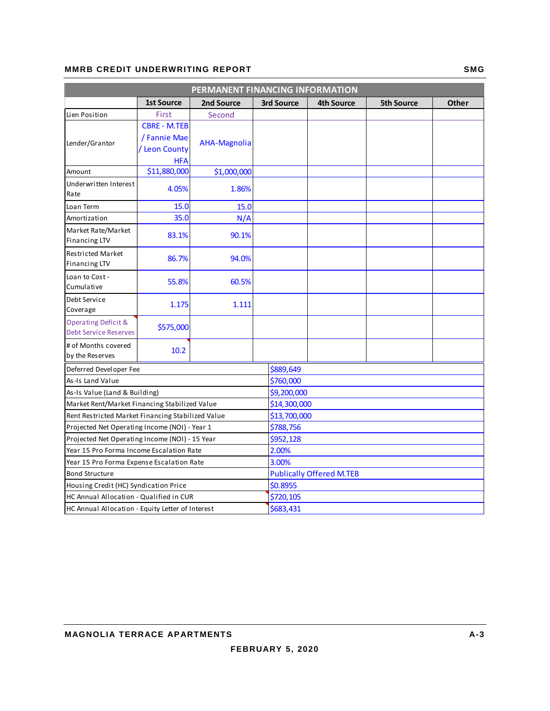#### **MMRB CREDIT UNDERWRITING REPORT SMG**

| PERMANENT FINANCING INFORMATION                     |                     |              |              |                                 |                   |              |  |  |
|-----------------------------------------------------|---------------------|--------------|--------------|---------------------------------|-------------------|--------------|--|--|
|                                                     | <b>1st Source</b>   | 2nd Source   | 3rd Source   | <b>4th Source</b>               | <b>5th Source</b> | <b>Other</b> |  |  |
| Lien Position                                       | First               | Second       |              |                                 |                   |              |  |  |
|                                                     | <b>CBRE - M.TEB</b> |              |              |                                 |                   |              |  |  |
|                                                     | / Fannie Mae        | AHA-Magnolia |              |                                 |                   |              |  |  |
| Lender/Grantor                                      | / Leon County       |              |              |                                 |                   |              |  |  |
|                                                     | <b>HFA</b>          |              |              |                                 |                   |              |  |  |
| Amount                                              | \$11,880,000        | \$1,000,000  |              |                                 |                   |              |  |  |
| Underwritten Interest<br>Rate                       | 4.05%               | 1.86%        |              |                                 |                   |              |  |  |
| Loan Term                                           | 15.0                | 15.0         |              |                                 |                   |              |  |  |
| Amortization                                        | 35.0                | N/A          |              |                                 |                   |              |  |  |
| Market Rate/Market<br><b>Financing LTV</b>          | 83.1%               | 90.1%        |              |                                 |                   |              |  |  |
| <b>Restricted Market</b><br><b>Financing LTV</b>    | 86.7%               | 94.0%        |              |                                 |                   |              |  |  |
| Loan to Cost -<br>Cumulative                        | 55.8%               | 60.5%        |              |                                 |                   |              |  |  |
| Debt Service<br>Coverage                            | 1.175               | 1.111        |              |                                 |                   |              |  |  |
| Operating Deficit &<br><b>Debt Service Reserves</b> | \$575,000           |              |              |                                 |                   |              |  |  |
| # of Months covered<br>by the Reserves              | 10.2                |              |              |                                 |                   |              |  |  |
| Deferred Developer Fee                              |                     |              | \$889,649    |                                 |                   |              |  |  |
| As-Is Land Value                                    |                     |              | \$760,000    |                                 |                   |              |  |  |
| As-Is Value (Land & Building)                       |                     |              |              | \$9,200,000                     |                   |              |  |  |
| Market Rent/Market Financing Stabilized Value       |                     |              |              | \$14,300,000                    |                   |              |  |  |
| Rent Restricted Market Financing Stabilized Value   |                     |              | \$13,700,000 |                                 |                   |              |  |  |
| Projected Net Operating Income (NOI) - Year 1       |                     |              | \$788,756    |                                 |                   |              |  |  |
| Projected Net Operating Income (NOI) - 15 Year      |                     |              | \$952,128    |                                 |                   |              |  |  |
| Year 15 Pro Forma Income Escalation Rate            |                     |              | 2.00%        |                                 |                   |              |  |  |
| Year 15 Pro Forma Expense Escalation Rate           |                     |              | 3.00%        |                                 |                   |              |  |  |
| <b>Bond Structure</b>                               |                     |              |              | <b>Publically Offered M.TEB</b> |                   |              |  |  |
| Housing Credit (HC) Syndication Price               |                     |              | \$0.8955     |                                 |                   |              |  |  |
| HC Annual Allocation - Qualified in CUR             |                     |              | \$720,105    |                                 |                   |              |  |  |
| HC Annual Allocation - Equity Letter of Interest    |                     |              | \$683,431    |                                 |                   |              |  |  |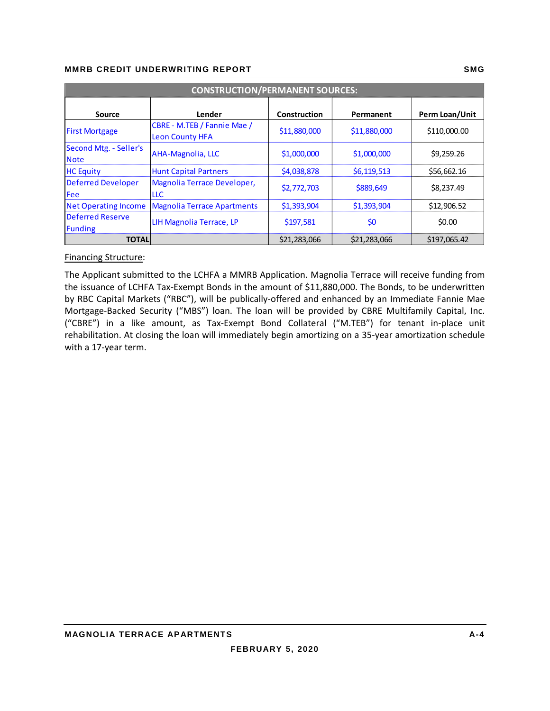| <b>CONSTRUCTION/PERMANENT SOURCES:</b>    |                                                       |              |              |                |  |  |  |  |  |
|-------------------------------------------|-------------------------------------------------------|--------------|--------------|----------------|--|--|--|--|--|
| <b>Source</b>                             | Lender                                                | Construction | Permanent    | Perm Loan/Unit |  |  |  |  |  |
| <b>First Mortgage</b>                     | CBRE - M.TEB / Fannie Mae /<br><b>Leon County HFA</b> | \$11,880,000 | \$11,880,000 | \$110,000.00   |  |  |  |  |  |
| Second Mtg. - Seller's<br><b>Note</b>     | <b>AHA-Magnolia, LLC</b>                              | \$1,000,000  | \$1,000,000  | \$9,259.26     |  |  |  |  |  |
| <b>HC Equity</b>                          | <b>Hunt Capital Partners</b>                          | \$4,038,878  | \$6,119,513  | \$56,662.16    |  |  |  |  |  |
| <b>Deferred Developer</b><br>Fee          | Magnolia Terrace Developer,<br>LLC                    | \$2,772,703  | \$889,649    | \$8,237.49     |  |  |  |  |  |
| <b>Net Operating Income</b>               | <b>Magnolia Terrace Apartments</b>                    | \$1,393,904  | \$1,393,904  | \$12,906.52    |  |  |  |  |  |
| <b>Deferred Reserve</b><br><b>Funding</b> | LIH Magnolia Terrace, LP                              | \$197,581    | \$0          | \$0.00         |  |  |  |  |  |
| <b>TOTAL</b>                              |                                                       | \$21,283,066 | \$21,283,066 | \$197,065.42   |  |  |  |  |  |

#### Financing Structure:

The Applicant submitted to the LCHFA a MMRB Application. Magnolia Terrace will receive funding from the issuance of LCHFA Tax-Exempt Bonds in the amount of \$11,880,000. The Bonds, to be underwritten by RBC Capital Markets ("RBC"), will be publically‐offered and enhanced by an Immediate Fannie Mae Mortgage‐Backed Security ("MBS") loan. The loan will be provided by CBRE Multifamily Capital, Inc. ("CBRE") in a like amount, as Tax‐Exempt Bond Collateral ("M.TEB") for tenant in‐place unit rehabilitation. At closing the loan will immediately begin amortizing on a 35‐year amortization schedule with a 17‐year term.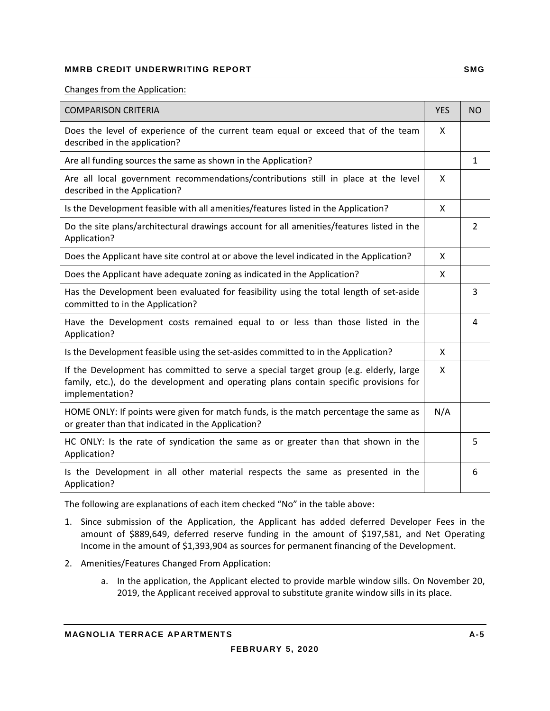#### Changes from the Application:

| <b>COMPARISON CRITERIA</b>                                                                                                                                                                        | <b>YES</b> | <b>NO</b>      |
|---------------------------------------------------------------------------------------------------------------------------------------------------------------------------------------------------|------------|----------------|
| Does the level of experience of the current team equal or exceed that of the team<br>described in the application?                                                                                | X          |                |
| Are all funding sources the same as shown in the Application?                                                                                                                                     |            | $\mathbf{1}$   |
| Are all local government recommendations/contributions still in place at the level<br>described in the Application?                                                                               | X          |                |
| Is the Development feasible with all amenities/features listed in the Application?                                                                                                                | X          |                |
| Do the site plans/architectural drawings account for all amenities/features listed in the<br>Application?                                                                                         |            | $\overline{2}$ |
| Does the Applicant have site control at or above the level indicated in the Application?                                                                                                          | X          |                |
| Does the Applicant have adequate zoning as indicated in the Application?                                                                                                                          | X          |                |
| Has the Development been evaluated for feasibility using the total length of set-aside<br>committed to in the Application?                                                                        |            | 3              |
| Have the Development costs remained equal to or less than those listed in the<br>Application?                                                                                                     |            | 4              |
| Is the Development feasible using the set-asides committed to in the Application?                                                                                                                 | X          |                |
| If the Development has committed to serve a special target group (e.g. elderly, large<br>family, etc.), do the development and operating plans contain specific provisions for<br>implementation? | X          |                |
| HOME ONLY: If points were given for match funds, is the match percentage the same as<br>or greater than that indicated in the Application?                                                        | N/A        |                |
| HC ONLY: Is the rate of syndication the same as or greater than that shown in the<br>Application?                                                                                                 |            | 5              |
| Is the Development in all other material respects the same as presented in the<br>Application?                                                                                                    |            | 6              |

The following are explanations of each item checked "No" in the table above:

- 1. Since submission of the Application, the Applicant has added deferred Developer Fees in the amount of \$889,649, deferred reserve funding in the amount of \$197,581, and Net Operating Income in the amount of \$1,393,904 as sources for permanent financing of the Development.
- 2. Amenities/Features Changed From Application:
	- a. In the application, the Applicant elected to provide marble window sills. On November 20, 2019, the Applicant received approval to substitute granite window sills in its place.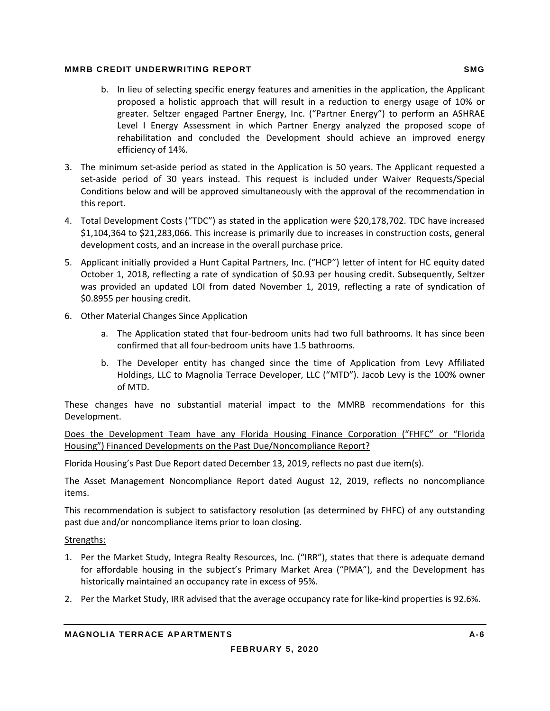- b. In lieu of selecting specific energy features and amenities in the application, the Applicant proposed a holistic approach that will result in a reduction to energy usage of 10% or greater. Seltzer engaged Partner Energy, Inc. ("Partner Energy") to perform an ASHRAE Level I Energy Assessment in which Partner Energy analyzed the proposed scope of rehabilitation and concluded the Development should achieve an improved energy efficiency of 14%.
- 3. The minimum set‐aside period as stated in the Application is 50 years. The Applicant requested a set-aside period of 30 years instead. This request is included under Waiver Requests/Special Conditions below and will be approved simultaneously with the approval of the recommendation in this report.
- 4. Total Development Costs ("TDC") as stated in the application were \$20,178,702. TDC have increased \$1,104,364 to \$21,283,066. This increase is primarily due to increases in construction costs, general development costs, and an increase in the overall purchase price.
- 5. Applicant initially provided a Hunt Capital Partners, Inc. ("HCP") letter of intent for HC equity dated October 1, 2018, reflecting a rate of syndication of \$0.93 per housing credit. Subsequently, Seltzer was provided an updated LOI from dated November 1, 2019, reflecting a rate of syndication of \$0.8955 per housing credit.
- 6. Other Material Changes Since Application
	- a. The Application stated that four-bedroom units had two full bathrooms. It has since been confirmed that all four‐bedroom units have 1.5 bathrooms.
	- b. The Developer entity has changed since the time of Application from Levy Affiliated Holdings, LLC to Magnolia Terrace Developer, LLC ("MTD"). Jacob Levy is the 100% owner of MTD.

These changes have no substantial material impact to the MMRB recommendations for this Development.

Does the Development Team have any Florida Housing Finance Corporation ("FHFC" or "Florida Housing") Financed Developments on the Past Due/Noncompliance Report?

Florida Housing's Past Due Report dated December 13, 2019, reflects no past due item(s).

The Asset Management Noncompliance Report dated August 12, 2019, reflects no noncompliance items.

This recommendation is subject to satisfactory resolution (as determined by FHFC) of any outstanding past due and/or noncompliance items prior to loan closing.

Strengths:

- 1. Per the Market Study, Integra Realty Resources, Inc. ("IRR"), states that there is adequate demand for affordable housing in the subject's Primary Market Area ("PMA"), and the Development has historically maintained an occupancy rate in excess of 95%.
- 2. Per the Market Study, IRR advised that the average occupancy rate for like‐kind properties is 92.6%.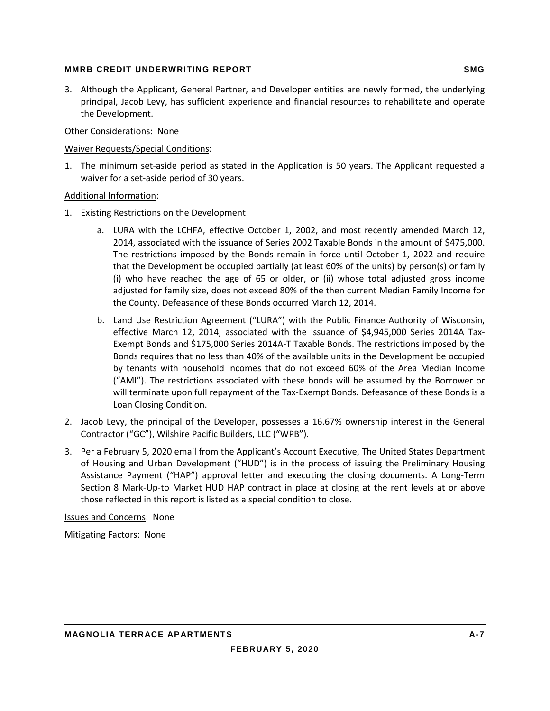3. Although the Applicant, General Partner, and Developer entities are newly formed, the underlying principal, Jacob Levy, has sufficient experience and financial resources to rehabilitate and operate the Development.

#### Other Considerations: None

#### Waiver Requests/Special Conditions:

1. The minimum set‐aside period as stated in the Application is 50 years. The Applicant requested a waiver for a set‐aside period of 30 years.

#### Additional Information:

- 1. Existing Restrictions on the Development
	- a. LURA with the LCHFA, effective October 1, 2002, and most recently amended March 12, 2014, associated with the issuance of Series 2002 Taxable Bonds in the amount of \$475,000. The restrictions imposed by the Bonds remain in force until October 1, 2022 and require that the Development be occupied partially (at least 60% of the units) by person(s) or family (i) who have reached the age of 65 or older, or (ii) whose total adjusted gross income adjusted for family size, does not exceed 80% of the then current Median Family Income for the County. Defeasance of these Bonds occurred March 12, 2014.
	- b. Land Use Restriction Agreement ("LURA") with the Public Finance Authority of Wisconsin, effective March 12, 2014, associated with the issuance of \$4,945,000 Series 2014A Tax-Exempt Bonds and \$175,000 Series 2014A‐T Taxable Bonds. The restrictions imposed by the Bonds requires that no less than 40% of the available units in the Development be occupied by tenants with household incomes that do not exceed 60% of the Area Median Income ("AMI"). The restrictions associated with these bonds will be assumed by the Borrower or will terminate upon full repayment of the Tax‐Exempt Bonds. Defeasance of these Bonds is a Loan Closing Condition.
- 2. Jacob Levy, the principal of the Developer, possesses a 16.67% ownership interest in the General Contractor ("GC"), Wilshire Pacific Builders, LLC ("WPB").
- 3. Per a February 5, 2020 email from the Applicant's Account Executive, The United States Department of Housing and Urban Development ("HUD") is in the process of issuing the Preliminary Housing Assistance Payment ("HAP") approval letter and executing the closing documents. A Long‐Term Section 8 Mark‐Up‐to Market HUD HAP contract in place at closing at the rent levels at or above those reflected in this report is listed as a special condition to close.

Issues and Concerns: None

Mitigating Factors: None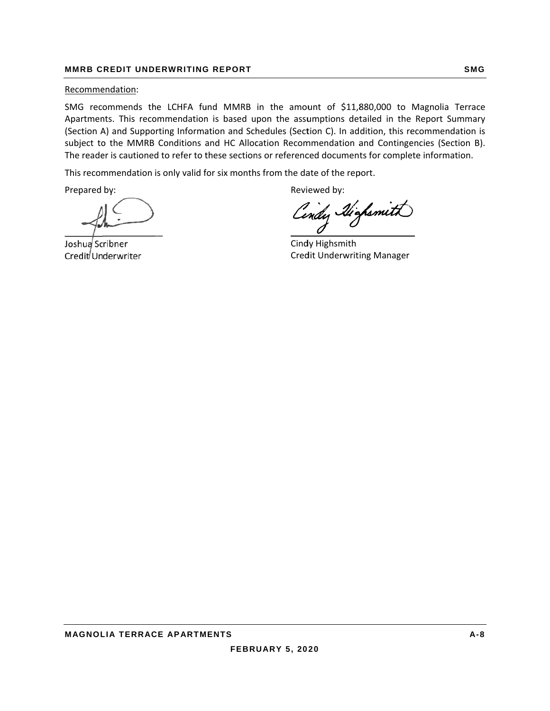#### **MMRB C REDIT UND ERWRITING G REPORT**

#### Recommendation:

SMG recommends the LCHFA fund MMRB in the amount of \$11,880,000 to Magnolia Terrace Apartments. This recommendation is based upon the assumptions detailed in the Report Summary (Section A) and Supporting Information and Schedules (Section C). In addition, this recommendation is subject to the MMRB Conditions and HC Allocation Recommendation and Contingencies (Section B). The reader is cautioned to refer to these sections or referenced documents for complete information.

This recommendation is only valid for six months from the date of the report.

Prepared by:

 $\Box$  $\overline{\phantom{a}}$  $\overline{\phantom{a}}$ 

Joshua<sup>j</sup> Scribner Credit<sup>/</sup> Underwriter

Revi ewed by:

ndy Highsmith

Cindy Highsmith Cred dit Underwrit ing Manager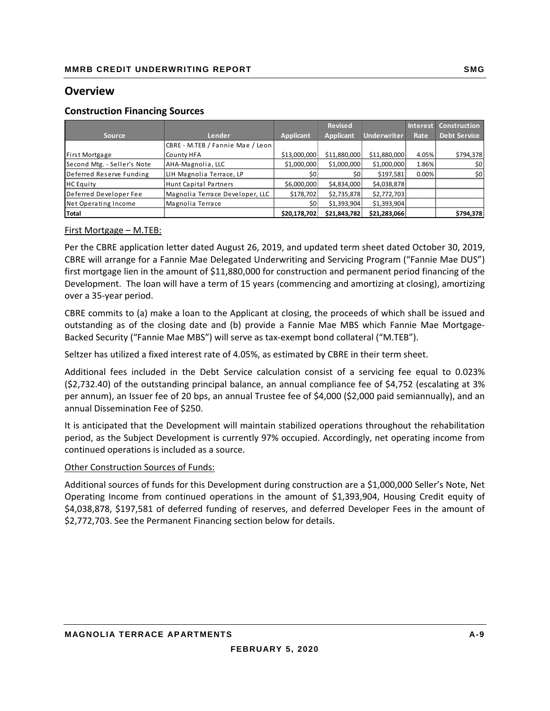## **Overview**

#### **Construction Financing Sources**

|                             |                                  |                  | <b>Revised</b>   |                    |          | <b>Interest Construction</b> |
|-----------------------------|----------------------------------|------------------|------------------|--------------------|----------|------------------------------|
| <b>Source</b>               | Lender                           | <b>Applicant</b> | <b>Applicant</b> | <b>Underwriter</b> | Rate     | <b>Debt Service</b>          |
|                             | CBRE - M.TEB / Fannie Mae / Leon |                  |                  |                    |          |                              |
| <b>First Mortgage</b>       | County HFA                       | \$13,000,000     | \$11,880,000     | \$11,880,000       | 4.05%    | \$794,378                    |
| Second Mtg. - Seller's Note | AHA-Magnolia, LLC                | \$1,000,000      | \$1,000,000      | \$1,000,000        | 1.86%    | \$0                          |
| Deferred Reserve Funding    | LIH Magnolia Terrace, LP         | \$0              | \$0              | \$197,581          | $0.00\%$ | \$0                          |
| <b>HC</b> Equity            | Hunt Capital Partners            | \$6,000,000      | \$4,834,000      | \$4,038,878        |          |                              |
| Deferred Developer Fee      | Magnolia Terrace Developer, LLC  | \$178,702        | \$2,735,878      | \$2,772,703        |          |                              |
| Net Operating Income        | Magnolia Terrace                 | \$0              | \$1,393,904      | \$1,393,904        |          |                              |
| Total                       |                                  | \$20,178,702     | \$21,843,782     | \$21,283,066       |          | \$794,378                    |

#### First Mortgage – M.TEB:

Per the CBRE application letter dated August 26, 2019, and updated term sheet dated October 30, 2019, CBRE will arrange for a Fannie Mae Delegated Underwriting and Servicing Program ("Fannie Mae DUS") first mortgage lien in the amount of \$11,880,000 for construction and permanent period financing of the Development. The loan will have a term of 15 years (commencing and amortizing at closing), amortizing over a 35‐year period.

CBRE commits to (a) make a loan to the Applicant at closing, the proceeds of which shall be issued and outstanding as of the closing date and (b) provide a Fannie Mae MBS which Fannie Mae Mortgage-Backed Security ("Fannie Mae MBS") will serve as tax‐exempt bond collateral ("M.TEB").

Seltzer has utilized a fixed interest rate of 4.05%, as estimated by CBRE in their term sheet.

Additional fees included in the Debt Service calculation consist of a servicing fee equal to 0.023% (\$2,732.40) of the outstanding principal balance, an annual compliance fee of \$4,752 (escalating at 3% per annum), an Issuer fee of 20 bps, an annual Trustee fee of \$4,000 (\$2,000 paid semiannually), and an annual Dissemination Fee of \$250.

It is anticipated that the Development will maintain stabilized operations throughout the rehabilitation period, as the Subject Development is currently 97% occupied. Accordingly, net operating income from continued operations is included as a source.

#### Other Construction Sources of Funds:

Additional sources of funds for this Development during construction are a \$1,000,000 Seller's Note, Net Operating Income from continued operations in the amount of \$1,393,904, Housing Credit equity of \$4,038,878, \$197,581 of deferred funding of reserves, and deferred Developer Fees in the amount of \$2,772,703. See the Permanent Financing section below for details.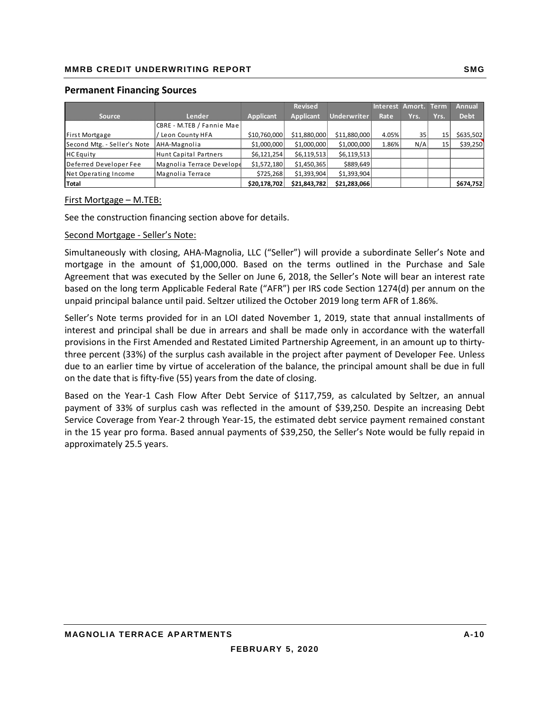#### **Permanent Financing Sources**

|                             |                           |                  | <b>Revised</b>   |              | <b>Interest</b> | Amort. | <b>Term</b> | Annual      |
|-----------------------------|---------------------------|------------------|------------------|--------------|-----------------|--------|-------------|-------------|
| <b>Source</b>               | Lender                    | <b>Applicant</b> | <b>Applicant</b> | Underwriter  | Rate            | Yrs.   | Yrs.        | <b>Debt</b> |
|                             | CBRE - M.TEB / Fannie Mae |                  |                  |              |                 |        |             |             |
| First Mortgage              | Leon County HFA           | \$10,760,000     | \$11,880,000     | \$11,880,000 | 4.05%           | 35     | 15          | \$635,502   |
| Second Mtg. - Seller's Note | AHA-Magnolia              | \$1,000,000      | \$1,000,000      | \$1,000,000  | 1.86%           | N/A    | 15          | \$39,250    |
| <b>HC</b> Equity            | Hunt Capital Partners     | \$6,121,254]     | \$6,119,513      | \$6,119,513  |                 |        |             |             |
| Deferred Developer Fee      | Magnolia Terrace Develope | \$1,572,180      | \$1,450,365      | \$889,649    |                 |        |             |             |
| Net Operating Income        | Magnolia Terrace          | \$725,268        | \$1,393,904      | \$1,393,904  |                 |        |             |             |
| <b>Total</b>                |                           | \$20,178,702     | \$21,843,782     | \$21,283,066 |                 |        |             | \$674,752   |

#### First Mortgage – M.TEB:

See the construction financing section above for details.

#### Second Mortgage ‐ Seller's Note:

Simultaneously with closing, AHA‐Magnolia, LLC ("Seller") will provide a subordinate Seller's Note and mortgage in the amount of \$1,000,000. Based on the terms outlined in the Purchase and Sale Agreement that was executed by the Seller on June 6, 2018, the Seller's Note will bear an interest rate based on the long term Applicable Federal Rate ("AFR") per IRS code Section 1274(d) per annum on the unpaid principal balance until paid. Seltzer utilized the October 2019 long term AFR of 1.86%.

Seller's Note terms provided for in an LOI dated November 1, 2019, state that annual installments of interest and principal shall be due in arrears and shall be made only in accordance with the waterfall provisions in the First Amended and Restated Limited Partnership Agreement, in an amount up to thirty‐ three percent (33%) of the surplus cash available in the project after payment of Developer Fee. Unless due to an earlier time by virtue of acceleration of the balance, the principal amount shall be due in full on the date that is fifty‐five (55) years from the date of closing.

Based on the Year‐1 Cash Flow After Debt Service of \$117,759, as calculated by Seltzer, an annual payment of 33% of surplus cash was reflected in the amount of \$39,250. Despite an increasing Debt Service Coverage from Year‐2 through Year‐15, the estimated debt service payment remained constant in the 15 year pro forma. Based annual payments of \$39,250, the Seller's Note would be fully repaid in approximately 25.5 years.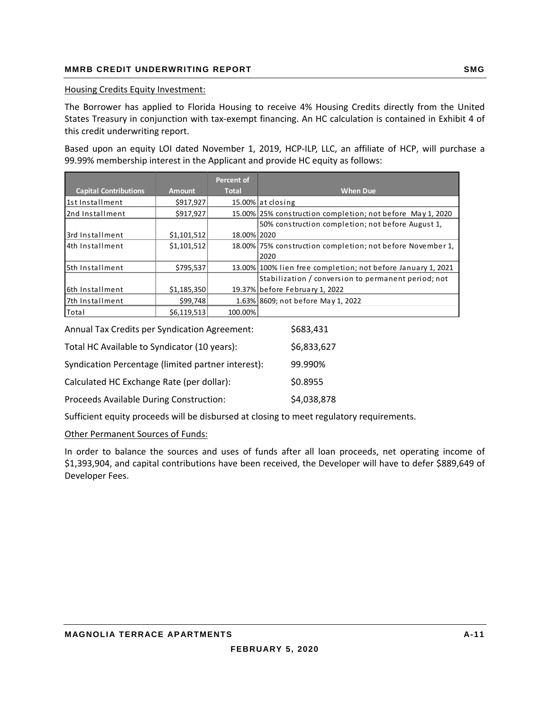#### Housing Credits Equity Investment:

The Borrower has applied to Florida Housing to receive 4% Housing Credits directly from the United States Treasury in conjunction with tax‐exempt financing. An HC calculation is contained in Exhibit 4 of this credit underwriting report.

Based upon an equity LOI dated November 1, 2019, HCP-ILP, LLC, an affiliate of HCP, will purchase a 99.99% membership interest in the Applicant and provide HC equity as follows:

|                              |               | <b>Percent of</b> |                                                              |
|------------------------------|---------------|-------------------|--------------------------------------------------------------|
| <b>Capital Contributions</b> | <b>Amount</b> | <b>Total</b>      | <b>When Due</b>                                              |
| 1st Installment              | \$917,927     |                   | 15.00% at closing                                            |
| 2nd Installment              | \$917,927     |                   | 15.00% 25% construction completion; not before May 1, 2020   |
|                              |               |                   | 50% construction completion; not before August 1,            |
| 3rd Installment              | \$1,101,512   | 18.00% 2020       |                                                              |
| 4th Installment              | \$1,101,512   |                   | 18.00% 75% construction completion; not before November 1,   |
|                              |               |                   | 2020                                                         |
| 5th Installment              | \$795,537     |                   | 13.00% 100% lien free completion; not before January 1, 2021 |
|                              |               |                   | Stabilization / conversion to permanent period; not          |
| 6th Installment              | \$1,185,350   |                   | 19.37% before February 1, 2022                               |
| 7th Installment              | \$99,748      |                   | 1.63% 8609; not before May 1, 2022                           |
| Total                        | \$6,119,513   | 100.00%           |                                                              |

| Annual Tax Credits per Syndication Agreement:      | \$683,431   |
|----------------------------------------------------|-------------|
| Total HC Available to Syndicator (10 years):       | \$6,833,627 |
| Syndication Percentage (limited partner interest): | 99.990%     |
| Calculated HC Exchange Rate (per dollar):          | \$0.8955    |
| Proceeds Available During Construction:            | \$4,038,878 |
|                                                    |             |

Sufficient equity proceeds will be disbursed at closing to meet regulatory requirements.

#### Other Permanent Sources of Funds:

In order to balance the sources and uses of funds after all loan proceeds, net operating income of \$1,393,904, and capital contributions have been received, the Developer will have to defer \$889,649 of Developer Fees.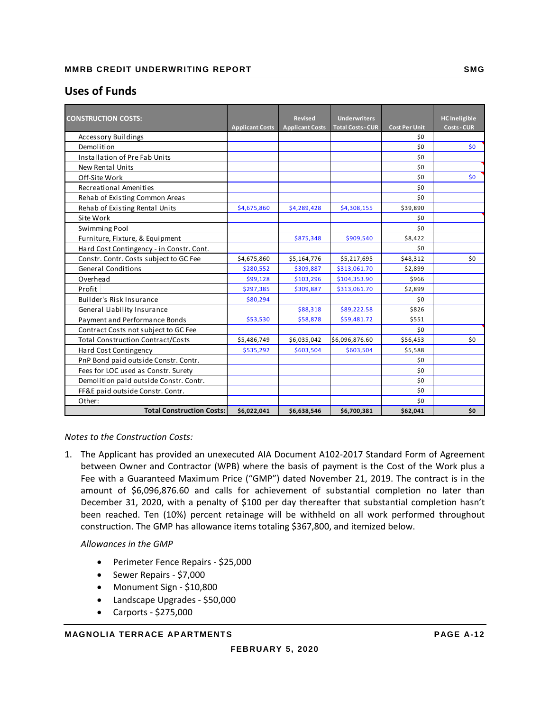## **Uses of Funds**

| <b>CONSTRUCTION COSTS:</b>               |                        | Revised                | <b>Underwriters</b>      |                             | <b>HC</b> Ineligible |
|------------------------------------------|------------------------|------------------------|--------------------------|-----------------------------|----------------------|
| Accessory Buildings                      | <b>Applicant Costs</b> | <b>Applicant Costs</b> | <b>Total Costs - CUR</b> | <b>Cost Per Unit</b><br>\$0 | <b>Costs - CUR</b>   |
| Demolition                               |                        |                        |                          | \$0                         | \$0                  |
| <b>Installation of Pre Fab Units</b>     |                        |                        |                          | \$0                         |                      |
| <b>New Rental Units</b>                  |                        |                        |                          | \$0                         |                      |
| Off-Site Work                            |                        |                        |                          | \$0                         | \$0                  |
| Recreational Amenities                   |                        |                        |                          | \$0                         |                      |
| Rehab of Existing Common Areas           |                        |                        |                          | \$0                         |                      |
| Rehab of Existing Rental Units           | \$4,675,860            | \$4,289,428            | \$4,308,155              | \$39,890                    |                      |
| Site Work                                |                        |                        |                          | \$0                         |                      |
| Swimming Pool                            |                        |                        |                          | \$0                         |                      |
| Furniture, Fixture, & Equipment          |                        | \$875,348              | \$909,540                | \$8,422                     |                      |
| Hard Cost Contingency - in Constr. Cont. |                        |                        |                          | \$0                         |                      |
| Constr. Contr. Costs subject to GC Fee   | \$4,675,860            | \$5,164,776            | \$5,217,695              | \$48,312                    | \$0                  |
| <b>General Conditions</b>                | \$280,552              | \$309,887              | \$313,061.70             | \$2,899                     |                      |
| Overhead                                 | \$99,128               | \$103,296              | \$104,353.90             | \$966                       |                      |
| Profit                                   | \$297,385              | \$309,887              | \$313,061.70             | \$2,899                     |                      |
| <b>Builder's Risk Insurance</b>          | \$80,294               |                        |                          | \$0                         |                      |
| General Liability Insurance              |                        | \$88,318               | \$89,222.58              | \$826                       |                      |
| Payment and Performance Bonds            | \$53,530               | \$58,878               | \$59,481.72              | \$551                       |                      |
| Contract Costs not subject to GC Fee     |                        |                        |                          | \$0                         |                      |
| <b>Total Construction Contract/Costs</b> | \$5,486,749            | \$6,035,042            | \$6,096,876.60           | \$56,453                    | \$0                  |
| Hard Cost Contingency                    | \$535,292              | \$603,504              | \$603,504                | \$5,588                     |                      |
| PnP Bond paid outside Constr. Contr.     |                        |                        |                          | \$0                         |                      |
| Fees for LOC used as Constr. Surety      |                        |                        |                          | \$0                         |                      |
| Demolition paid outside Constr. Contr.   |                        |                        |                          | \$0                         |                      |
| FF&E paid outside Constr. Contr.         |                        |                        |                          | \$0                         |                      |
| Other:                                   |                        |                        |                          | \$0                         |                      |
| <b>Total Construction Costs:</b>         | \$6,022,041            | \$6,638,546            | \$6,700,381              | \$62,041                    | \$0                  |

*Notes to the Construction Costs:*

1. The Applicant has provided an unexecuted AIA Document A102‐2017 Standard Form of Agreement between Owner and Contractor (WPB) where the basis of payment is the Cost of the Work plus a Fee with a Guaranteed Maximum Price ("GMP") dated November 21, 2019. The contract is in the amount of \$6,096,876.60 and calls for achievement of substantial completion no later than December 31, 2020, with a penalty of \$100 per day thereafter that substantial completion hasn't been reached. Ten (10%) percent retainage will be withheld on all work performed throughout construction. The GMP has allowance items totaling \$367,800, and itemized below.

#### *Allowances in the GMP*

- Perimeter Fence Repairs \$25,000
- Sewer Repairs \$7,000
- Monument Sign \$10,800
- Landscape Upgrades ‐ \$50,000
- Carports ‐ \$275,000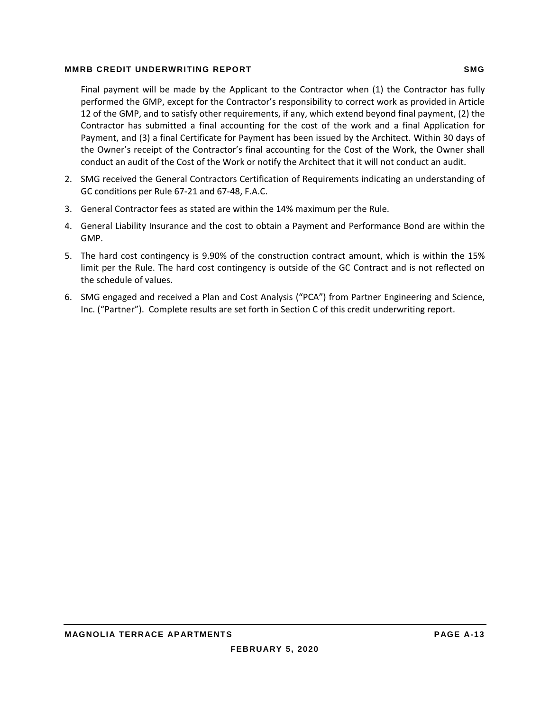#### **MMRB CREDIT UNDERWRITING REPORT SMG AND REALLY ASSESSED AT A SMG SMG**

Final payment will be made by the Applicant to the Contractor when (1) the Contractor has fully performed the GMP, except for the Contractor's responsibility to correct work as provided in Article 12 of the GMP, and to satisfy other requirements, if any, which extend beyond final payment, (2) the Contractor has submitted a final accounting for the cost of the work and a final Application for Payment, and (3) a final Certificate for Payment has been issued by the Architect. Within 30 days of the Owner's receipt of the Contractor's final accounting for the Cost of the Work, the Owner shall conduct an audit of the Cost of the Work or notify the Architect that it will not conduct an audit.

- 2. SMG received the General Contractors Certification of Requirements indicating an understanding of GC conditions per Rule 67‐21 and 67‐48, F.A.C.
- 3. General Contractor fees as stated are within the 14% maximum per the Rule.
- 4. General Liability Insurance and the cost to obtain a Payment and Performance Bond are within the GMP.
- 5. The hard cost contingency is 9.90% of the construction contract amount, which is within the 15% limit per the Rule. The hard cost contingency is outside of the GC Contract and is not reflected on the schedule of values.
- 6. SMG engaged and received a Plan and Cost Analysis ("PCA") from Partner Engineering and Science, Inc. ("Partner"). Complete results are set forth in Section C of this credit underwriting report.

**FEBRUARY 5, 2020**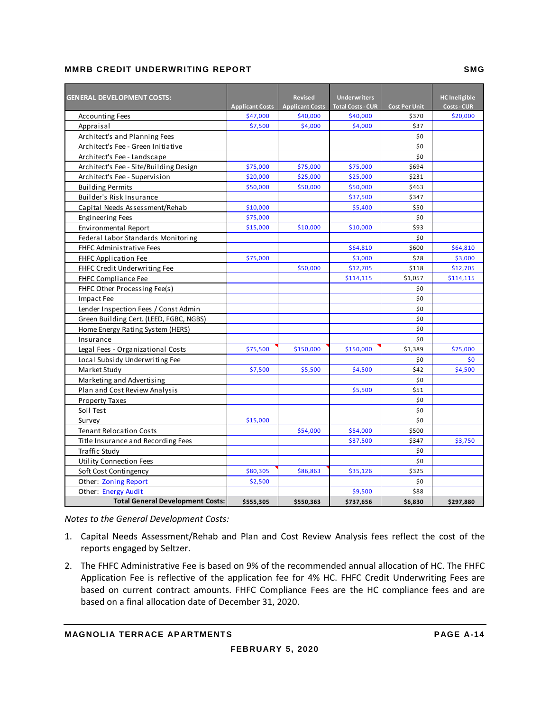#### **MMRB CREDIT UNDERWRITING REPORT SMG SMG**

| <b>GENERAL DEVELOPMENT COSTS:</b>       |                        | <b>Revised</b>         | <b>Underwriters</b>      |                      | <b>HC</b> Ineligible |
|-----------------------------------------|------------------------|------------------------|--------------------------|----------------------|----------------------|
|                                         | <b>Applicant Costs</b> | <b>Applicant Costs</b> | <b>Total Costs - CUR</b> | <b>Cost Per Unit</b> | <b>Costs - CUR</b>   |
| <b>Accounting Fees</b>                  | \$47,000               | \$40,000               | \$40,000                 | \$370                | \$20,000             |
| Appraisal                               | \$7,500                | \$4,000                | \$4,000                  | \$37                 |                      |
| Architect's and Planning Fees           |                        |                        |                          | \$0                  |                      |
| Architect's Fee - Green Initiative      |                        |                        |                          | \$0                  |                      |
| Architect's Fee - Landscape             |                        |                        |                          | \$0                  |                      |
| Architect's Fee - Site/Building Design  | \$75,000               | \$75,000               | \$75,000                 | \$694                |                      |
| Architect's Fee - Supervision           | \$20,000               | \$25,000               | \$25,000                 | \$231                |                      |
| <b>Building Permits</b>                 | \$50,000               | \$50,000               | \$50,000                 | \$463                |                      |
| Builder's Risk Insurance                |                        |                        | \$37,500                 | \$347                |                      |
| Capital Needs Assessment/Rehab          | \$10,000               |                        | \$5,400                  | \$50                 |                      |
| <b>Engineering Fees</b>                 | \$75,000               |                        |                          | \$0                  |                      |
| Environmental Report                    | \$15,000               | \$10,000               | \$10,000                 | \$93                 |                      |
| Federal Labor Standards Monitoring      |                        |                        |                          | \$0                  |                      |
| <b>FHFC Administrative Fees</b>         |                        |                        | \$64,810                 | \$600                | \$64,810             |
| FHFC Application Fee                    | \$75,000               |                        | \$3,000                  | \$28                 | \$3,000              |
| FHFC Credit Underwriting Fee            |                        | \$50,000               | \$12,705                 | \$118                | \$12,705             |
| <b>FHFC Compliance Fee</b>              |                        |                        | \$114,115                | \$1,057              | \$114,115            |
| FHFC Other Processing Fee(s)            |                        |                        |                          | \$0                  |                      |
| Impact Fee                              |                        |                        |                          | \$0                  |                      |
| Lender Inspection Fees / Const Admin    |                        |                        |                          | \$0                  |                      |
| Green Building Cert. (LEED, FGBC, NGBS) |                        |                        |                          | \$0                  |                      |
| Home Energy Rating System (HERS)        |                        |                        |                          | \$0                  |                      |
| Insurance                               |                        |                        |                          | \$0                  |                      |
| Legal Fees - Organizational Costs       | \$75,500               | \$150,000              | \$150,000                | \$1,389              | \$75,000             |
| Local Subsidy Underwriting Fee          |                        |                        |                          | \$0                  | \$0                  |
| Market Study                            | \$7,500                | \$5,500                | \$4,500                  | \$42                 | \$4,500              |
| Marketing and Advertising               |                        |                        |                          | \$0                  |                      |
| Plan and Cost Review Analysis           |                        |                        | \$5,500                  | \$51                 |                      |
| <b>Property Taxes</b>                   |                        |                        |                          | \$0                  |                      |
| Soil Test                               |                        |                        |                          | \$0                  |                      |
| Survey                                  | \$15,000               |                        |                          | \$0                  |                      |
| <b>Tenant Relocation Costs</b>          |                        | \$54,000               | \$54,000                 | \$500                |                      |
| Title Insurance and Recording Fees      |                        |                        | \$37,500                 | \$347                | \$3,750              |
| <b>Traffic Study</b>                    |                        |                        |                          | \$0                  |                      |
| <b>Utility Connection Fees</b>          |                        |                        |                          | \$0                  |                      |
| Soft Cost Contingency                   | \$80,305               | \$86,863               | \$35,126                 | \$325                |                      |
| Other: Zoning Report                    | \$2,500                |                        |                          | \$0                  |                      |
| Other: Energy Audit                     |                        |                        | \$9,500                  | \$88                 |                      |
| <b>Total General Development Costs:</b> | \$555,305              | \$550,363              | \$737,656                | \$6,830              | \$297,880            |

*Notes to the General Development Costs:*

- 1. Capital Needs Assessment/Rehab and Plan and Cost Review Analysis fees reflect the cost of the reports engaged by Seltzer.
- 2. The FHFC Administrative Fee is based on 9% of the recommended annual allocation of HC. The FHFC Application Fee is reflective of the application fee for 4% HC. FHFC Credit Underwriting Fees are based on current contract amounts. FHFC Compliance Fees are the HC compliance fees and are based on a final allocation date of December 31, 2020.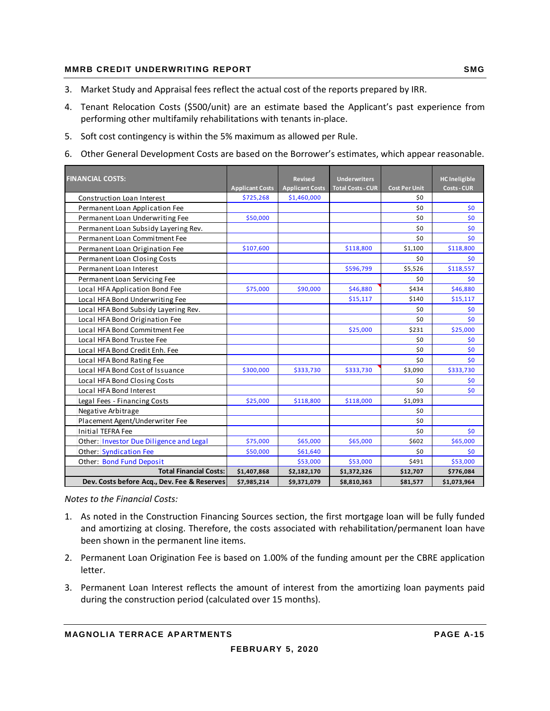#### **MMRB CREDIT UNDERWRITING REPORT SMG AND REALLY ASSESSED AT A SMG SMG**

- 3. Market Study and Appraisal fees reflect the actual cost of the reports prepared by IRR.
- 4. Tenant Relocation Costs (\$500/unit) are an estimate based the Applicant's past experience from performing other multifamily rehabilitations with tenants in‐place.
- 5. Soft cost contingency is within the 5% maximum as allowed per Rule.
- 6. Other General Development Costs are based on the Borrower's estimates, which appear reasonable.

| <b>FINANCIAL COSTS:</b>                     |                        | <b>Revised</b>         | <b>Underwriters</b>      |                      | <b>HC</b> Ineligible |
|---------------------------------------------|------------------------|------------------------|--------------------------|----------------------|----------------------|
|                                             | <b>Applicant Costs</b> | <b>Applicant Costs</b> | <b>Total Costs - CUR</b> | <b>Cost Per Unit</b> | <b>Costs - CUR</b>   |
| Construction Loan Interest                  | \$725,268              | \$1,460,000            |                          | \$0                  |                      |
| Permanent Loan Application Fee              |                        |                        |                          | \$0                  | \$0                  |
| Permanent Loan Underwriting Fee             | \$50,000               |                        |                          | \$0                  | \$0                  |
| Permanent Loan Subsidy Layering Rev.        |                        |                        |                          | \$0                  | \$0                  |
| Permanent Loan Commitment Fee               |                        |                        |                          | \$0                  | \$0                  |
| Permanent Loan Origination Fee              | \$107,600              |                        | \$118,800                | \$1,100              | \$118,800            |
| Permanent Loan Closing Costs                |                        |                        |                          | \$0                  | \$0                  |
| Permanent Loan Interest                     |                        |                        | \$596,799                | \$5,526              | \$118,557            |
| Permanent Loan Servicing Fee                |                        |                        |                          | \$0                  | \$0                  |
| Local HFA Application Bond Fee              | \$75,000               | \$90,000               | \$46,880                 | \$434                | \$46,880             |
| Local HFA Bond Underwriting Fee             |                        |                        | \$15,117                 | \$140                | \$15,117             |
| Local HFA Bond Subsidy Layering Rev.        |                        |                        |                          | \$0                  | \$0                  |
| Local HFA Bond Origination Fee              |                        |                        |                          | \$0                  | \$0                  |
| Local HFA Bond Commitment Fee               |                        |                        | \$25,000                 | \$231                | \$25,000             |
| Local HFA Bond Trustee Fee                  |                        |                        |                          | \$0                  | \$0                  |
| Local HFA Bond Credit Enh. Fee              |                        |                        |                          | \$0                  | \$0                  |
| Local HFA Bond Rating Fee                   |                        |                        |                          | \$0                  | \$0                  |
| Local HFA Bond Cost of Issuance             | \$300,000              | \$333,730              | \$333,730                | \$3,090              | \$333,730            |
| Local HFA Bond Closing Costs                |                        |                        |                          | \$0                  | \$0                  |
| Local HFA Bond Interest                     |                        |                        |                          | \$0                  | \$0                  |
| Legal Fees - Financing Costs                | \$25,000               | \$118,800              | \$118,000                | \$1,093              |                      |
| Negative Arbitrage                          |                        |                        |                          | \$0                  |                      |
| Placement Agent/Underwriter Fee             |                        |                        |                          | \$0                  |                      |
| <b>Initial TEFRA Fee</b>                    |                        |                        |                          | \$0                  | \$0                  |
| Other: Investor Due Diligence and Legal     | \$75,000               | \$65,000               | \$65,000                 | \$602                | \$65,000             |
| Other: Syndication Fee                      | \$50,000               | \$61,640               |                          | \$0                  | \$0                  |
| Other: Bond Fund Deposit                    |                        | \$53,000               | \$53,000                 | \$491                | \$53,000             |
| <b>Total Financial Costs:</b>               | \$1,407,868            | \$2,182,170            | \$1,372,326              | \$12,707             | \$776,084            |
| Dev. Costs before Acq., Dev. Fee & Reserves | \$7,985,214            | \$9,371,079            | \$8,810,363              | \$81,577             | \$1,073,964          |

*Notes to the Financial Costs:*

- 1. As noted in the Construction Financing Sources section, the first mortgage loan will be fully funded and amortizing at closing. Therefore, the costs associated with rehabilitation/permanent loan have been shown in the permanent line items.
- 2. Permanent Loan Origination Fee is based on 1.00% of the funding amount per the CBRE application letter.
- 3. Permanent Loan Interest reflects the amount of interest from the amortizing loan payments paid during the construction period (calculated over 15 months).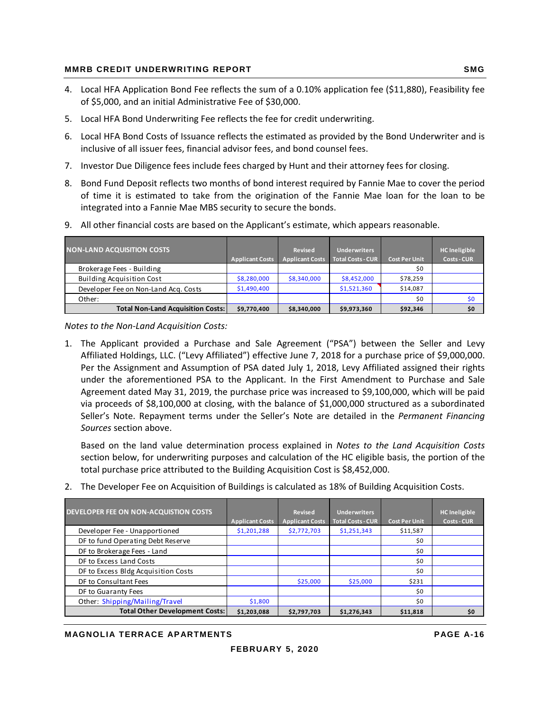#### **MMRB CREDIT UNDERWRITING REPORT SMG AND REALLY ASSESSED AT A SMG SMG**

- 4. Local HFA Application Bond Fee reflects the sum of a 0.10% application fee (\$11,880), Feasibility fee of \$5,000, and an initial Administrative Fee of \$30,000.
- 5. Local HFA Bond Underwriting Fee reflects the fee for credit underwriting.
- 6. Local HFA Bond Costs of Issuance reflects the estimated as provided by the Bond Underwriter and is inclusive of all issuer fees, financial advisor fees, and bond counsel fees.
- 7. Investor Due Diligence fees include fees charged by Hunt and their attorney fees for closing.
- 8. Bond Fund Deposit reflects two months of bond interest required by Fannie Mae to cover the period of time it is estimated to take from the origination of the Fannie Mae loan for the loan to be integrated into a Fannie Mae MBS security to secure the bonds.

| <b>NON-LAND ACQUISITION COSTS</b>        | <b>Applicant Costs</b> | <b>Revised</b><br><b>Applicant Costs</b> | <b>Underwriters</b><br><b>Total Costs - CUR</b> | <b>Cost Per Unit</b> | <b>HC</b> Ineligible<br><b>Costs - CUR</b> |
|------------------------------------------|------------------------|------------------------------------------|-------------------------------------------------|----------------------|--------------------------------------------|
| Brokerage Fees - Building                |                        |                                          |                                                 | \$0                  |                                            |
| <b>Building Acquisition Cost</b>         | \$8,280,000            | \$8,340,000                              | \$8,452,000                                     | \$78,259             |                                            |
| Developer Fee on Non-Land Acq. Costs     | \$1,490,400            |                                          | \$1,521,360                                     | \$14,087             |                                            |
| Other:                                   |                        |                                          |                                                 | \$0                  | \$0                                        |
| <b>Total Non-Land Acquisition Costs:</b> | \$9,770,400            | \$8,340,000                              | \$9,973,360                                     | \$92,346             | \$0                                        |

9. All other financial costs are based on the Applicant's estimate, which appears reasonable.

*Notes to the Non‐Land Acquisition Costs:*

1. The Applicant provided a Purchase and Sale Agreement ("PSA") between the Seller and Levy Affiliated Holdings, LLC. ("Levy Affiliated") effective June 7, 2018 for a purchase price of \$9,000,000. Per the Assignment and Assumption of PSA dated July 1, 2018, Levy Affiliated assigned their rights under the aforementioned PSA to the Applicant. In the First Amendment to Purchase and Sale Agreement dated May 31, 2019, the purchase price was increased to \$9,100,000, which will be paid via proceeds of \$8,100,000 at closing, with the balance of \$1,000,000 structured as a subordinated Seller's Note. Repayment terms under the Seller's Note are detailed in the *Permanent Financing Sources* section above.

Based on the land value determination process explained in *Notes to the Land Acquisition Costs* section below, for underwriting purposes and calculation of the HC eligible basis, the portion of the total purchase price attributed to the Building Acquisition Cost is \$8,452,000.

2. The Developer Fee on Acquisition of Buildings is calculated as 18% of Building Acquisition Costs.

| DEVELOPER FEE ON NON-ACQUISTION COSTS | <b>Applicant Costs</b> | Revised<br><b>Applicant Costs</b> | <b>Underwriters</b><br><b>Total Costs - CUR</b> | <b>Cost Per Unit.</b> | <b>HC</b> Ineligible<br><b>Costs - CUR</b> |
|---------------------------------------|------------------------|-----------------------------------|-------------------------------------------------|-----------------------|--------------------------------------------|
| Developer Fee - Unapportioned         | \$1,201,288            | \$2,772,703                       | \$1,251,343                                     | \$11,587              |                                            |
| DF to fund Operating Debt Reserve     |                        |                                   |                                                 | \$0                   |                                            |
| DF to Brokerage Fees - Land           |                        |                                   |                                                 | \$0                   |                                            |
| DF to Excess Land Costs               |                        |                                   |                                                 | \$0                   |                                            |
| DF to Excess Bldg Acquisition Costs   |                        |                                   |                                                 | \$0                   |                                            |
| DF to Consultant Fees                 |                        | \$25,000                          | \$25,000                                        | \$231                 |                                            |
| DF to Guaranty Fees                   |                        |                                   |                                                 | \$0                   |                                            |
| Other: Shipping/Mailing/Travel        | \$1,800                |                                   |                                                 | \$0                   |                                            |
| <b>Total Other Development Costs:</b> | \$1,203,088            | \$2,797,703                       | \$1,276,343                                     | \$11,818              | \$0                                        |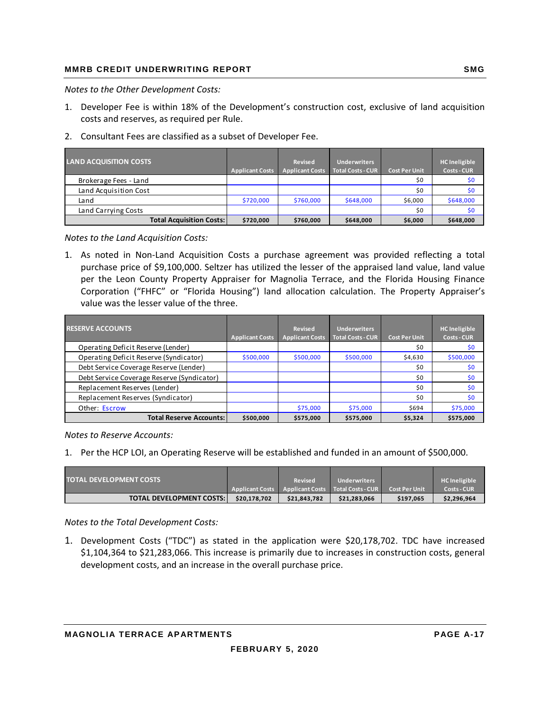*Notes to the Other Development Costs:*

- 1. Developer Fee is within 18% of the Development's construction cost, exclusive of land acquisition costs and reserves, as required per Rule.
- 2. Consultant Fees are classified as a subset of Developer Fee.

| <b>LAND ACQUISITION COSTS</b>   | <b>Applicant Costs</b> | <b>Revised</b><br><b>Applicant Costs</b> | <b>Underwriters</b><br><b>Total Costs - CUR</b> | <b>Cost Per Unit</b> | <b>HC</b> Ineligible<br><b>Costs - CUR</b> |
|---------------------------------|------------------------|------------------------------------------|-------------------------------------------------|----------------------|--------------------------------------------|
| Brokerage Fees - Land           |                        |                                          |                                                 | \$0                  | \$0                                        |
| Land Acquisition Cost           |                        |                                          |                                                 | \$0                  | \$0                                        |
| Land                            | \$720,000              | \$760,000                                | \$648,000                                       | \$6,000              | \$648,000                                  |
| Land Carrying Costs             |                        |                                          |                                                 | \$0                  | \$0                                        |
| <b>Total Acquisition Costs:</b> | \$720,000              | \$760,000                                | \$648,000                                       | \$6,000              | \$648,000                                  |

*Notes to the Land Acquisition Costs:*

1. As noted in Non‐Land Acquisition Costs a purchase agreement was provided reflecting a total purchase price of \$9,100,000. Seltzer has utilized the lesser of the appraised land value, land value per the Leon County Property Appraiser for Magnolia Terrace, and the Florida Housing Finance Corporation ("FHFC" or "Florida Housing") land allocation calculation. The Property Appraiser's value was the lesser value of the three.

| <b>RESERVE ACCOUNTS</b>                    | <b>Applicant Costs</b> | <b>Revised</b><br><b>Applicant Costs</b> | <b>Underwriters</b><br><b>Total Costs - CUR</b> | <b>Cost Per Unit</b> | <b>HC</b> Ineligible<br><b>Costs - CUR</b> |
|--------------------------------------------|------------------------|------------------------------------------|-------------------------------------------------|----------------------|--------------------------------------------|
| Operating Deficit Reserve (Lender)         |                        |                                          |                                                 | \$0                  | \$0                                        |
| Operating Deficit Reserve (Syndicator)     | \$500,000              | \$500,000                                | \$500,000                                       | \$4,630              | \$500,000                                  |
| Debt Service Coverage Reserve (Lender)     |                        |                                          |                                                 | \$0                  | \$0                                        |
| Debt Service Coverage Reserve (Syndicator) |                        |                                          |                                                 | \$0                  | \$0                                        |
| Replacement Reserves (Lender)              |                        |                                          |                                                 | \$0                  | \$0                                        |
| Replacement Reserves (Syndicator)          |                        |                                          |                                                 | \$0                  | \$0                                        |
| Other: Escrow                              |                        | \$75,000                                 | \$75,000                                        | \$694                | \$75,000                                   |
| <b>Total Reserve Accounts:</b>             | \$500,000              | \$575,000                                | \$575,000                                       | \$5,324              | \$575,000                                  |

*Notes to Reserve Accounts:*

1. Per the HCP LOI, an Operating Reserve will be established and funded in an amount of \$500,000.

| <b>TOTAL DEVELOPMENT COSTS</b>  |              | <b>Revised</b> | <b>Underwriters</b>                                       |                      | <b>HC</b> Ineligible |
|---------------------------------|--------------|----------------|-----------------------------------------------------------|----------------------|----------------------|
|                                 |              |                | Applicant Costs   Applicant Costs   Total Costs - CUR   \ | <b>Cost Per Unit</b> | <b>Costs - CUR</b>   |
| <b>TOTAL DEVELOPMENT COSTS:</b> | \$20.178.702 | \$21.843.782   | \$21,283,066                                              | \$197.065            | \$2,296,964          |

*Notes to the Total Development Costs:*

1. Development Costs ("TDC") as stated in the application were \$20,178,702. TDC have increased \$1,104,364 to \$21,283,066. This increase is primarily due to increases in construction costs, general development costs, and an increase in the overall purchase price.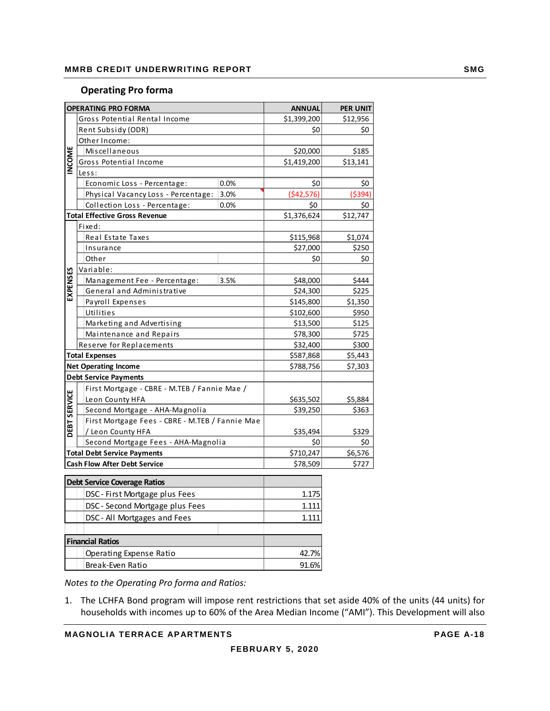#### **Operating Pro forma**

|              | <b>OPERATING PRO FORMA</b>                      |          | <b>ANNUAL</b> | <b>PER UNIT</b> |
|--------------|-------------------------------------------------|----------|---------------|-----------------|
|              | Gross Potential Rental Income                   |          | \$1,399,200   | \$12,956        |
|              | Rent Subsidy (ODR)                              |          | \$0           | \$0             |
|              | Other Income:                                   |          |               |                 |
| INCOME       | Miscellaneous                                   |          | \$20,000      | \$185           |
|              | Gross Potential Income                          |          | \$1,419,200   | \$13,141        |
|              | Less:                                           |          |               |                 |
|              | Economic Loss - Percentage:                     | 0.0%     | \$0           | \$0             |
|              | Physical Vacancy Loss - Percentage:             | 3.0%     | ( \$42,576]   | ( \$394)        |
|              | Collection Loss - Percentage:                   | 0.0%     | \$0           | \$0             |
|              | <b>Total Effective Gross Revenue</b>            |          | \$1,376,624   | \$12,747        |
|              | Fixed:                                          |          |               |                 |
|              | Real Estate Taxes                               |          | \$115,968     | \$1,074         |
|              | Insurance                                       |          | \$27,000      | \$250           |
|              | Other                                           |          | \$0           | \$0             |
|              | Variable:                                       |          |               |                 |
| EXPENSES     | Management Fee - Percentage:                    | 3.5%     | \$48,000      | \$444           |
|              | General and Administrative                      |          | \$24,300      | \$225           |
|              | Payroll Expenses                                |          | \$145,800     | \$1,350         |
|              | Utilities                                       |          | \$102,600     | \$950           |
|              | Marketing and Advertising                       |          | \$13,500      | \$125           |
|              | Maintenance and Repairs                         | \$78,300 | \$725         |                 |
|              | Reserve for Replacements                        | \$32,400 | \$300         |                 |
|              | <b>Total Expenses</b>                           |          | \$587,868     | \$5,443         |
|              | <b>Net Operating Income</b>                     |          | \$788,756     | \$7,303         |
|              | <b>Debt Service Payments</b>                    |          |               |                 |
|              | First Mortgage - CBRE - M.TEB / Fannie Mae /    |          |               |                 |
|              | Leon County HFA                                 |          | \$635,502     | \$5,884         |
| DEBT SERVICE | Second Mortgage - AHA-Magnolia                  |          | \$39,250      | \$363           |
|              | First Mortgage Fees - CBRE - M.TEB / Fannie Mae |          |               |                 |
|              | / Leon County HFA                               |          | \$35,494      | \$329           |
|              | Second Mortgage Fees - AHA-Magnolia             |          | \$0           | \$0             |
|              | <b>Total Debt Service Payments</b>              |          | \$710,247     | \$6,576         |
|              | <b>Cash Flow After Debt Service</b>             |          | \$78,509      | \$727           |
|              | <b>Debt Service Coverage Ratios</b>             |          |               |                 |
|              | DSC - First Mortgage plus Fees                  |          | 1.175         |                 |
|              |                                                 |          |               |                 |
|              | DSC - Second Mortgage plus Fees                 | 1.111    |               |                 |
|              | DSC - All Mortgages and Fees                    |          | 1.111         |                 |
|              |                                                 |          |               |                 |
|              | <b>Financial Ratios</b>                         |          |               |                 |
|              | Operating Expense Ratio                         |          | 42.7%         |                 |
|              | Break-Even Ratio                                |          | 91.6%         |                 |

*Notes to the Operating Pro forma and Ratios:*

1. The LCHFA Bond program will impose rent restrictions that set aside 40% of the units (44 units) for households with incomes up to 60% of the Area Median Income ("AMI"). This Development will also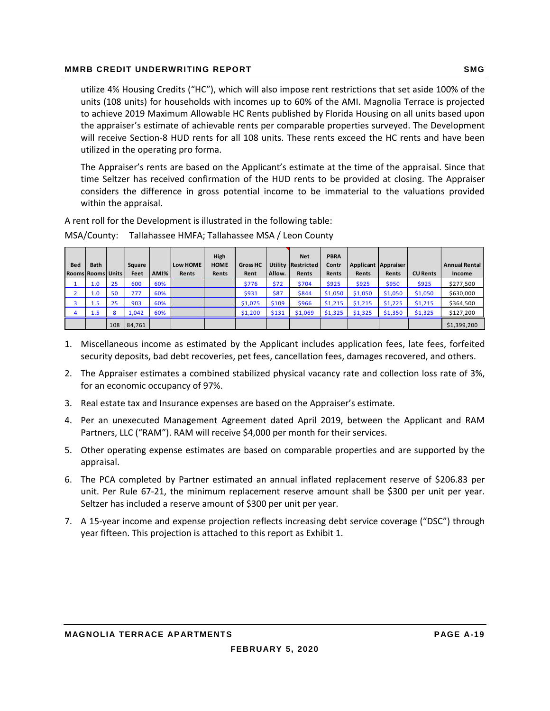#### **MMRB CREDIT UNDERWRITING REPORT SMG AND REALLY ASSESSED AT A SMG SMG**

utilize 4% Housing Credits ("HC"), which will also impose rent restrictions that set aside 100% of the units (108 units) for households with incomes up to 60% of the AMI. Magnolia Terrace is projected to achieve 2019 Maximum Allowable HC Rents published by Florida Housing on all units based upon the appraiser's estimate of achievable rents per comparable properties surveyed. The Development will receive Section‐8 HUD rents for all 108 units. These rents exceed the HC rents and have been utilized in the operating pro forma.

The Appraiser's rents are based on the Applicant's estimate at the time of the appraisal. Since that time Seltzer has received confirmation of the HUD rents to be provided at closing. The Appraiser considers the difference in gross potential income to be immaterial to the valuations provided within the appraisal.

A rent roll for the Development is illustrated in the following table:

|            |                          |     |        |      |          | High        |                 |        | <b>Net</b>         | <b>PBRA</b> |         |                     |                 |                      |
|------------|--------------------------|-----|--------|------|----------|-------------|-----------------|--------|--------------------|-------------|---------|---------------------|-----------------|----------------------|
| <b>Bed</b> | Bath                     |     | Square |      | Low HOME | <b>HOME</b> | <b>Gross HC</b> |        | Utility Restricted | Contr       |         | Applicant Appraiser |                 | <b>Annual Rental</b> |
|            | <b>Rooms Rooms Units</b> |     | Feet   | AMI% | Rents    | Rents       | Rent            | Allow. | Rents              | Rents       | Rents   | Rents               | <b>CU Rents</b> | Income               |
|            | 1.0                      | 25  | 600    | 60%  |          |             | \$776           | \$72   | \$704              | \$925       | \$925   | \$950               | \$925           | \$277,500            |
|            | 1.0                      | 50  | 777    | 60%  |          |             | \$931           | \$87   | \$844              | \$1,050     | \$1,050 | \$1,050             | \$1,050         | \$630,000            |
|            | 1.5                      | 25  | 903    | 60%  |          |             | \$1,075         | \$109  | \$966              | \$1,215     | \$1,215 | \$1,225             | \$1,215         | \$364,500            |
|            | 1.5                      | 8   | 1.042  | 60%  |          |             | \$1,200         | \$131  | \$1,069            | \$1,325     | \$1,325 | \$1,350             | \$1,325         | \$127,200            |
|            |                          | 108 | 84,761 |      |          |             |                 |        |                    |             |         |                     |                 | \$1,399,200          |

MSA/County: Tallahassee HMFA; Tallahassee MSA / Leon County

- 1. Miscellaneous income as estimated by the Applicant includes application fees, late fees, forfeited security deposits, bad debt recoveries, pet fees, cancellation fees, damages recovered, and others.
- 2. The Appraiser estimates a combined stabilized physical vacancy rate and collection loss rate of 3%, for an economic occupancy of 97%.
- 3. Real estate tax and Insurance expenses are based on the Appraiser's estimate.
- 4. Per an unexecuted Management Agreement dated April 2019, between the Applicant and RAM Partners, LLC ("RAM"). RAM will receive \$4,000 per month for their services.
- 5. Other operating expense estimates are based on comparable properties and are supported by the appraisal.
- 6. The PCA completed by Partner estimated an annual inflated replacement reserve of \$206.83 per unit. Per Rule 67‐21, the minimum replacement reserve amount shall be \$300 per unit per year. Seltzer has included a reserve amount of \$300 per unit per year.
- 7. A 15‐year income and expense projection reflects increasing debt service coverage ("DSC") through year fifteen. This projection is attached to this report as Exhibit 1.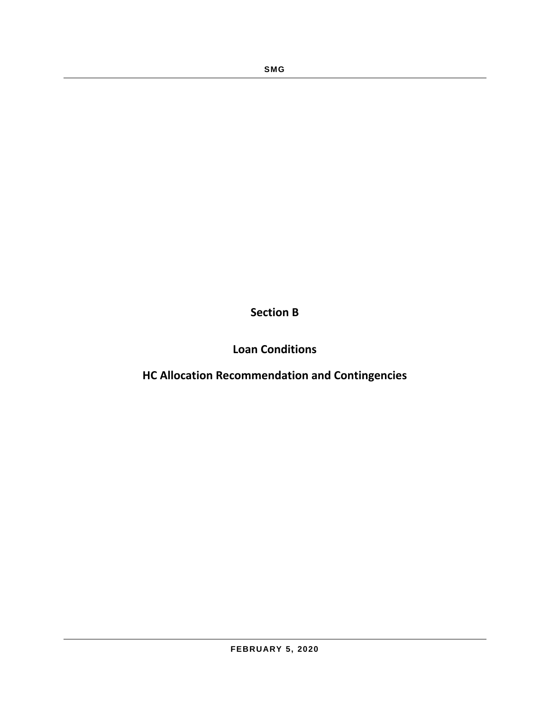**Section B**

**Loan Conditions**

**HC Allocation Recommendation and Contingencies**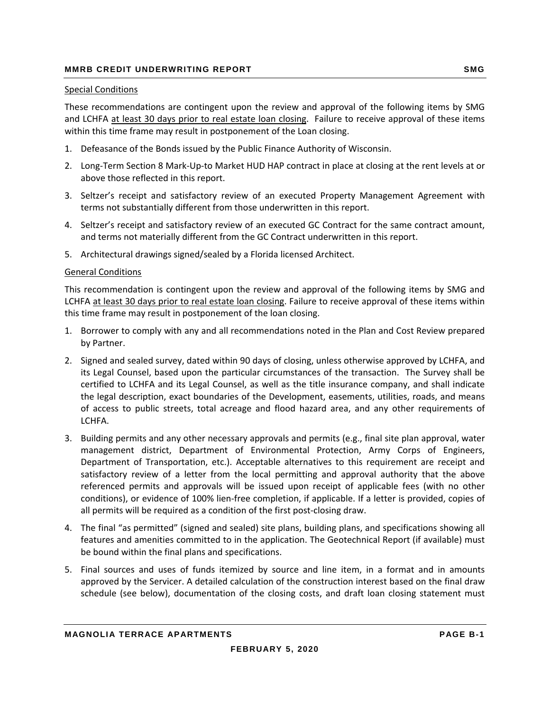#### Special Conditions

These recommendations are contingent upon the review and approval of the following items by SMG and LCHFA at least 30 days prior to real estate loan closing. Failure to receive approval of these items within this time frame may result in postponement of the Loan closing.

- 1. Defeasance of the Bonds issued by the Public Finance Authority of Wisconsin.
- 2. Long‐Term Section 8 Mark‐Up‐to Market HUD HAP contract in place at closing at the rent levels at or above those reflected in this report.
- 3. Seltzer's receipt and satisfactory review of an executed Property Management Agreement with terms not substantially different from those underwritten in this report.
- 4. Seltzer's receipt and satisfactory review of an executed GC Contract for the same contract amount, and terms not materially different from the GC Contract underwritten in this report.
- 5. Architectural drawings signed/sealed by a Florida licensed Architect.

#### General Conditions

This recommendation is contingent upon the review and approval of the following items by SMG and LCHFA at least 30 days prior to real estate loan closing. Failure to receive approval of these items within this time frame may result in postponement of the loan closing.

- 1. Borrower to comply with any and all recommendations noted in the Plan and Cost Review prepared by Partner.
- 2. Signed and sealed survey, dated within 90 days of closing, unless otherwise approved by LCHFA, and its Legal Counsel, based upon the particular circumstances of the transaction. The Survey shall be certified to LCHFA and its Legal Counsel, as well as the title insurance company, and shall indicate the legal description, exact boundaries of the Development, easements, utilities, roads, and means of access to public streets, total acreage and flood hazard area, and any other requirements of LCHFA.
- 3. Building permits and any other necessary approvals and permits (e.g., final site plan approval, water management district, Department of Environmental Protection, Army Corps of Engineers, Department of Transportation, etc.). Acceptable alternatives to this requirement are receipt and satisfactory review of a letter from the local permitting and approval authority that the above referenced permits and approvals will be issued upon receipt of applicable fees (with no other conditions), or evidence of 100% lien-free completion, if applicable. If a letter is provided, copies of all permits will be required as a condition of the first post-closing draw.
- 4. The final "as permitted" (signed and sealed) site plans, building plans, and specifications showing all features and amenities committed to in the application. The Geotechnical Report (if available) must be bound within the final plans and specifications.
- 5. Final sources and uses of funds itemized by source and line item, in a format and in amounts approved by the Servicer. A detailed calculation of the construction interest based on the final draw schedule (see below), documentation of the closing costs, and draft loan closing statement must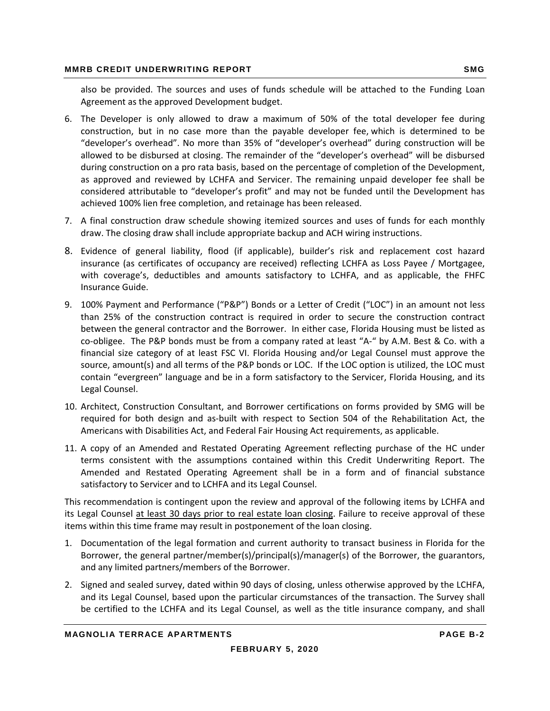also be provided. The sources and uses of funds schedule will be attached to the Funding Loan Agreement as the approved Development budget.

- 6. The Developer is only allowed to draw a maximum of 50% of the total developer fee during construction, but in no case more than the payable developer fee, which is determined to be "developer's overhead". No more than 35% of "developer's overhead" during construction will be allowed to be disbursed at closing. The remainder of the "developer's overhead" will be disbursed during construction on a pro rata basis, based on the percentage of completion of the Development, as approved and reviewed by LCHFA and Servicer. The remaining unpaid developer fee shall be considered attributable to "developer's profit" and may not be funded until the Development has achieved 100% lien free completion, and retainage has been released.
- 7. A final construction draw schedule showing itemized sources and uses of funds for each monthly draw. The closing draw shall include appropriate backup and ACH wiring instructions.
- 8. Evidence of general liability, flood (if applicable), builder's risk and replacement cost hazard insurance (as certificates of occupancy are received) reflecting LCHFA as Loss Payee / Mortgagee, with coverage's, deductibles and amounts satisfactory to LCHFA, and as applicable, the FHFC Insurance Guide.
- 9. 100% Payment and Performance ("P&P") Bonds or a Letter of Credit ("LOC") in an amount not less than 25% of the construction contract is required in order to secure the construction contract between the general contractor and the Borrower. In either case, Florida Housing must be listed as co-obligee. The P&P bonds must be from a company rated at least "A-" by A.M. Best & Co. with a financial size category of at least FSC VI. Florida Housing and/or Legal Counsel must approve the source, amount(s) and all terms of the P&P bonds or LOC. If the LOC option is utilized, the LOC must contain "evergreen" language and be in a form satisfactory to the Servicer, Florida Housing, and its Legal Counsel.
- 10. Architect, Construction Consultant, and Borrower certifications on forms provided by SMG will be required for both design and as‐built with respect to Section 504 of the Rehabilitation Act, the Americans with Disabilities Act, and Federal Fair Housing Act requirements, as applicable.
- 11. A copy of an Amended and Restated Operating Agreement reflecting purchase of the HC under terms consistent with the assumptions contained within this Credit Underwriting Report. The Amended and Restated Operating Agreement shall be in a form and of financial substance satisfactory to Servicer and to LCHFA and its Legal Counsel.

This recommendation is contingent upon the review and approval of the following items by LCHFA and its Legal Counsel at least 30 days prior to real estate loan closing. Failure to receive approval of these items within this time frame may result in postponement of the loan closing.

- 1. Documentation of the legal formation and current authority to transact business in Florida for the Borrower, the general partner/member(s)/principal(s)/manager(s) of the Borrower, the guarantors, and any limited partners/members of the Borrower.
- 2. Signed and sealed survey, dated within 90 days of closing, unless otherwise approved by the LCHFA, and its Legal Counsel, based upon the particular circumstances of the transaction. The Survey shall be certified to the LCHFA and its Legal Counsel, as well as the title insurance company, and shall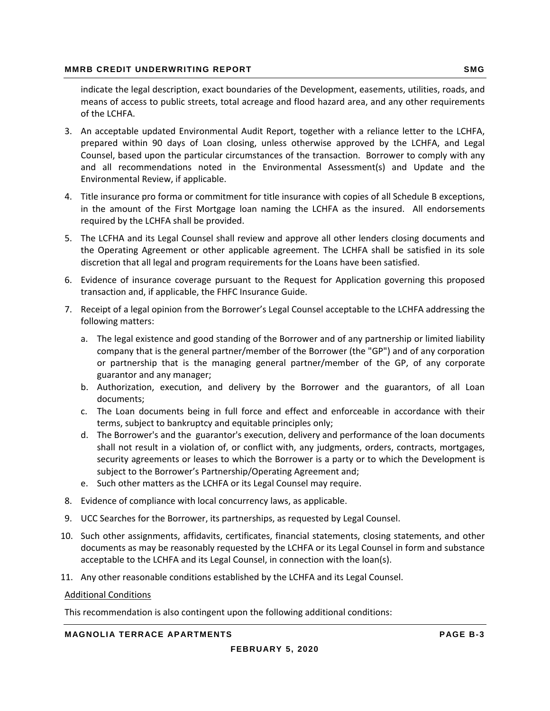indicate the legal description, exact boundaries of the Development, easements, utilities, roads, and means of access to public streets, total acreage and flood hazard area, and any other requirements of the LCHFA.

- 3. An acceptable updated Environmental Audit Report, together with a reliance letter to the LCHFA, prepared within 90 days of Loan closing, unless otherwise approved by the LCHFA, and Legal Counsel, based upon the particular circumstances of the transaction. Borrower to comply with any and all recommendations noted in the Environmental Assessment(s) and Update and the Environmental Review, if applicable.
- 4. Title insurance pro forma or commitment for title insurance with copies of all Schedule B exceptions, in the amount of the First Mortgage loan naming the LCHFA as the insured. All endorsements required by the LCHFA shall be provided.
- 5. The LCFHA and its Legal Counsel shall review and approve all other lenders closing documents and the Operating Agreement or other applicable agreement. The LCHFA shall be satisfied in its sole discretion that all legal and program requirements for the Loans have been satisfied.
- 6. Evidence of insurance coverage pursuant to the Request for Application governing this proposed transaction and, if applicable, the FHFC Insurance Guide.
- 7. Receipt of a legal opinion from the Borrower's Legal Counsel acceptable to the LCHFA addressing the following matters:
	- a. The legal existence and good standing of the Borrower and of any partnership or limited liability company that is the general partner/member of the Borrower (the "GP") and of any corporation or partnership that is the managing general partner/member of the GP, of any corporate guarantor and any manager;
	- b. Authorization, execution, and delivery by the Borrower and the guarantors, of all Loan documents;
	- c. The Loan documents being in full force and effect and enforceable in accordance with their terms, subject to bankruptcy and equitable principles only;
	- d. The Borrower's and the guarantor's execution, delivery and performance of the loan documents shall not result in a violation of, or conflict with, any judgments, orders, contracts, mortgages, security agreements or leases to which the Borrower is a party or to which the Development is subject to the Borrower's Partnership/Operating Agreement and;
	- e. Such other matters as the LCHFA or its Legal Counsel may require.
- 8. Evidence of compliance with local concurrency laws, as applicable.
- 9. UCC Searches for the Borrower, its partnerships, as requested by Legal Counsel.
- 10. Such other assignments, affidavits, certificates, financial statements, closing statements, and other documents as may be reasonably requested by the LCHFA or its Legal Counsel in form and substance acceptable to the LCHFA and its Legal Counsel, in connection with the loan(s).
- 11. Any other reasonable conditions established by the LCHFA and its Legal Counsel.

#### Additional Conditions

This recommendation is also contingent upon the following additional conditions:

**MAGNOLIA TERRACE APARTMENTS PAGE B-3**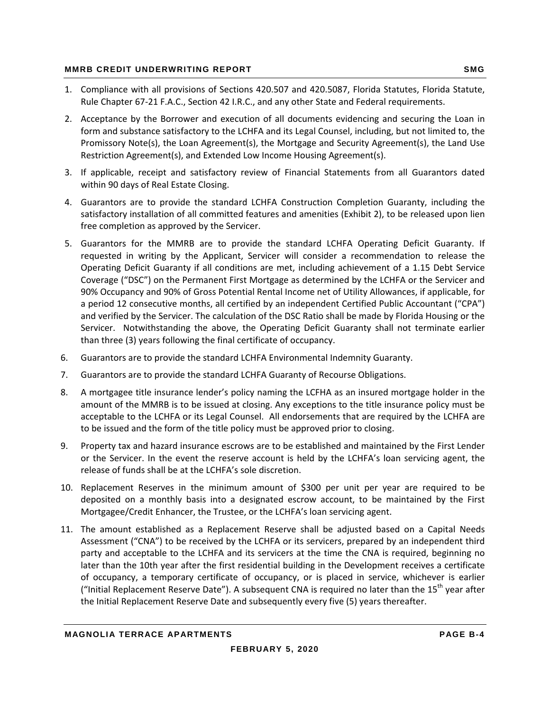- 1. Compliance with all provisions of Sections 420.507 and 420.5087, Florida Statutes, Florida Statute, Rule Chapter 67‐21 F.A.C., Section 42 I.R.C., and any other State and Federal requirements.
- 2. Acceptance by the Borrower and execution of all documents evidencing and securing the Loan in form and substance satisfactory to the LCHFA and its Legal Counsel, including, but not limited to, the Promissory Note(s), the Loan Agreement(s), the Mortgage and Security Agreement(s), the Land Use Restriction Agreement(s), and Extended Low Income Housing Agreement(s).
- 3. If applicable, receipt and satisfactory review of Financial Statements from all Guarantors dated within 90 days of Real Estate Closing.
- 4. Guarantors are to provide the standard LCHFA Construction Completion Guaranty, including the satisfactory installation of all committed features and amenities (Exhibit 2), to be released upon lien free completion as approved by the Servicer.
- 5. Guarantors for the MMRB are to provide the standard LCHFA Operating Deficit Guaranty. If requested in writing by the Applicant, Servicer will consider a recommendation to release the Operating Deficit Guaranty if all conditions are met, including achievement of a 1.15 Debt Service Coverage ("DSC") on the Permanent First Mortgage as determined by the LCHFA or the Servicer and 90% Occupancy and 90% of Gross Potential Rental Income net of Utility Allowances, if applicable, for a period 12 consecutive months, all certified by an independent Certified Public Accountant ("CPA") and verified by the Servicer. The calculation of the DSC Ratio shall be made by Florida Housing or the Servicer. Notwithstanding the above, the Operating Deficit Guaranty shall not terminate earlier than three (3) years following the final certificate of occupancy.
- 6. Guarantors are to provide the standard LCHFA Environmental Indemnity Guaranty.
- 7. Guarantors are to provide the standard LCHFA Guaranty of Recourse Obligations.
- 8. A mortgagee title insurance lender's policy naming the LCFHA as an insured mortgage holder in the amount of the MMRB is to be issued at closing. Any exceptions to the title insurance policy must be acceptable to the LCHFA or its Legal Counsel. All endorsements that are required by the LCHFA are to be issued and the form of the title policy must be approved prior to closing.
- 9. Property tax and hazard insurance escrows are to be established and maintained by the First Lender or the Servicer. In the event the reserve account is held by the LCHFA's loan servicing agent, the release of funds shall be at the LCHFA's sole discretion.
- 10. Replacement Reserves in the minimum amount of \$300 per unit per year are required to be deposited on a monthly basis into a designated escrow account, to be maintained by the First Mortgagee/Credit Enhancer, the Trustee, or the LCHFA's loan servicing agent.
- 11. The amount established as a Replacement Reserve shall be adjusted based on a Capital Needs Assessment ("CNA") to be received by the LCHFA or its servicers, prepared by an independent third party and acceptable to the LCHFA and its servicers at the time the CNA is required, beginning no later than the 10th year after the first residential building in the Development receives a certificate of occupancy, a temporary certificate of occupancy, or is placed in service, whichever is earlier ("Initial Replacement Reserve Date"). A subsequent CNA is required no later than the  $15<sup>th</sup>$  year after the Initial Replacement Reserve Date and subsequently every five (5) years thereafter.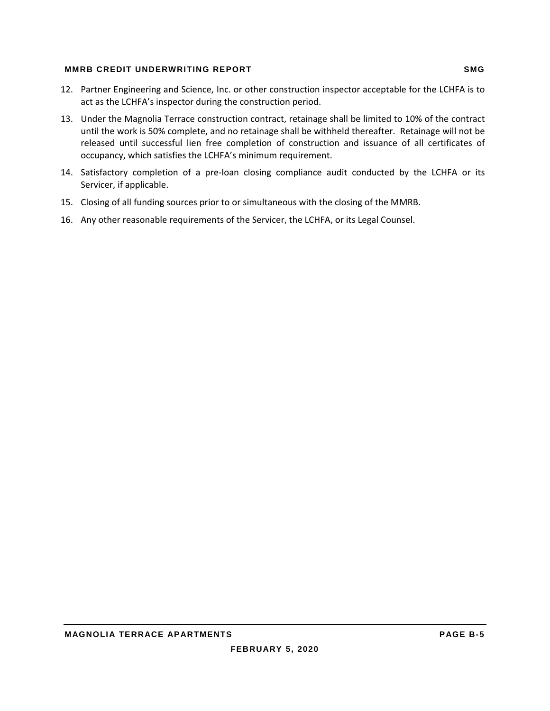- 12. Partner Engineering and Science, Inc. or other construction inspector acceptable for the LCHFA is to act as the LCHFA's inspector during the construction period.
- 13. Under the Magnolia Terrace construction contract, retainage shall be limited to 10% of the contract until the work is 50% complete, and no retainage shall be withheld thereafter. Retainage will not be released until successful lien free completion of construction and issuance of all certificates of occupancy, which satisfies the LCHFA's minimum requirement.
- 14. Satisfactory completion of a pre-loan closing compliance audit conducted by the LCHFA or its Servicer, if applicable.
- 15. Closing of all funding sources prior to or simultaneous with the closing of the MMRB.
- 16. Any other reasonable requirements of the Servicer, the LCHFA, or its Legal Counsel.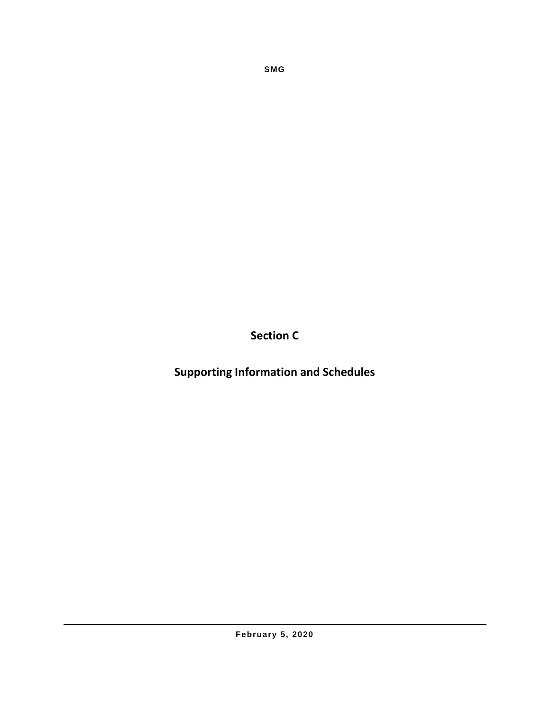**Section C**

**Supporting Information and Schedules**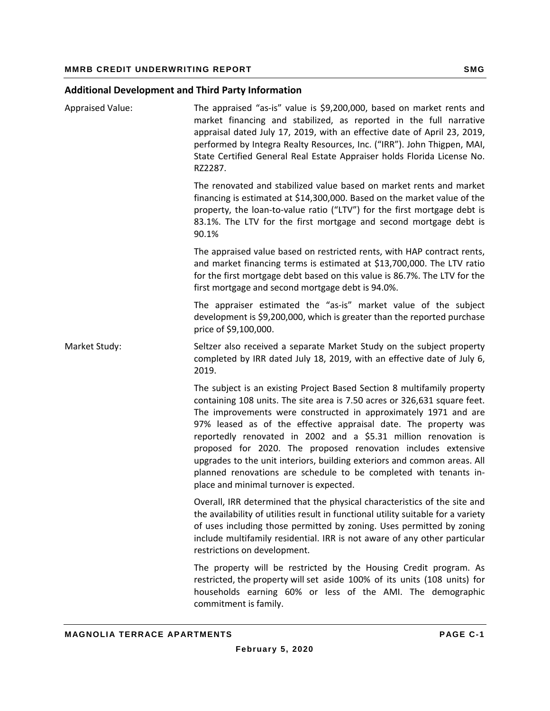## **Additional Development and Third Party Information**

| <b>Appraised Value:</b> | The appraised "as-is" value is \$9,200,000, based on market rents and<br>market financing and stabilized, as reported in the full narrative<br>appraisal dated July 17, 2019, with an effective date of April 23, 2019,<br>performed by Integra Realty Resources, Inc. ("IRR"). John Thigpen, MAI,<br>State Certified General Real Estate Appraiser holds Florida License No.<br>RZ2287.                                                                                                                                                                                                                                   |
|-------------------------|----------------------------------------------------------------------------------------------------------------------------------------------------------------------------------------------------------------------------------------------------------------------------------------------------------------------------------------------------------------------------------------------------------------------------------------------------------------------------------------------------------------------------------------------------------------------------------------------------------------------------|
|                         | The renovated and stabilized value based on market rents and market<br>financing is estimated at \$14,300,000. Based on the market value of the<br>property, the loan-to-value ratio ("LTV") for the first mortgage debt is<br>83.1%. The LTV for the first mortgage and second mortgage debt is<br>90.1%                                                                                                                                                                                                                                                                                                                  |
|                         | The appraised value based on restricted rents, with HAP contract rents,<br>and market financing terms is estimated at \$13,700,000. The LTV ratio<br>for the first mortgage debt based on this value is 86.7%. The LTV for the<br>first mortgage and second mortgage debt is 94.0%.                                                                                                                                                                                                                                                                                                                                        |
|                         | The appraiser estimated the "as-is" market value of the subject<br>development is \$9,200,000, which is greater than the reported purchase<br>price of \$9,100,000.                                                                                                                                                                                                                                                                                                                                                                                                                                                        |
| Market Study:           | Seltzer also received a separate Market Study on the subject property<br>completed by IRR dated July 18, 2019, with an effective date of July 6,<br>2019.                                                                                                                                                                                                                                                                                                                                                                                                                                                                  |
|                         | The subject is an existing Project Based Section 8 multifamily property<br>containing 108 units. The site area is 7.50 acres or 326,631 square feet.<br>The improvements were constructed in approximately 1971 and are<br>97% leased as of the effective appraisal date. The property was<br>reportedly renovated in 2002 and a \$5.31 million renovation is<br>proposed for 2020. The proposed renovation includes extensive<br>upgrades to the unit interiors, building exteriors and common areas. All<br>planned renovations are schedule to be completed with tenants in-<br>place and minimal turnover is expected. |
|                         | Overall, IRR determined that the physical characteristics of the site and<br>the availability of utilities result in functional utility suitable for a variety<br>of uses including those permitted by zoning. Uses permitted by zoning<br>include multifamily residential. IRR is not aware of any other particular<br>restrictions on development.                                                                                                                                                                                                                                                                       |
|                         | The property will be restricted by the Housing Credit program. As<br>restricted, the property will set aside 100% of its units (108 units) for<br>households earning 60% or less of the AMI. The demographic<br>commitment is family.                                                                                                                                                                                                                                                                                                                                                                                      |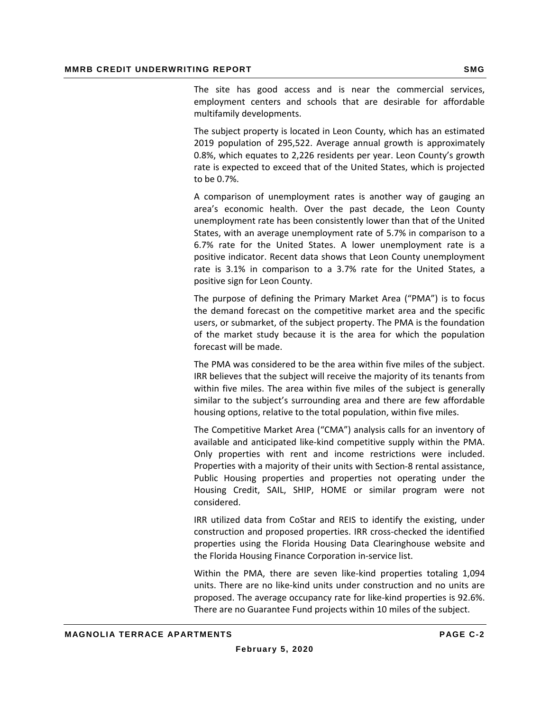The site has good access and is near the commercial services, employment centers and schools that are desirable for affordable multifamily developments.

The subject property is located in Leon County, which has an estimated 2019 population of 295,522. Average annual growth is approximately 0.8%, which equates to 2,226 residents per year. Leon County's growth rate is expected to exceed that of the United States, which is projected to be 0.7%.

A comparison of unemployment rates is another way of gauging an area's economic health. Over the past decade, the Leon County unemployment rate has been consistently lower than that of the United States, with an average unemployment rate of 5.7% in comparison to a 6.7% rate for the United States. A lower unemployment rate is a positive indicator. Recent data shows that Leon County unemployment rate is 3.1% in comparison to a 3.7% rate for the United States, a positive sign for Leon County.

 The purpose of defining the Primary Market Area ("PMA") is to focus the demand forecast on the competitive market area and the specific users, or submarket, of the subject property. The PMA is the foundation of the market study because it is the area for which the population forecast will be made.

The PMA was considered to be the area within five miles of the subject. IRR believes that the subject will receive the majority of its tenants from within five miles. The area within five miles of the subject is generally similar to the subject's surrounding area and there are few affordable housing options, relative to the total population, within five miles.

The Competitive Market Area ("CMA") analysis calls for an inventory of available and anticipated like‐kind competitive supply within the PMA. Only properties with rent and income restrictions were included. Properties with a majority of their units with Section‐8 rental assistance, Public Housing properties and properties not operating under the Housing Credit, SAIL, SHIP, HOME or similar program were not considered.

IRR utilized data from CoStar and REIS to identify the existing, under construction and proposed properties. IRR cross‐checked the identified properties using the Florida Housing Data Clearinghouse website and the Florida Housing Finance Corporation in‐service list.

Within the PMA, there are seven like‐kind properties totaling 1,094 units. There are no like‐kind units under construction and no units are proposed. The average occupancy rate for like‐kind properties is 92.6%. There are no Guarantee Fund projects within 10 miles of the subject.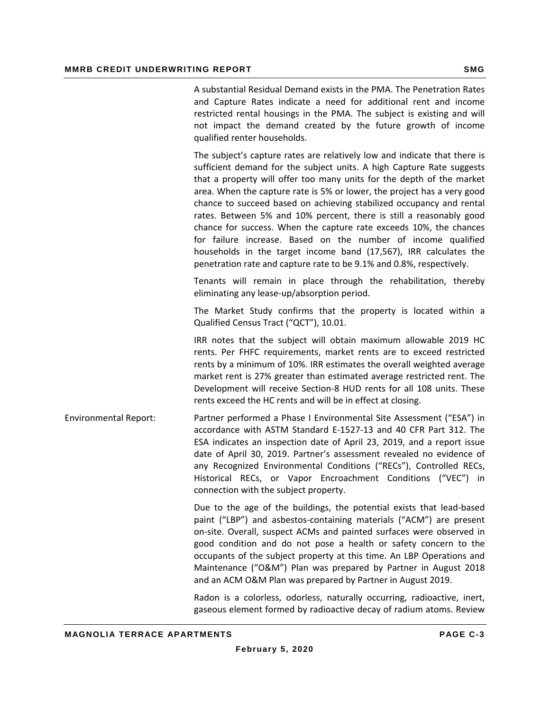|                              | A substantial Residual Demand exists in the PMA. The Penetration Rates<br>and Capture Rates indicate a need for additional rent and income<br>restricted rental housings in the PMA. The subject is existing and will<br>not impact the demand created by the future growth of income<br>qualified renter households.                                                                                                                                                                                                                                                                                                                                                                                                                     |
|------------------------------|-------------------------------------------------------------------------------------------------------------------------------------------------------------------------------------------------------------------------------------------------------------------------------------------------------------------------------------------------------------------------------------------------------------------------------------------------------------------------------------------------------------------------------------------------------------------------------------------------------------------------------------------------------------------------------------------------------------------------------------------|
|                              | The subject's capture rates are relatively low and indicate that there is<br>sufficient demand for the subject units. A high Capture Rate suggests<br>that a property will offer too many units for the depth of the market<br>area. When the capture rate is 5% or lower, the project has a very good<br>chance to succeed based on achieving stabilized occupancy and rental<br>rates. Between 5% and 10% percent, there is still a reasonably good<br>chance for success. When the capture rate exceeds 10%, the chances<br>for failure increase. Based on the number of income qualified<br>households in the target income band (17,567), IRR calculates the<br>penetration rate and capture rate to be 9.1% and 0.8%, respectively. |
|                              | Tenants will remain in place through the rehabilitation, thereby<br>eliminating any lease-up/absorption period.                                                                                                                                                                                                                                                                                                                                                                                                                                                                                                                                                                                                                           |
|                              | The Market Study confirms that the property is located within a<br>Qualified Census Tract ("QCT"), 10.01.                                                                                                                                                                                                                                                                                                                                                                                                                                                                                                                                                                                                                                 |
|                              | IRR notes that the subject will obtain maximum allowable 2019 HC<br>rents. Per FHFC requirements, market rents are to exceed restricted<br>rents by a minimum of 10%. IRR estimates the overall weighted average<br>market rent is 27% greater than estimated average restricted rent. The<br>Development will receive Section-8 HUD rents for all 108 units. These<br>rents exceed the HC rents and will be in effect at closing.                                                                                                                                                                                                                                                                                                        |
| <b>Environmental Report:</b> | Partner performed a Phase I Environmental Site Assessment ("ESA") in<br>accordance with ASTM Standard E-1527-13 and 40 CFR Part 312. The<br>ESA indicates an inspection date of April 23, 2019, and a report issue<br>date of April 30, 2019. Partner's assessment revealed no evidence of<br>any Recognized Environmental Conditions ("RECs"), Controlled RECs,<br>Historical RECs, or Vapor Encroachment Conditions ("VEC") in<br>connection with the subject property.                                                                                                                                                                                                                                                                 |
|                              | Due to the age of the buildings, the potential exists that lead-based<br>paint ("LBP") and asbestos-containing materials ("ACM") are present<br>on-site. Overall, suspect ACMs and painted surfaces were observed in<br>good condition and do not pose a health or safety concern to the<br>occupants of the subject property at this time. An LBP Operations and<br>Maintenance ("O&M") Plan was prepared by Partner in August 2018<br>and an ACM O&M Plan was prepared by Partner in August 2019.                                                                                                                                                                                                                                       |
|                              | Radon is a colorless, odorless, naturally occurring, radioactive, inert,                                                                                                                                                                                                                                                                                                                                                                                                                                                                                                                                                                                                                                                                  |

gaseous element formed by radioactive decay of radium atoms. Review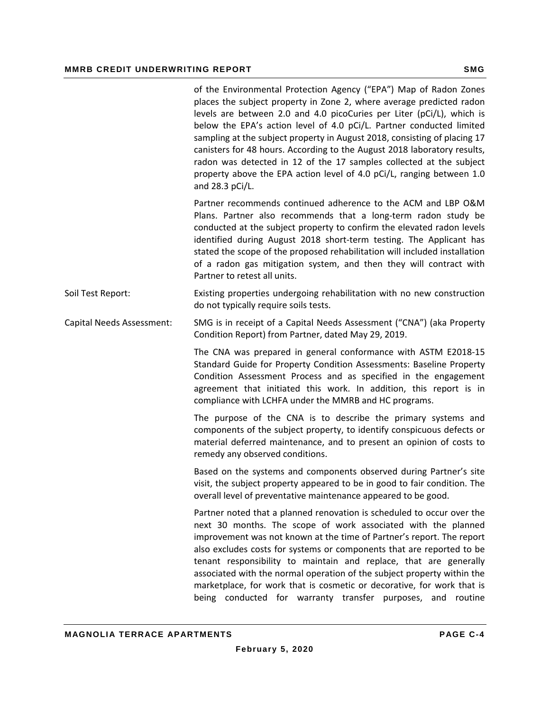|                           | of the Environmental Protection Agency ("EPA") Map of Radon Zones<br>places the subject property in Zone 2, where average predicted radon<br>levels are between 2.0 and 4.0 picoCuries per Liter (pCi/L), which is<br>below the EPA's action level of 4.0 pCi/L. Partner conducted limited<br>sampling at the subject property in August 2018, consisting of placing 17<br>canisters for 48 hours. According to the August 2018 laboratory results,<br>radon was detected in 12 of the 17 samples collected at the subject<br>property above the EPA action level of 4.0 pCi/L, ranging between 1.0<br>and 28.3 pCi/L. |
|---------------------------|------------------------------------------------------------------------------------------------------------------------------------------------------------------------------------------------------------------------------------------------------------------------------------------------------------------------------------------------------------------------------------------------------------------------------------------------------------------------------------------------------------------------------------------------------------------------------------------------------------------------|
|                           | Partner recommends continued adherence to the ACM and LBP O&M<br>Plans. Partner also recommends that a long-term radon study be<br>conducted at the subject property to confirm the elevated radon levels<br>identified during August 2018 short-term testing. The Applicant has<br>stated the scope of the proposed rehabilitation will included installation<br>of a radon gas mitigation system, and then they will contract with<br>Partner to retest all units.                                                                                                                                                   |
| Soil Test Report:         | Existing properties undergoing rehabilitation with no new construction<br>do not typically require soils tests.                                                                                                                                                                                                                                                                                                                                                                                                                                                                                                        |
| Capital Needs Assessment: | SMG is in receipt of a Capital Needs Assessment ("CNA") (aka Property<br>Condition Report) from Partner, dated May 29, 2019.                                                                                                                                                                                                                                                                                                                                                                                                                                                                                           |
|                           | The CNA was prepared in general conformance with ASTM E2018-15<br>Standard Guide for Property Condition Assessments: Baseline Property<br>Condition Assessment Process and as specified in the engagement<br>agreement that initiated this work. In addition, this report is in<br>compliance with LCHFA under the MMRB and HC programs.                                                                                                                                                                                                                                                                               |
|                           | The purpose of the CNA is to describe the primary systems and<br>components of the subject property, to identify conspicuous defects or<br>material deferred maintenance, and to present an opinion of costs to<br>remedy any observed conditions.                                                                                                                                                                                                                                                                                                                                                                     |
|                           | Based on the systems and components observed during Partner's site<br>visit, the subject property appeared to be in good to fair condition. The<br>overall level of preventative maintenance appeared to be good.                                                                                                                                                                                                                                                                                                                                                                                                      |
|                           | Partner noted that a planned renovation is scheduled to occur over the<br>next 30 months. The scope of work associated with the planned<br>improvement was not known at the time of Partner's report. The report<br>also excludes costs for systems or components that are reported to be<br>tenant responsibility to maintain and replace, that are generally<br>associated with the normal operation of the subject property within the<br>marketplace, for work that is cosmetic or decorative, for work that is<br>being conducted for warranty transfer purposes, and routine                                     |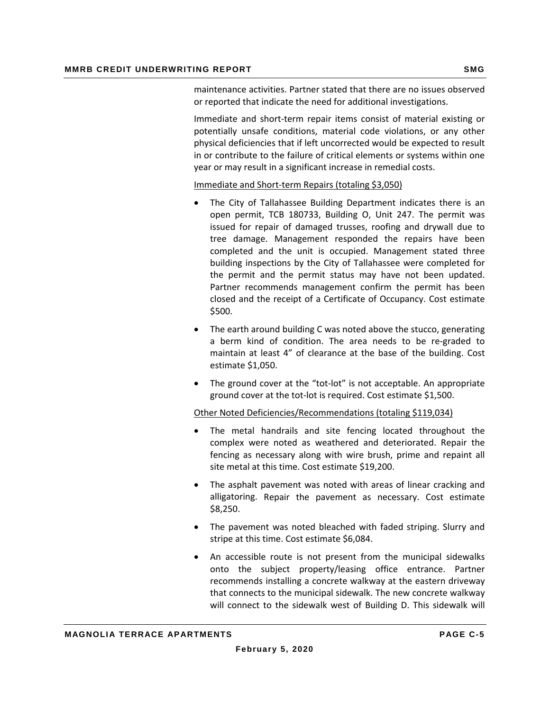maintenance activities. Partner stated that there are no issues observed or reported that indicate the need for additional investigations.

Immediate and short‐term repair items consist of material existing or potentially unsafe conditions, material code violations, or any other physical deficiencies that if left uncorrected would be expected to result in or contribute to the failure of critical elements or systems within one year or may result in a significant increase in remedial costs.

Immediate and Short‐term Repairs (totaling \$3,050)

- The City of Tallahassee Building Department indicates there is an open permit, TCB 180733, Building O, Unit 247. The permit was issued for repair of damaged trusses, roofing and drywall due to tree damage. Management responded the repairs have been completed and the unit is occupied. Management stated three building inspections by the City of Tallahassee were completed for the permit and the permit status may have not been updated. Partner recommends management confirm the permit has been closed and the receipt of a Certificate of Occupancy. Cost estimate \$500.
- The earth around building C was noted above the stucco, generating a berm kind of condition. The area needs to be re‐graded to maintain at least 4" of clearance at the base of the building. Cost estimate \$1,050.
- The ground cover at the "tot-lot" is not acceptable. An appropriate ground cover at the tot‐lot is required. Cost estimate \$1,500.

#### Other Noted Deficiencies/Recommendations (totaling \$119,034)

- The metal handrails and site fencing located throughout the complex were noted as weathered and deteriorated. Repair the fencing as necessary along with wire brush, prime and repaint all site metal at this time. Cost estimate \$19,200.
- The asphalt pavement was noted with areas of linear cracking and alligatoring. Repair the pavement as necessary. Cost estimate \$8,250.
- The pavement was noted bleached with faded striping. Slurry and stripe at this time. Cost estimate \$6,084.
- An accessible route is not present from the municipal sidewalks onto the subject property/leasing office entrance. Partner recommends installing a concrete walkway at the eastern driveway that connects to the municipal sidewalk. The new concrete walkway will connect to the sidewalk west of Building D. This sidewalk will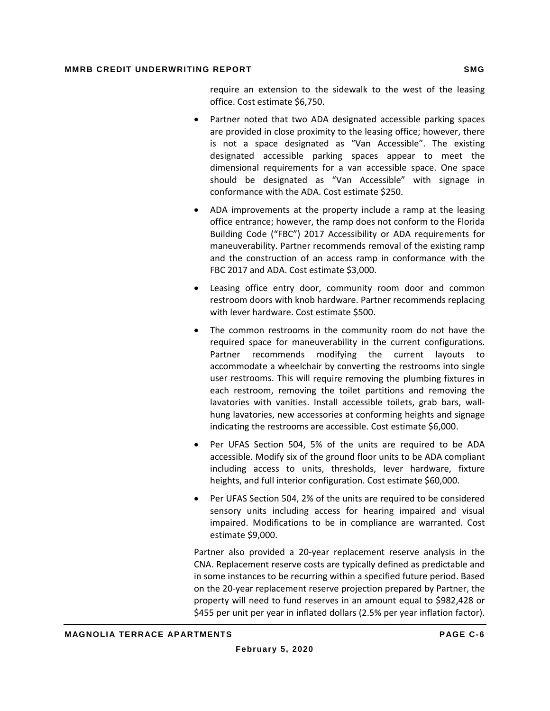require an extension to the sidewalk to the west of the leasing office. Cost estimate \$6,750.

- Partner noted that two ADA designated accessible parking spaces are provided in close proximity to the leasing office; however, there is not a space designated as "Van Accessible". The existing designated accessible parking spaces appear to meet the dimensional requirements for a van accessible space. One space should be designated as "Van Accessible" with signage in conformance with the ADA. Cost estimate \$250.
- ADA improvements at the property include a ramp at the leasing office entrance; however, the ramp does not conform to the Florida Building Code ("FBC") 2017 Accessibility or ADA requirements for maneuverability. Partner recommends removal of the existing ramp and the construction of an access ramp in conformance with the FBC 2017 and ADA. Cost estimate \$3,000.
- Leasing office entry door, community room door and common restroom doors with knob hardware. Partner recommends replacing with lever hardware. Cost estimate \$500.
- The common restrooms in the community room do not have the required space for maneuverability in the current configurations. Partner recommends modifying the current layouts to accommodate a wheelchair by converting the restrooms into single user restrooms. This will require removing the plumbing fixtures in each restroom, removing the toilet partitions and removing the lavatories with vanities. Install accessible toilets, grab bars, wall‐ hung lavatories, new accessories at conforming heights and signage indicating the restrooms are accessible. Cost estimate \$6,000.
- Per UFAS Section 504, 5% of the units are required to be ADA accessible. Modify six of the ground floor units to be ADA compliant including access to units, thresholds, lever hardware, fixture heights, and full interior configuration. Cost estimate \$60,000.
- Per UFAS Section 504, 2% of the units are required to be considered sensory units including access for hearing impaired and visual impaired. Modifications to be in compliance are warranted. Cost estimate \$9,000.

Partner also provided a 20‐year replacement reserve analysis in the CNA. Replacement reserve costs are typically defined as predictable and in some instances to be recurring within a specified future period. Based on the 20‐year replacement reserve projection prepared by Partner, the property will need to fund reserves in an amount equal to \$982,428 or \$455 per unit per year in inflated dollars (2.5% per year inflation factor).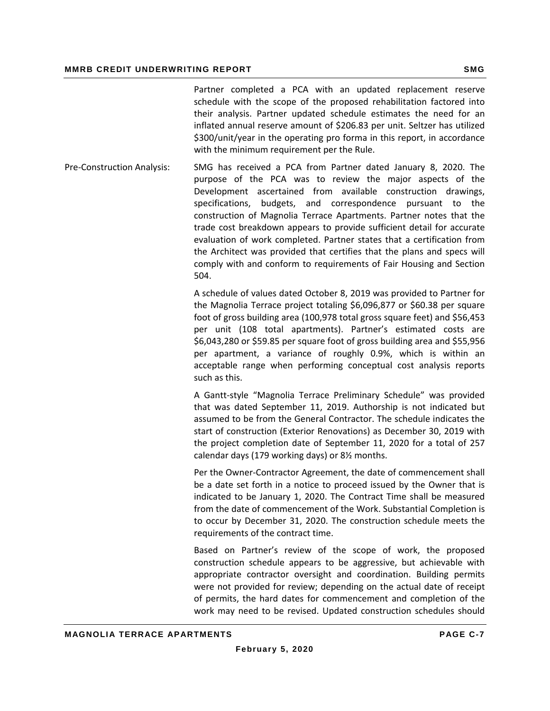Partner completed a PCA with an updated replacement reserve schedule with the scope of the proposed rehabilitation factored into their analysis. Partner updated schedule estimates the need for an inflated annual reserve amount of \$206.83 per unit. Seltzer has utilized \$300/unit/year in the operating pro forma in this report, in accordance with the minimum requirement per the Rule.

Pre‐Construction Analysis: SMG has received a PCA from Partner dated January 8, 2020. The purpose of the PCA was to review the major aspects of the Development ascertained from available construction drawings, specifications, budgets, and correspondence pursuant to the construction of Magnolia Terrace Apartments. Partner notes that the trade cost breakdown appears to provide sufficient detail for accurate evaluation of work completed. Partner states that a certification from the Architect was provided that certifies that the plans and specs will comply with and conform to requirements of Fair Housing and Section 504.

> A schedule of values dated October 8, 2019 was provided to Partner for the Magnolia Terrace project totaling \$6,096,877 or \$60.38 per square foot of gross building area (100,978 total gross square feet) and \$56,453 per unit (108 total apartments). Partner's estimated costs are \$6,043,280 or \$59.85 per square foot of gross building area and \$55,956 per apartment, a variance of roughly 0.9%, which is within an acceptable range when performing conceptual cost analysis reports such as this.

> A Gantt‐style "Magnolia Terrace Preliminary Schedule" was provided that was dated September 11, 2019. Authorship is not indicated but assumed to be from the General Contractor. The schedule indicates the start of construction (Exterior Renovations) as December 30, 2019 with the project completion date of September 11, 2020 for a total of 257 calendar days (179 working days) or 8½ months.

> Per the Owner‐Contractor Agreement, the date of commencement shall be a date set forth in a notice to proceed issued by the Owner that is indicated to be January 1, 2020. The Contract Time shall be measured from the date of commencement of the Work. Substantial Completion is to occur by December 31, 2020. The construction schedule meets the requirements of the contract time.

> Based on Partner's review of the scope of work, the proposed construction schedule appears to be aggressive, but achievable with appropriate contractor oversight and coordination. Building permits were not provided for review; depending on the actual date of receipt of permits, the hard dates for commencement and completion of the work may need to be revised. Updated construction schedules should

**February 5, 2020**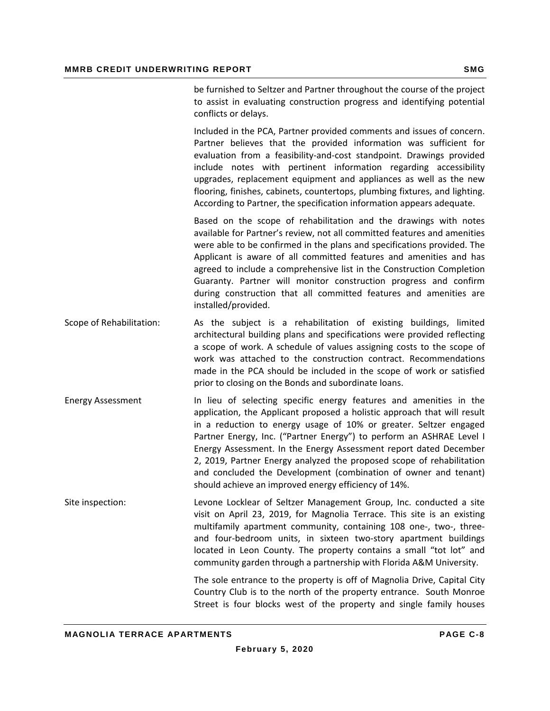be furnished to Seltzer and Partner throughout the course of the project to assist in evaluating construction progress and identifying potential conflicts or delays.

Included in the PCA, Partner provided comments and issues of concern. Partner believes that the provided information was sufficient for evaluation from a feasibility‐and‐cost standpoint. Drawings provided include notes with pertinent information regarding accessibility upgrades, replacement equipment and appliances as well as the new flooring, finishes, cabinets, countertops, plumbing fixtures, and lighting. According to Partner, the specification information appears adequate.

Based on the scope of rehabilitation and the drawings with notes available for Partner's review, not all committed features and amenities were able to be confirmed in the plans and specifications provided. The Applicant is aware of all committed features and amenities and has agreed to include a comprehensive list in the Construction Completion Guaranty. Partner will monitor construction progress and confirm during construction that all committed features and amenities are installed/provided.

- Scope of Rehabilitation: As the subject is a rehabilitation of existing buildings, limited architectural building plans and specifications were provided reflecting a scope of work. A schedule of values assigning costs to the scope of work was attached to the construction contract. Recommendations made in the PCA should be included in the scope of work or satisfied prior to closing on the Bonds and subordinate loans.
- Energy Assessment In lieu of selecting specific energy features and amenities in the application, the Applicant proposed a holistic approach that will result in a reduction to energy usage of 10% or greater. Seltzer engaged Partner Energy, Inc. ("Partner Energy") to perform an ASHRAE Level I Energy Assessment. In the Energy Assessment report dated December 2, 2019, Partner Energy analyzed the proposed scope of rehabilitation and concluded the Development (combination of owner and tenant) should achieve an improved energy efficiency of 14%.
- Site inspection: Levone Locklear of Seltzer Management Group, Inc. conducted a site visit on April 23, 2019, for Magnolia Terrace. This site is an existing multifamily apartment community, containing 108 one‐, two‐, three‐ and four-bedroom units, in sixteen two-story apartment buildings located in Leon County. The property contains a small "tot lot" and community garden through a partnership with Florida A&M University.

The sole entrance to the property is off of Magnolia Drive, Capital City Country Club is to the north of the property entrance. South Monroe Street is four blocks west of the property and single family houses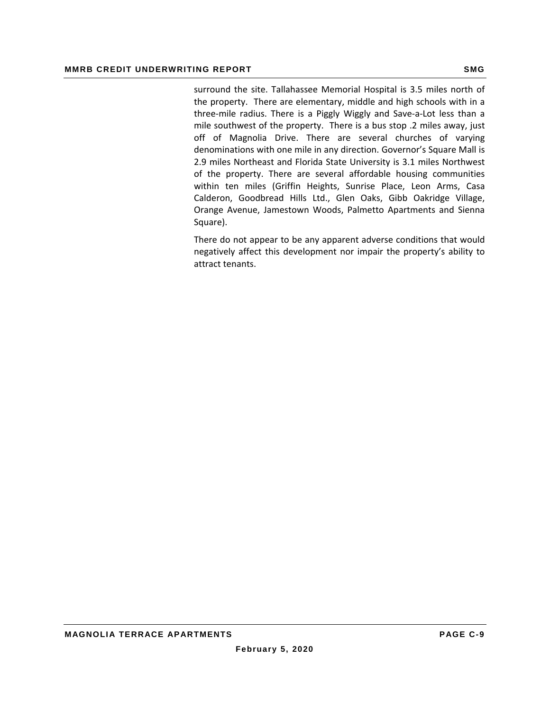surround the site. Tallahassee Memorial Hospital is 3.5 miles north of the property. There are elementary, middle and high schools with in a three‐mile radius. There is a Piggly Wiggly and Save‐a‐Lot less than a mile southwest of the property. There is a bus stop .2 miles away, just off of Magnolia Drive. There are several churches of varying denominations with one mile in any direction. Governor's Square Mall is 2.9 miles Northeast and Florida State University is 3.1 miles Northwest of the property. There are several affordable housing communities within ten miles (Griffin Heights, Sunrise Place, Leon Arms, Casa Calderon, Goodbread Hills Ltd., Glen Oaks, Gibb Oakridge Village, Orange Avenue, Jamestown Woods, Palmetto Apartments and Sienna Square).

There do not appear to be any apparent adverse conditions that would negatively affect this development nor impair the property's ability to attract tenants.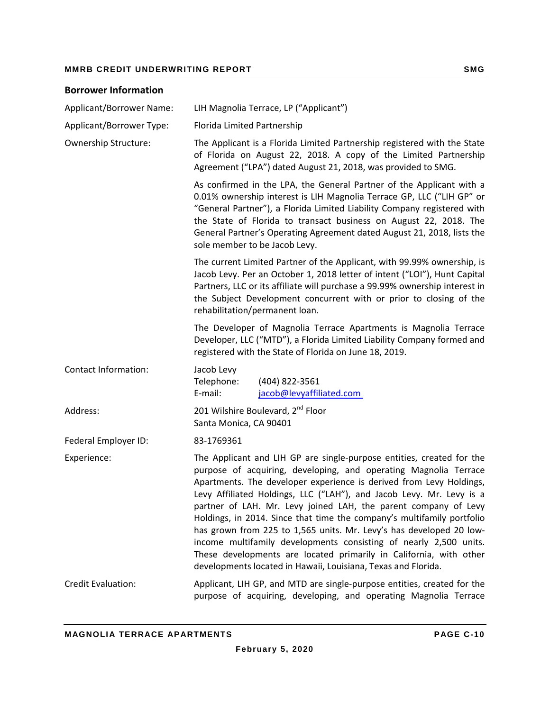#### **MMRB CREDIT UNDERWRITING REPORT SMG AND REALLY ASSESSED AT A SMG SMG**

## **Borrower Information** Applicant/Borrower Name: LIH Magnolia Terrace, LP ("Applicant") Applicant/Borrower Type: Florida Limited Partnership Ownership Structure: The Applicant is a Florida Limited Partnership registered with the State of Florida on August 22, 2018. A copy of the Limited Partnership Agreement ("LPA") dated August 21, 2018, was provided to SMG. As confirmed in the LPA, the General Partner of the Applicant with a 0.01% ownership interest is LIH Magnolia Terrace GP, LLC ("LIH GP" or "General Partner"), a Florida Limited Liability Company registered with the State of Florida to transact business on August 22, 2018. The General Partner's Operating Agreement dated August 21, 2018, lists the sole member to be Jacob Levy. The current Limited Partner of the Applicant, with 99.99% ownership, is Jacob Levy. Per an October 1, 2018 letter of intent ("LOI"), Hunt Capital Partners, LLC or its affiliate will purchase a 99.99% ownership interest in the Subject Development concurrent with or prior to closing of the rehabilitation/permanent loan. The Developer of Magnolia Terrace Apartments is Magnolia Terrace Developer, LLC ("MTD"), a Florida Limited Liability Company formed and registered with the State of Florida on June 18, 2019. Contact Information: Jacob Levy Telephone: (404) 822‐3561 E‐mail: jacob@levyaffiliated.com  Address: 201 Wilshire Boulevard, 2<sup>nd</sup> Floor Santa Monica, CA 90401 Federal Employer ID: 83-1769361 Experience: The Applicant and LIH GP are single-purpose entities, created for the purpose of acquiring, developing, and operating Magnolia Terrace Apartments. The developer experience is derived from Levy Holdings, Levy Affiliated Holdings, LLC ("LAH"), and Jacob Levy. Mr. Levy is a partner of LAH. Mr. Levy joined LAH, the parent company of Levy Holdings, in 2014. Since that time the company's multifamily portfolio has grown from 225 to 1,565 units. Mr. Levy's has developed 20 low‐ income multifamily developments consisting of nearly 2,500 units. These developments are located primarily in California, with other developments located in Hawaii, Louisiana, Texas and Florida. Credit Evaluation: Applicant, LIH GP, and MTD are single‐purpose entities, created for the purpose of acquiring, developing, and operating Magnolia Terrace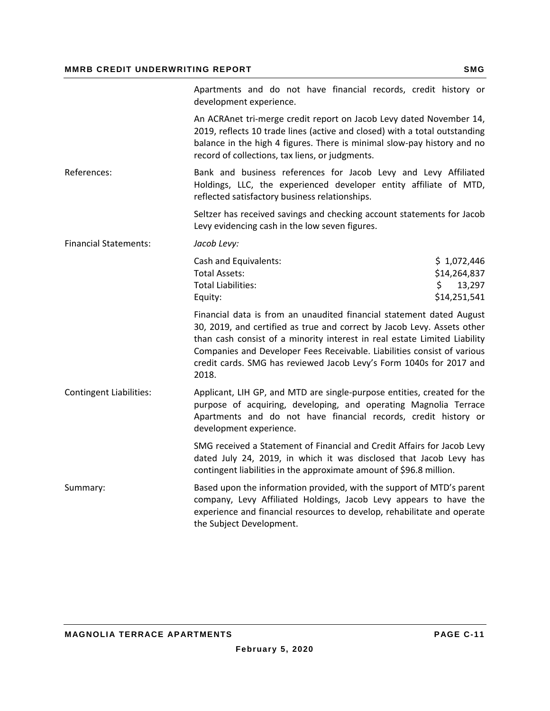|                                | Apartments and do not have financial records, credit history or<br>development experience.                                                                                                                                                                                                                                                                                              |                                                              |
|--------------------------------|-----------------------------------------------------------------------------------------------------------------------------------------------------------------------------------------------------------------------------------------------------------------------------------------------------------------------------------------------------------------------------------------|--------------------------------------------------------------|
|                                | An ACRAnet tri-merge credit report on Jacob Levy dated November 14,<br>2019, reflects 10 trade lines (active and closed) with a total outstanding<br>balance in the high 4 figures. There is minimal slow-pay history and no<br>record of collections, tax liens, or judgments.                                                                                                         |                                                              |
| References:                    | Bank and business references for Jacob Levy and Levy Affiliated<br>Holdings, LLC, the experienced developer entity affiliate of MTD,<br>reflected satisfactory business relationships.                                                                                                                                                                                                  |                                                              |
|                                | Seltzer has received savings and checking account statements for Jacob<br>Levy evidencing cash in the low seven figures.                                                                                                                                                                                                                                                                |                                                              |
| <b>Financial Statements:</b>   | Jacob Levy:                                                                                                                                                                                                                                                                                                                                                                             |                                                              |
|                                | Cash and Equivalents:<br><b>Total Assets:</b><br><b>Total Liabilities:</b><br>Equity:                                                                                                                                                                                                                                                                                                   | \$1,072,446<br>\$14,264,837<br>\$.<br>13,297<br>\$14,251,541 |
|                                | Financial data is from an unaudited financial statement dated August<br>30, 2019, and certified as true and correct by Jacob Levy. Assets other<br>than cash consist of a minority interest in real estate Limited Liability<br>Companies and Developer Fees Receivable. Liabilities consist of various<br>credit cards. SMG has reviewed Jacob Levy's Form 1040s for 2017 and<br>2018. |                                                              |
| <b>Contingent Liabilities:</b> | Applicant, LIH GP, and MTD are single-purpose entities, created for the<br>purpose of acquiring, developing, and operating Magnolia Terrace<br>Apartments and do not have financial records, credit history or<br>development experience.                                                                                                                                               |                                                              |
|                                | SMG received a Statement of Financial and Credit Affairs for Jacob Levy<br>dated July 24, 2019, in which it was disclosed that Jacob Levy has<br>contingent liabilities in the approximate amount of \$96.8 million.                                                                                                                                                                    |                                                              |
| Summary:                       | Based upon the information provided, with the support of MTD's parent<br>company, Levy Affiliated Holdings, Jacob Levy appears to have the<br>experience and financial resources to develop, rehabilitate and operate<br>the Subject Development.                                                                                                                                       |                                                              |
|                                |                                                                                                                                                                                                                                                                                                                                                                                         |                                                              |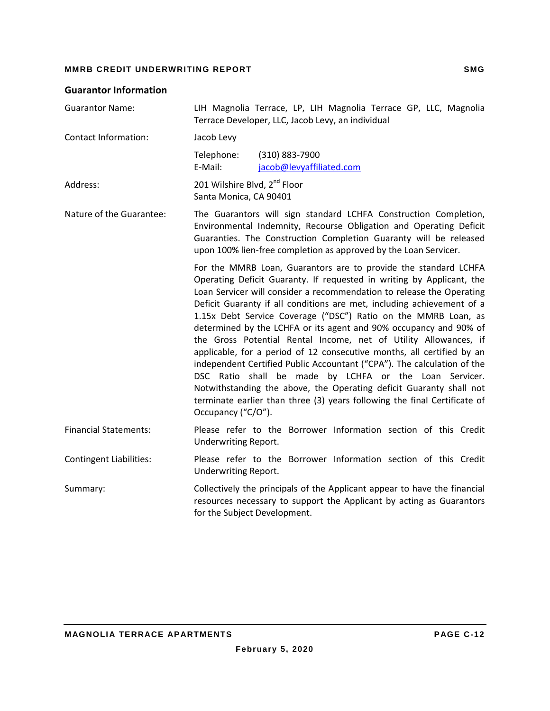### **Guarantor Information**

| <b>Guarantor Name:</b>         | LIH Magnolia Terrace, LP, LIH Magnolia Terrace GP, LLC, Magnolia<br>Terrace Developer, LLC, Jacob Levy, an individual                                                                                                                                                                                                                                                                                                                                                                                                                                                                                                                                                                                                                                                                                                                                                                           |  |  |  |  |
|--------------------------------|-------------------------------------------------------------------------------------------------------------------------------------------------------------------------------------------------------------------------------------------------------------------------------------------------------------------------------------------------------------------------------------------------------------------------------------------------------------------------------------------------------------------------------------------------------------------------------------------------------------------------------------------------------------------------------------------------------------------------------------------------------------------------------------------------------------------------------------------------------------------------------------------------|--|--|--|--|
| <b>Contact Information:</b>    | Jacob Levy                                                                                                                                                                                                                                                                                                                                                                                                                                                                                                                                                                                                                                                                                                                                                                                                                                                                                      |  |  |  |  |
|                                | Telephone:<br>(310) 883-7900<br>E-Mail:<br>jacob@levyaffiliated.com                                                                                                                                                                                                                                                                                                                                                                                                                                                                                                                                                                                                                                                                                                                                                                                                                             |  |  |  |  |
| Address:                       | 201 Wilshire Blvd, 2 <sup>nd</sup> Floor<br>Santa Monica, CA 90401                                                                                                                                                                                                                                                                                                                                                                                                                                                                                                                                                                                                                                                                                                                                                                                                                              |  |  |  |  |
| Nature of the Guarantee:       | The Guarantors will sign standard LCHFA Construction Completion,<br>Environmental Indemnity, Recourse Obligation and Operating Deficit<br>Guaranties. The Construction Completion Guaranty will be released<br>upon 100% lien-free completion as approved by the Loan Servicer.                                                                                                                                                                                                                                                                                                                                                                                                                                                                                                                                                                                                                 |  |  |  |  |
|                                | For the MMRB Loan, Guarantors are to provide the standard LCHFA<br>Operating Deficit Guaranty. If requested in writing by Applicant, the<br>Loan Servicer will consider a recommendation to release the Operating<br>Deficit Guaranty if all conditions are met, including achievement of a<br>1.15x Debt Service Coverage ("DSC") Ratio on the MMRB Loan, as<br>determined by the LCHFA or its agent and 90% occupancy and 90% of<br>the Gross Potential Rental Income, net of Utility Allowances, if<br>applicable, for a period of 12 consecutive months, all certified by an<br>independent Certified Public Accountant ("CPA"). The calculation of the<br>DSC Ratio shall be made by LCHFA or the Loan Servicer.<br>Notwithstanding the above, the Operating deficit Guaranty shall not<br>terminate earlier than three (3) years following the final Certificate of<br>Occupancy ("C/O"). |  |  |  |  |
| <b>Financial Statements:</b>   | Please refer to the Borrower Information section of this Credit<br>Underwriting Report.                                                                                                                                                                                                                                                                                                                                                                                                                                                                                                                                                                                                                                                                                                                                                                                                         |  |  |  |  |
| <b>Contingent Liabilities:</b> | Please refer to the Borrower Information section of this Credit<br>Underwriting Report.                                                                                                                                                                                                                                                                                                                                                                                                                                                                                                                                                                                                                                                                                                                                                                                                         |  |  |  |  |
| Summary:                       | Collectively the principals of the Applicant appear to have the financial<br>resources necessary to support the Applicant by acting as Guarantors<br>for the Subject Development.                                                                                                                                                                                                                                                                                                                                                                                                                                                                                                                                                                                                                                                                                                               |  |  |  |  |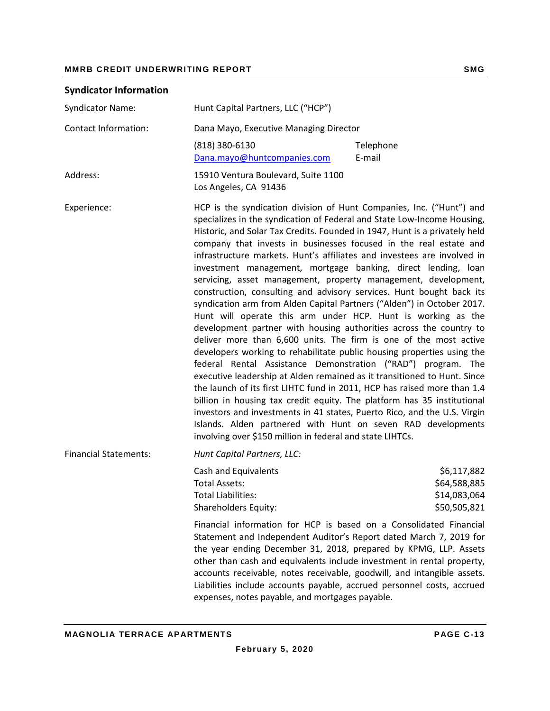| <b>Syndicator Information</b> |                                                                                                                                                                                                                                                                                                                                                                                                                                                                                                                                                                                                                                                                                                                                                                                                                                                                                                                                                                                                                                                                                                                                                                                                                                                                                                                                                                                                                                                                     |                                                             |  |  |
|-------------------------------|---------------------------------------------------------------------------------------------------------------------------------------------------------------------------------------------------------------------------------------------------------------------------------------------------------------------------------------------------------------------------------------------------------------------------------------------------------------------------------------------------------------------------------------------------------------------------------------------------------------------------------------------------------------------------------------------------------------------------------------------------------------------------------------------------------------------------------------------------------------------------------------------------------------------------------------------------------------------------------------------------------------------------------------------------------------------------------------------------------------------------------------------------------------------------------------------------------------------------------------------------------------------------------------------------------------------------------------------------------------------------------------------------------------------------------------------------------------------|-------------------------------------------------------------|--|--|
| <b>Syndicator Name:</b>       | Hunt Capital Partners, LLC ("HCP")                                                                                                                                                                                                                                                                                                                                                                                                                                                                                                                                                                                                                                                                                                                                                                                                                                                                                                                                                                                                                                                                                                                                                                                                                                                                                                                                                                                                                                  |                                                             |  |  |
| <b>Contact Information:</b>   | Dana Mayo, Executive Managing Director                                                                                                                                                                                                                                                                                                                                                                                                                                                                                                                                                                                                                                                                                                                                                                                                                                                                                                                                                                                                                                                                                                                                                                                                                                                                                                                                                                                                                              |                                                             |  |  |
|                               | (818) 380-6130<br>Dana.mayo@huntcompanies.com                                                                                                                                                                                                                                                                                                                                                                                                                                                                                                                                                                                                                                                                                                                                                                                                                                                                                                                                                                                                                                                                                                                                                                                                                                                                                                                                                                                                                       | Telephone<br>E-mail                                         |  |  |
| Address:                      | 15910 Ventura Boulevard, Suite 1100<br>Los Angeles, CA 91436                                                                                                                                                                                                                                                                                                                                                                                                                                                                                                                                                                                                                                                                                                                                                                                                                                                                                                                                                                                                                                                                                                                                                                                                                                                                                                                                                                                                        |                                                             |  |  |
| Experience:                   | HCP is the syndication division of Hunt Companies, Inc. ("Hunt") and<br>specializes in the syndication of Federal and State Low-Income Housing,<br>Historic, and Solar Tax Credits. Founded in 1947, Hunt is a privately held<br>company that invests in businesses focused in the real estate and<br>infrastructure markets. Hunt's affiliates and investees are involved in<br>investment management, mortgage banking, direct lending, loan<br>servicing, asset management, property management, development,<br>construction, consulting and advisory services. Hunt bought back its<br>syndication arm from Alden Capital Partners ("Alden") in October 2017.<br>Hunt will operate this arm under HCP. Hunt is working as the<br>development partner with housing authorities across the country to<br>deliver more than 6,600 units. The firm is one of the most active<br>developers working to rehabilitate public housing properties using the<br>federal Rental Assistance Demonstration ("RAD") program. The<br>executive leadership at Alden remained as it transitioned to Hunt. Since<br>the launch of its first LIHTC fund in 2011, HCP has raised more than 1.4<br>billion in housing tax credit equity. The platform has 35 institutional<br>investors and investments in 41 states, Puerto Rico, and the U.S. Virgin<br>Islands. Alden partnered with Hunt on seven RAD developments<br>involving over \$150 million in federal and state LIHTCs. |                                                             |  |  |
| <b>Financial Statements:</b>  | Hunt Capital Partners, LLC:                                                                                                                                                                                                                                                                                                                                                                                                                                                                                                                                                                                                                                                                                                                                                                                                                                                                                                                                                                                                                                                                                                                                                                                                                                                                                                                                                                                                                                         |                                                             |  |  |
|                               | Cash and Equivalents<br>Total Assets:<br><b>Total Liabilities:</b><br><b>Shareholders Equity:</b>                                                                                                                                                                                                                                                                                                                                                                                                                                                                                                                                                                                                                                                                                                                                                                                                                                                                                                                                                                                                                                                                                                                                                                                                                                                                                                                                                                   | \$6,117,882<br>\$64,588,885<br>\$14,083,064<br>\$50,505,821 |  |  |
|                               | Financial information for HCP is based on a Consolidated Financial<br>Statement and Independent Auditor's Report dated March 7, 2019 for<br>the year ending December 31, 2018, prepared by KPMG, LLP. Assets<br>other than cash and equivalents include investment in rental property,<br>accounts receivable, notes receivable, goodwill, and intangible assets.<br>Liabilities include accounts payable, accrued personnel costs, accrued<br>expenses, notes payable, and mortgages payable.                                                                                                                                                                                                                                                                                                                                                                                                                                                                                                                                                                                                                                                                                                                                                                                                                                                                                                                                                                      |                                                             |  |  |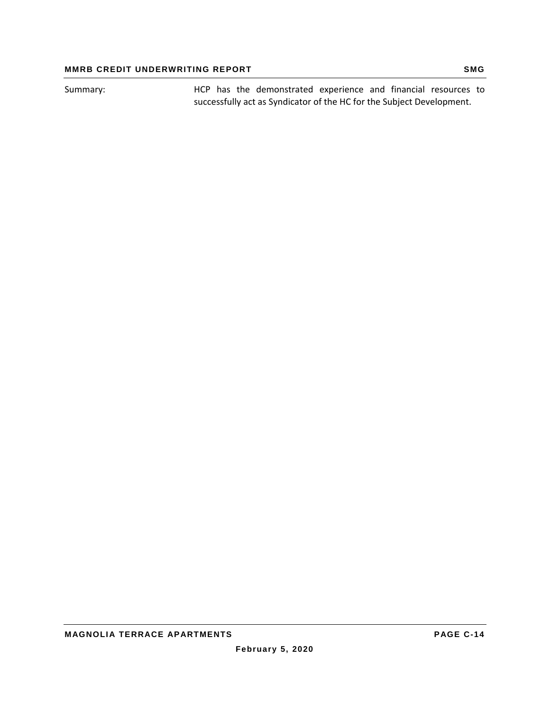Summary: HCP has the demonstrated experience and financial resources to successfully act as Syndicator of the HC for the Subject Development.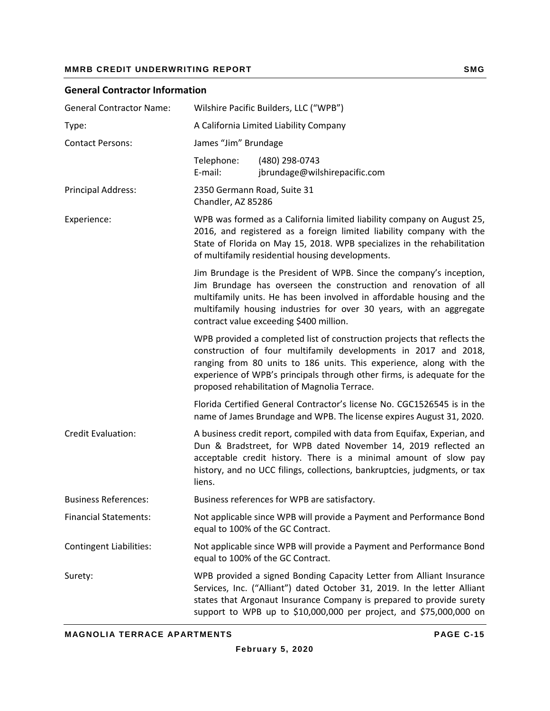#### **General Contractor Information**

| <b>General Contractor Name:</b> | Wilshire Pacific Builders, LLC ("WPB")                                                                                                                                                                                                                                                                                                        |                                                                                                                                                                                                                                                                                                |  |  |  |
|---------------------------------|-----------------------------------------------------------------------------------------------------------------------------------------------------------------------------------------------------------------------------------------------------------------------------------------------------------------------------------------------|------------------------------------------------------------------------------------------------------------------------------------------------------------------------------------------------------------------------------------------------------------------------------------------------|--|--|--|
| Type:                           | A California Limited Liability Company                                                                                                                                                                                                                                                                                                        |                                                                                                                                                                                                                                                                                                |  |  |  |
| <b>Contact Persons:</b>         | James "Jim" Brundage                                                                                                                                                                                                                                                                                                                          |                                                                                                                                                                                                                                                                                                |  |  |  |
|                                 | Telephone:<br>E-mail:                                                                                                                                                                                                                                                                                                                         | (480) 298-0743<br>jbrundage@wilshirepacific.com                                                                                                                                                                                                                                                |  |  |  |
| Principal Address:              | 2350 Germann Road, Suite 31<br>Chandler, AZ 85286                                                                                                                                                                                                                                                                                             |                                                                                                                                                                                                                                                                                                |  |  |  |
| Experience:                     | WPB was formed as a California limited liability company on August 25,<br>2016, and registered as a foreign limited liability company with the<br>State of Florida on May 15, 2018. WPB specializes in the rehabilitation<br>of multifamily residential housing developments.                                                                 |                                                                                                                                                                                                                                                                                                |  |  |  |
|                                 | Jim Brundage is the President of WPB. Since the company's inception,<br>Jim Brundage has overseen the construction and renovation of all<br>multifamily units. He has been involved in affordable housing and the<br>multifamily housing industries for over 30 years, with an aggregate<br>contract value exceeding \$400 million.           |                                                                                                                                                                                                                                                                                                |  |  |  |
|                                 | WPB provided a completed list of construction projects that reflects the<br>construction of four multifamily developments in 2017 and 2018,<br>ranging from 80 units to 186 units. This experience, along with the<br>experience of WPB's principals through other firms, is adequate for the<br>proposed rehabilitation of Magnolia Terrace. |                                                                                                                                                                                                                                                                                                |  |  |  |
|                                 |                                                                                                                                                                                                                                                                                                                                               | Florida Certified General Contractor's license No. CGC1526545 is in the<br>name of James Brundage and WPB. The license expires August 31, 2020.                                                                                                                                                |  |  |  |
| <b>Credit Evaluation:</b>       | liens.                                                                                                                                                                                                                                                                                                                                        | A business credit report, compiled with data from Equifax, Experian, and<br>Dun & Bradstreet, for WPB dated November 14, 2019 reflected an<br>acceptable credit history. There is a minimal amount of slow pay<br>history, and no UCC filings, collections, bankruptcies, judgments, or tax    |  |  |  |
| <b>Business References:</b>     |                                                                                                                                                                                                                                                                                                                                               | Business references for WPB are satisfactory.                                                                                                                                                                                                                                                  |  |  |  |
| <b>Financial Statements:</b>    | Not applicable since WPB will provide a Payment and Performance Bond<br>equal to 100% of the GC Contract.                                                                                                                                                                                                                                     |                                                                                                                                                                                                                                                                                                |  |  |  |
| <b>Contingent Liabilities:</b>  | Not applicable since WPB will provide a Payment and Performance Bond<br>equal to 100% of the GC Contract.                                                                                                                                                                                                                                     |                                                                                                                                                                                                                                                                                                |  |  |  |
| Surety:                         |                                                                                                                                                                                                                                                                                                                                               | WPB provided a signed Bonding Capacity Letter from Alliant Insurance<br>Services, Inc. ("Alliant") dated October 31, 2019. In the letter Alliant<br>states that Argonaut Insurance Company is prepared to provide surety<br>support to WPB up to \$10,000,000 per project, and \$75,000,000 on |  |  |  |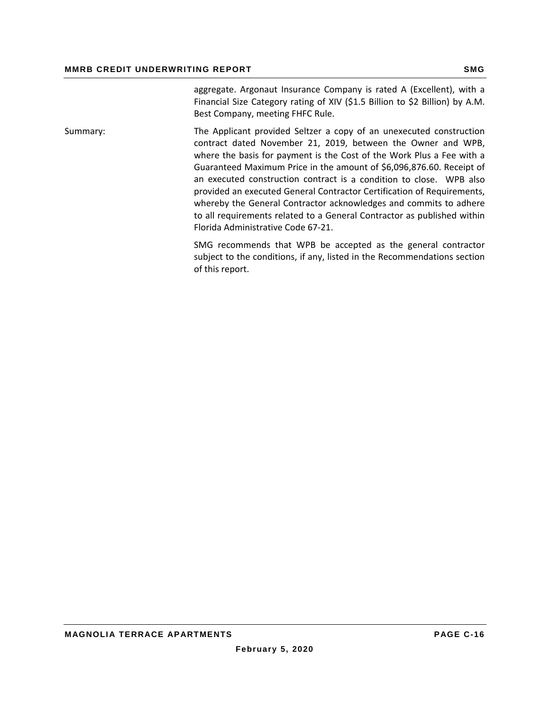aggregate. Argonaut Insurance Company is rated A (Excellent), with a Financial Size Category rating of XIV (\$1.5 Billion to \$2 Billion) by A.M. Best Company, meeting FHFC Rule.

Summary: The Applicant provided Seltzer a copy of an unexecuted construction contract dated November 21, 2019, between the Owner and WPB, where the basis for payment is the Cost of the Work Plus a Fee with a Guaranteed Maximum Price in the amount of \$6,096,876.60. Receipt of an executed construction contract is a condition to close. WPB also provided an executed General Contractor Certification of Requirements, whereby the General Contractor acknowledges and commits to adhere to all requirements related to a General Contractor as published within Florida Administrative Code 67‐21.

> SMG recommends that WPB be accepted as the general contractor subject to the conditions, if any, listed in the Recommendations section of this report.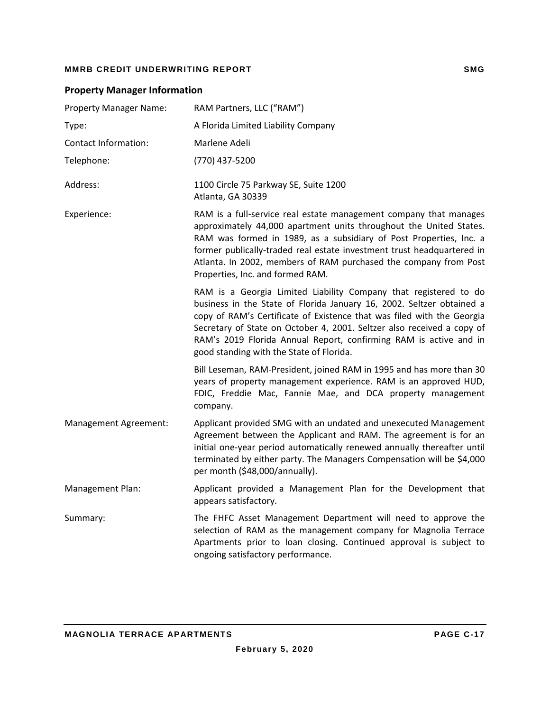|  |  | <b>Property Manager Information</b> |
|--|--|-------------------------------------|
|--|--|-------------------------------------|

| <b>Property Manager Name:</b> | RAM Partners, LLC ("RAM")                                                                                                                                                                                                                                                                                                                                                                                      |
|-------------------------------|----------------------------------------------------------------------------------------------------------------------------------------------------------------------------------------------------------------------------------------------------------------------------------------------------------------------------------------------------------------------------------------------------------------|
| Type:                         | A Florida Limited Liability Company                                                                                                                                                                                                                                                                                                                                                                            |
| <b>Contact Information:</b>   | Marlene Adeli                                                                                                                                                                                                                                                                                                                                                                                                  |
| Telephone:                    | (770) 437-5200                                                                                                                                                                                                                                                                                                                                                                                                 |
| Address:                      | 1100 Circle 75 Parkway SE, Suite 1200<br>Atlanta, GA 30339                                                                                                                                                                                                                                                                                                                                                     |
| Experience:                   | RAM is a full-service real estate management company that manages<br>approximately 44,000 apartment units throughout the United States.<br>RAM was formed in 1989, as a subsidiary of Post Properties, Inc. a<br>former publically-traded real estate investment trust headquartered in<br>Atlanta. In 2002, members of RAM purchased the company from Post<br>Properties, Inc. and formed RAM.                |
|                               | RAM is a Georgia Limited Liability Company that registered to do<br>business in the State of Florida January 16, 2002. Seltzer obtained a<br>copy of RAM's Certificate of Existence that was filed with the Georgia<br>Secretary of State on October 4, 2001. Seltzer also received a copy of<br>RAM's 2019 Florida Annual Report, confirming RAM is active and in<br>good standing with the State of Florida. |
|                               | Bill Leseman, RAM-President, joined RAM in 1995 and has more than 30<br>years of property management experience. RAM is an approved HUD,<br>FDIC, Freddie Mac, Fannie Mae, and DCA property management<br>company.                                                                                                                                                                                             |
| Management Agreement:         | Applicant provided SMG with an undated and unexecuted Management<br>Agreement between the Applicant and RAM. The agreement is for an<br>initial one-year period automatically renewed annually thereafter until<br>terminated by either party. The Managers Compensation will be \$4,000<br>per month (\$48,000/annually).                                                                                     |
| Management Plan:              | Applicant provided a Management Plan for the Development that<br>appears satisfactory.                                                                                                                                                                                                                                                                                                                         |
| Summary:                      | The FHFC Asset Management Department will need to approve the<br>selection of RAM as the management company for Magnolia Terrace<br>Apartments prior to loan closing. Continued approval is subject to<br>ongoing satisfactory performance.                                                                                                                                                                    |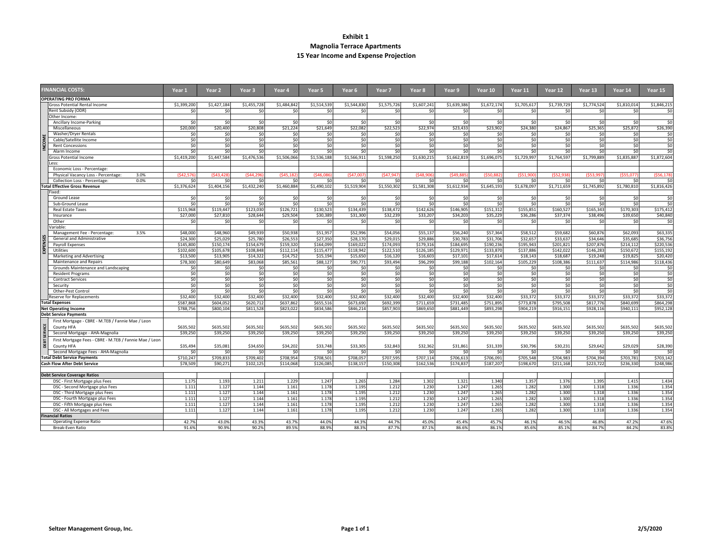#### **Exhibit 1Magnolia Terrace Apartments 15 Year Income and Expense Projection**

|               | <b>FINANCIAL COSTS:</b>                                | Year 1          | Year <sub>2</sub> | Year 3         | Year 4          | Year 5      | Year 6      | Year 7      | Year 8      | Year 9      | Year 10         | Year 11         | Year 12     | Year 13        | Year 14         | Year 15     |
|---------------|--------------------------------------------------------|-----------------|-------------------|----------------|-----------------|-------------|-------------|-------------|-------------|-------------|-----------------|-----------------|-------------|----------------|-----------------|-------------|
|               | <b>OPERATING PRO FORMA</b>                             |                 |                   |                |                 |             |             |             |             |             |                 |                 |             |                |                 |             |
|               | <b>Gross Potential Rental Income</b>                   | \$1,399,200     | \$1,427,184       | \$1,455,728    | \$1,484,842     | \$1,514,539 | \$1,544,830 | \$1,575,726 | \$1,607,241 | \$1,639,386 | \$1,672,174     | \$1,705,617     | \$1,739,729 | \$1,774,524    | \$1,810,014     | \$1,846,215 |
|               | Rent Subsidy (ODR)                                     | \$0             | \$0               | \$0            | \$0             | \$0         | \$0         | \$0         | \$0         | \$0         | \$0             | SO <sub>2</sub> | \$0         | \$0            | \$0             | \$0         |
|               | Other Income:                                          |                 |                   |                |                 |             |             |             |             |             |                 |                 |             |                |                 |             |
|               | Ancillary Income-Parking                               | 50              | \$0               | SO             | \$0             | \$0         | \$0         | 50          | 50          | 50          | \$0             | 50              | 50          | 50             | 50              | 50          |
|               | Miscellaneous                                          | \$20,000        | \$20,400          | \$20,808       | \$21,224        | \$21,649    | \$22.082    | \$22,523    | \$22.974    | \$23,433    | \$23,902        | \$24,380        | \$24,867    | \$25,365       | \$25,872        | \$26,390    |
|               | Washer/Dryer Rentals                                   | \$0             | \$0               | \$0            | SO <sub>2</sub> | \$0         | \$0         | \$0         | \$0         | \$0         | \$0             | \$0             | \$0         | \$0            | \$0             | \$0         |
|               | Cable/Satellite Income                                 | \$0             | \$0               | SO             | 50              | \$0         | \$0         | 50          | 50          | \$0         | $\overline{50}$ | 50              | SO          | SO             | 50              | \$0         |
|               | <b>Rent Concessions</b>                                | \$0             | \$0               | \$0            | \$0             | \$0         | \$0         | \$0         | \$0         | \$0         | \$0             | \$0             | \$0         | \$0            | \$0             | \$0         |
|               | Alarm Income                                           | $\overline{50}$ | $\overline{50}$   | 50             | \$0             | \$0         | \$0         | \$0         | \$0         | \$0         | \$0             | \$0             | \$0         | SO             | SO <sub>2</sub> | \$0         |
|               | <b>Gross Potential Income</b>                          | \$1,419,200     | \$1,447,584       | \$1,476,536    | \$1,506,066     | \$1,536,188 | \$1,566,911 | \$1,598,250 | \$1,630,215 | \$1,662,819 | \$1,696,075     | \$1,729,997     | \$1,764,597 | \$1,799,889    | \$1,835,887     | \$1,872,604 |
|               | Less:                                                  |                 |                   |                |                 |             |             |             |             |             |                 |                 |             |                |                 |             |
|               | Economic Loss - Percentage:                            |                 |                   |                |                 |             |             |             |             |             |                 |                 |             |                |                 |             |
|               | Physical Vacancy Loss - Percentage:<br>3.0%            | (\$42,576)      | (\$43,428)        | (\$44,296)     | (\$45.182       | (\$46,086   | (\$47,007   | (\$47.947)  | (\$48,906)  | (\$49,885   | (\$50,882       | (\$51.900       | (\$52,938   | (\$53.997      | (\$55.077       | (\$56.178   |
|               | 0.0%<br>Collection Loss - Percentage:                  | \$0             | \$0               | \$0            | \$0             | \$0         | \$0         | \$0         | \$0         | \$0         | \$0             | \$0             | \$0         | \$0            | \$0             | \$0         |
|               | <b>Total Effective Gross Revenue</b>                   | \$1,376,624     | \$1,404,156       | \$1,432,240    | \$1,460,884     | \$1,490,102 | \$1,519,904 | \$1,550,302 | \$1,581,308 | \$1,612,934 | \$1,645,193     | \$1,678,097     | \$1,711,659 | \$1,745,892    | \$1,780,810     | \$1,816,426 |
|               | Fixed:                                                 |                 |                   |                |                 |             |             |             |             |             |                 |                 |             |                |                 |             |
|               | Ground Lease                                           | \$0             | \$0               | \$0            | \$0             | \$0         | \$0         | \$0         | \$0         | \$0         | \$0             | \$0             | \$0         | \$0            | \$0             | \$0         |
|               | Sub-Ground Lease                                       | \$0             | \$0               | \$0            | \$0             | \$0         | \$0         | \$0         | \$0         | \$0         | \$0             | \$0             | \$0         | \$0            | SO              | \$0         |
|               | <b>Real Estate Taxes</b>                               | \$115,968       | \$119.447         | \$123,030      | \$126,721       | \$130,523   | \$134,439   | \$138,472   | \$142,626   | \$146,905   | \$151,312       | \$155.851       | \$160,527   | \$165,343      | \$170.303       | \$175,412   |
|               | Insurance                                              | \$27,000        | \$27,810          | \$28,644       | \$29,504        | \$30,389    | \$31,300    | \$32,239    | \$33,207    | \$34,203    | \$35,229        | \$36,286        | \$37,374    | \$38,496       | \$39,650        | \$40,840    |
|               | Other                                                  | \$0             | \$0               | \$0            | \$0             | \$0         | \$0         | \$0         | \$0         | \$0         | \$0             | \$0             | \$0         | \$0            | \$0             | \$0         |
|               | ariable:                                               |                 |                   |                |                 |             |             |             |             |             |                 |                 |             |                |                 |             |
|               | Management Fee - Percentage:<br>3.5%                   | \$48,000        | \$48,960          | \$49.939       | \$50,938        | \$51.957    | \$52.996    | \$54,056    | \$55.137    | \$56,240    | \$57,364        | \$58.512        | \$59,682    | \$60,876       | \$62,093        | \$63.335    |
|               | General and Administrative                             | \$24,300        | \$25,029          | \$25,780       | \$26,553        | \$27,350    | \$28,170    | \$29,015    | \$29,886    | \$30,783    | \$31,706        | \$32,657        | \$33,637    | \$34,646       | \$35,685        | \$36,756    |
|               | Payroll Expenses                                       | \$145,800       | \$150,174         | \$154,679      | \$159,320       | \$164,099   | \$169,022   | \$174,093   | \$179,316   | \$184.695   | \$190.23        | \$195,943       | \$201,821   | \$207,876      | \$214,112       | \$220,536   |
|               | Utilities                                              | \$102,600       | \$105,678         | \$108,848      | \$112,114       | \$115,477   | \$118,942   | \$122,510   | \$126,185   | \$129,971   | \$133,870       | \$137,886       | \$142,022   | \$146,283      | \$150,672       | \$155,192   |
|               | Marketing and Advertising                              | \$13,500        | \$13,905          | \$14,322       | \$14,752        | \$15,194    | \$15,650    | \$16,120    | \$16,603    | \$17,101    | \$17,614        | \$18,143        | \$18,687    | \$19,248       | \$19,825        | \$20,420    |
|               | Maintenance and Repairs                                | \$78,300        | \$80,649          | \$83,068       | \$85,561        | \$88,127    | \$90,771    | \$93,494    | \$96,299    | \$99,188    | \$102,164       | \$105,229       | \$108,386   | \$111,637      | \$114,986       | \$118,436   |
|               | Grounds Maintenance and Landscaping                    | \$0             | \$0               | \$0            | \$0             | \$0         | \$0         | \$0         | \$0         | \$0         | \$0             | \$0             | \$0         | \$0            | \$0             | \$0         |
|               | <b>Resident Programs</b>                               | \$0             | \$0               | \$0            | \$0             | \$0         | \$0         | \$0         | \$0         | \$0         | \$0             | \$0             | \$0         | \$0            | \$0             | \$0         |
|               | <b>Contract Services</b>                               | \$0             | \$0               | \$0            | \$0             | \$0         | \$0         | \$0         | \$0         | \$0         | \$0             | \$0             | \$0         | \$0            | \$0             | \$0         |
|               | Security                                               | 50              | \$0               | S <sub>0</sub> | SO              | SO          | \$0         | \$0         | SO          | \$0         | \$0             | \$0             | \$0         | S <sub>0</sub> | SO              | \$0         |
|               | Other-Pest Control                                     | \$0             | \$0               | \$O            | \$0             | \$0         | \$0         | \$0         | \$0         | \$0         | \$0             | \$0             | \$0         | \$0            | \$0             | \$0         |
|               | Reserve for Replacements                               | \$32,400        | \$32,400          | \$32,400       | \$32,400        | \$32,400    | \$32,400    | \$32,400    | \$32,400    | \$32,400    | \$32,400        | \$33.372        | \$33.372    | \$33,372       | \$33,372        | \$33,372    |
|               | <b>Total Expenses</b>                                  | \$587,868       | \$604.052         | \$620,712      | \$637,862       | \$655,516   | \$673,690   | \$692,399   | \$711,659   | \$731,485   | \$751,89        | \$773,878       | \$795,508   | \$817,776      | \$840,699       | \$864.298   |
|               | <b>Net Operating Income</b>                            | \$788,756       | \$800,104         | \$811,528      | \$823,022       | \$834,586   | \$846,214   | \$857,903   | \$869,650   | \$881,449   | \$893,298       | \$904,219       | \$916,151   | \$928,116      | \$940,111       | \$952,128   |
|               | <b>Debt Service Payments</b>                           |                 |                   |                |                 |             |             |             |             |             |                 |                 |             |                |                 |             |
|               | First Mortgage - CBRE - M.TEB / Fannie Mae / Leon      |                 |                   |                |                 |             |             |             |             |             |                 |                 |             |                |                 |             |
|               | County HFA                                             | \$635,502       | \$635,502         | \$635,502      | \$635,502       | \$635,502   | \$635,502   | \$635,502   | \$635,502   | \$635,502   | \$635,502       | \$635,502       | \$635,502   | \$635,502      | \$635,502       | \$635,502   |
| <b>ERVICE</b> | Second Mortgage - AHA-Magnolia                         | \$39,250        | \$39,250          | \$39,250       | \$39,250        | \$39,250    | \$39,250    | \$39,250    | \$39,250    | \$39,250    | \$39,250        | \$39,250        | \$39,250    | \$39,250       | \$39,250        | \$39,250    |
|               |                                                        |                 |                   |                |                 |             |             |             |             |             |                 |                 |             |                |                 |             |
| 풉             | First Mortgage Fees - CBRE - M.TEB / Fannie Mae / Leon |                 |                   |                |                 |             |             |             |             |             |                 |                 |             |                |                 |             |
| 품             | County HFA                                             | \$35.494        | \$35.081          | \$34,650       | \$34,202        | \$33,748    | \$33,305    | \$32.843    | \$32.362    | \$31.861    | \$31.339        | \$30.796        | \$30.231    | \$29.642       | \$29.029        | \$28,390    |
|               | Second Mortgage Fees - AHA-Magnolia                    | \$0             | \$0               | \$0            | \$0             | \$0         | \$0         | \$0         | \$0         | \$0         | \$0             | \$0             | \$0         | \$0            | \$0             | \$0         |
|               | <b>Total Debt Service Payments</b>                     | \$710,247       | \$709,833         | \$709,402      | \$708.954       | \$708,501   | \$708.057   | \$707,595   | \$707.114   | \$706,613   | \$706,091       | \$705,548       | \$704.983   | \$704.394      | \$703.781       | \$703,142   |
|               | <b>Cash Flow After Debt Service</b>                    | \$78,509        | \$90.271          | \$102.125      | \$114.068       | \$126,085   | \$138.157   | \$150,308   | \$162.536   | \$174,837   | \$187.207       | \$198,670       | \$211.168   | \$223.722      | \$236.330       | \$248.986   |
|               |                                                        |                 |                   |                |                 |             |             |             |             |             |                 |                 |             |                |                 |             |
|               | <b>Debt Service Coverage Ratios</b>                    |                 |                   |                |                 |             |             |             |             |             |                 |                 |             |                |                 |             |
|               | DSC - First Mortgage plus Fees                         | 1.175           | 1.193             | 1.211          | 1.229           | 1.247       | 1.265       | 1.284       | 1.302       | 1.321       | 1.340           | 1.357           | 1.376       | 1.395          | 1.415           | 1.434       |
|               | DSC - Second Mortgage plus Fees                        | 1.111           | 1.127             | 1.144          | 1.161           | 1.178       | 1.195       | 1.212       | 1.230       | 1.247       | 1.265           | 1.282           | 1.300       | 1.318          | 1.336           | 1.354       |
|               | DSC - Third Mortgage plus Fees                         | 1.111           | 1.127             | 1.144          | 1.161           | 1.178       | 1.195       | 1.212       | 1.230       | 1.247       | 1.265           | 1.282           | 1.300       | 1.318          | 1.336           | 1.354       |
|               | DSC - Fourth Mortgage plus Fees                        | 1.111           | 1.127             | 1.144          | 1.161           | 1.178       | 1.195       | 1.212       | 1.230       | 1.247       | 1.265           | 1.282           | 1.300       | 1.318          | 1.336           | 1.354       |
|               | DSC - Fifth Mortgage plus Fees                         | 1.111           | 1.127             | 1.144          | 1.161           | 1.178       | 1.195       | 1.212       | 1.230       | 1.247       | 1.265           | 1.282           | 1.300       | 1.318          | 1.336           | 1.354       |
|               | DSC - All Mortgages and Fees                           | 1.111           | 1.127             | 1.144          | 1.161           | 1.178       | 1.195       | 1.212       | 1.230       | 1.247       | 1.265           | 1.282           | 1.300       | 1.318          | 1.336           | 1.354       |
|               | <b>Financial Ratios</b>                                |                 |                   |                |                 |             |             |             |             |             |                 |                 |             |                |                 |             |
|               | <b>Operating Expense Ratio</b>                         | 42.7%           | 43.0%             | 43.3%          | 43.7%           | 44.0%       | 44.3%       | 44.7%       | 45.0%       | 45.4%       | 45.7%           | 46.1%           | 46.5%       | 46.89          | 47.2%           | 47.6%       |
|               | Break-Even Ratio                                       | 91.6%           | 90.9%             | 90.2%          | 89.5%           | 88.9%       | 88.3%       | 87.7%       | 87.1%       | 86.6%       | 86.1%           | 85.6%           | 85.1%       | 84.79          | 84.2%           | 83.8%       |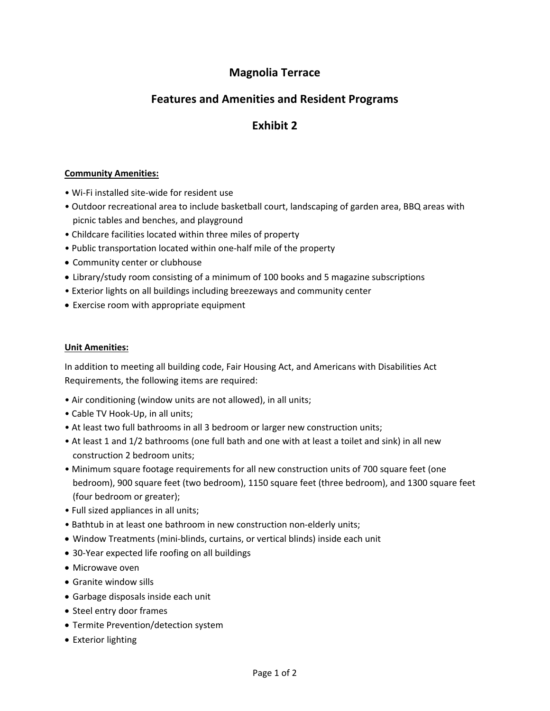## **Magnolia Terrace**

## **Features and Amenities and Resident Programs**

## **Exhibit 2**

#### **Community Amenities:**

- Wi‐Fi installed site‐wide for resident use
- Outdoor recreational area to include basketball court, landscaping of garden area, BBQ areas with picnic tables and benches, and playground
- Childcare facilities located within three miles of property
- Public transportation located within one‐half mile of the property
- Community center or clubhouse
- Library/study room consisting of a minimum of 100 books and 5 magazine subscriptions
- Exterior lights on all buildings including breezeways and community center
- Exercise room with appropriate equipment

#### **Unit Amenities:**

In addition to meeting all building code, Fair Housing Act, and Americans with Disabilities Act Requirements, the following items are required:

- Air conditioning (window units are not allowed), in all units;
- Cable TV Hook‐Up, in all units;
- At least two full bathrooms in all 3 bedroom or larger new construction units;
- At least 1 and 1/2 bathrooms (one full bath and one with at least a toilet and sink) in all new construction 2 bedroom units;
- Minimum square footage requirements for all new construction units of 700 square feet (one bedroom), 900 square feet (two bedroom), 1150 square feet (three bedroom), and 1300 square feet (four bedroom or greater);
- Full sized appliances in all units;
- Bathtub in at least one bathroom in new construction non‐elderly units;
- Window Treatments (mini‐blinds, curtains, or vertical blinds) inside each unit
- 30‐Year expected life roofing on all buildings
- Microwave oven
- Granite window sills
- Garbage disposals inside each unit
- Steel entry door frames
- Termite Prevention/detection system
- Exterior lighting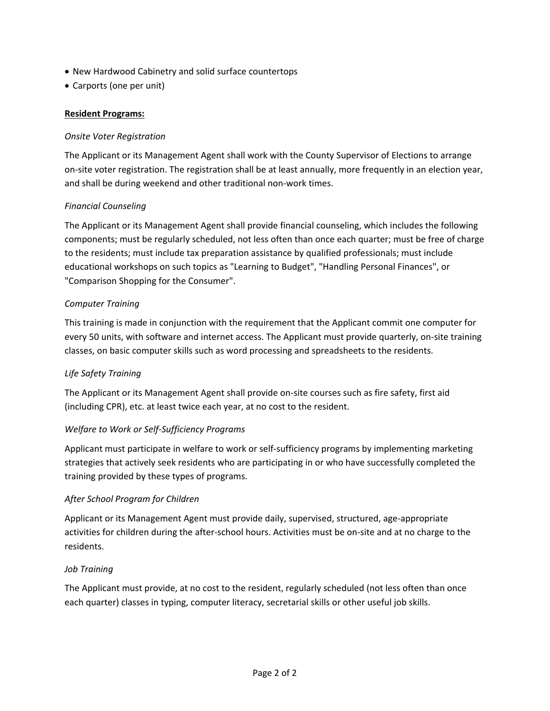- New Hardwood Cabinetry and solid surface countertops
- Carports (one per unit)

#### **Resident Programs:**

#### *Onsite Voter Registration*

The Applicant or its Management Agent shall work with the County Supervisor of Elections to arrange on‐site voter registration. The registration shall be at least annually, more frequently in an election year, and shall be during weekend and other traditional non‐work times.

#### *Financial Counseling*

The Applicant or its Management Agent shall provide financial counseling, which includes the following components; must be regularly scheduled, not less often than once each quarter; must be free of charge to the residents; must include tax preparation assistance by qualified professionals; must include educational workshops on such topics as "Learning to Budget", "Handling Personal Finances", or "Comparison Shopping for the Consumer".

#### *Computer Training*

This training is made in conjunction with the requirement that the Applicant commit one computer for every 50 units, with software and internet access. The Applicant must provide quarterly, on‐site training classes, on basic computer skills such as word processing and spreadsheets to the residents.

#### *Life Safety Training*

The Applicant or its Management Agent shall provide on‐site courses such as fire safety, first aid (including CPR), etc. at least twice each year, at no cost to the resident.

#### *Welfare to Work or Self‐Sufficiency Programs*

Applicant must participate in welfare to work or self‐sufficiency programs by implementing marketing strategies that actively seek residents who are participating in or who have successfully completed the training provided by these types of programs.

#### *After School Program for Children*

Applicant or its Management Agent must provide daily, supervised, structured, age‐appropriate activities for children during the after‐school hours. Activities must be on‐site and at no charge to the residents.

#### *Job Training*

The Applicant must provide, at no cost to the resident, regularly scheduled (not less often than once each quarter) classes in typing, computer literacy, secretarial skills or other useful job skills.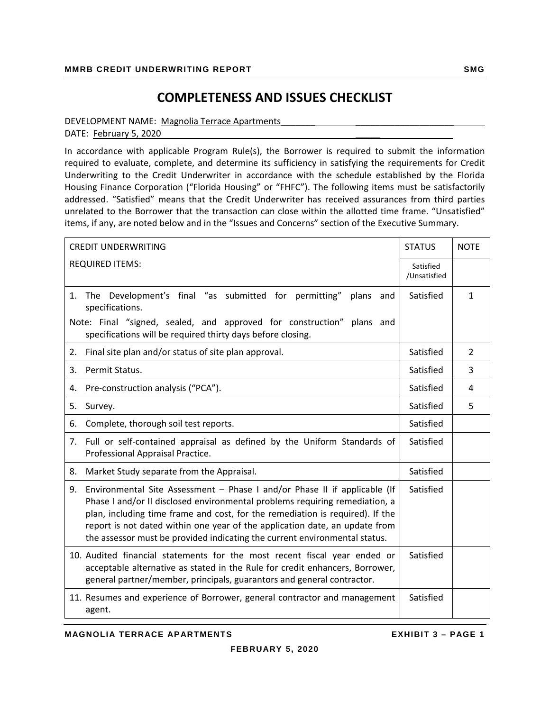## **COMPLETENESS AND ISSUES CHECKLIST**

#### DEVELOPMENT NAME: Magnolia Terrace Apartments

DATE: February 5, 2020

In accordance with applicable Program Rule(s), the Borrower is required to submit the information required to evaluate, complete, and determine its sufficiency in satisfying the requirements for Credit Underwriting to the Credit Underwriter in accordance with the schedule established by the Florida Housing Finance Corporation ("Florida Housing" or "FHFC"). The following items must be satisfactorily addressed. "Satisfied" means that the Credit Underwriter has received assurances from third parties unrelated to the Borrower that the transaction can close within the allotted time frame. "Unsatisfied" items, if any, are noted below and in the "Issues and Concerns" section of the Executive Summary.

| <b>CREDIT UNDERWRITING</b>                                                                                                                                                                                                                                                                                                                                                                                   | <b>STATUS</b>             | <b>NOTE</b>   |
|--------------------------------------------------------------------------------------------------------------------------------------------------------------------------------------------------------------------------------------------------------------------------------------------------------------------------------------------------------------------------------------------------------------|---------------------------|---------------|
| <b>REQUIRED ITEMS:</b>                                                                                                                                                                                                                                                                                                                                                                                       | Satisfied<br>/Unsatisfied |               |
| The Development's final "as submitted for permitting"<br>1.<br>plans<br>and<br>specifications.                                                                                                                                                                                                                                                                                                               | Satisfied                 | $\mathbf{1}$  |
| Note: Final "signed, sealed, and approved for construction" plans and<br>specifications will be required thirty days before closing.                                                                                                                                                                                                                                                                         |                           |               |
| Final site plan and/or status of site plan approval.<br>2.                                                                                                                                                                                                                                                                                                                                                   | Satisfied                 | $\mathcal{P}$ |
| Permit Status.<br>3.                                                                                                                                                                                                                                                                                                                                                                                         | Satisfied                 | 3             |
| Pre-construction analysis ("PCA").<br>4.                                                                                                                                                                                                                                                                                                                                                                     | Satisfied                 | 4             |
| 5.<br>Survey.                                                                                                                                                                                                                                                                                                                                                                                                | Satisfied                 | 5             |
| Complete, thorough soil test reports.<br>6.                                                                                                                                                                                                                                                                                                                                                                  | Satisfied                 |               |
| Full or self-contained appraisal as defined by the Uniform Standards of<br>7.<br>Professional Appraisal Practice.                                                                                                                                                                                                                                                                                            | Satisfied                 |               |
| Market Study separate from the Appraisal.<br>8.                                                                                                                                                                                                                                                                                                                                                              | Satisfied                 |               |
| Environmental Site Assessment - Phase I and/or Phase II if applicable (If<br>9.<br>Phase I and/or II disclosed environmental problems requiring remediation, a<br>plan, including time frame and cost, for the remediation is required). If the<br>report is not dated within one year of the application date, an update from<br>the assessor must be provided indicating the current environmental status. | Satisfied                 |               |
| 10. Audited financial statements for the most recent fiscal year ended or<br>acceptable alternative as stated in the Rule for credit enhancers, Borrower,<br>general partner/member, principals, guarantors and general contractor.                                                                                                                                                                          | Satisfied                 |               |
| 11. Resumes and experience of Borrower, general contractor and management<br>agent.                                                                                                                                                                                                                                                                                                                          | Satisfied                 |               |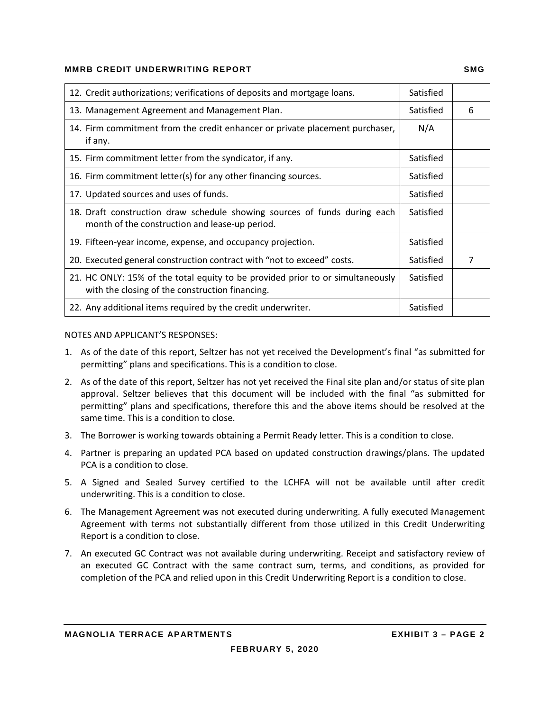#### **MMRB CREDIT UNDERWRITING REPORT SMG AND REALLY ASSESSED AT A REALLY ASSESSED AT A REAL PROPERTY SMG**

| 12. Credit authorizations; verifications of deposits and mortgage loans.                                                          | Satisfied |   |
|-----------------------------------------------------------------------------------------------------------------------------------|-----------|---|
| 13. Management Agreement and Management Plan.                                                                                     | Satisfied | 6 |
| 14. Firm commitment from the credit enhancer or private placement purchaser,<br>if any.                                           | N/A       |   |
| 15. Firm commitment letter from the syndicator, if any.                                                                           | Satisfied |   |
| 16. Firm commitment letter(s) for any other financing sources.                                                                    | Satisfied |   |
| 17. Updated sources and uses of funds.                                                                                            | Satisfied |   |
| 18. Draft construction draw schedule showing sources of funds during each<br>month of the construction and lease-up period.       | Satisfied |   |
| 19. Fifteen-year income, expense, and occupancy projection.                                                                       | Satisfied |   |
| 20. Executed general construction contract with "not to exceed" costs.                                                            | Satisfied | 7 |
| 21. HC ONLY: 15% of the total equity to be provided prior to or simultaneously<br>with the closing of the construction financing. | Satisfied |   |
| 22. Any additional items required by the credit underwriter.                                                                      | Satisfied |   |

#### NOTES AND APPLICANT'S RESPONSES:

- 1. As of the date of this report, Seltzer has not yet received the Development's final "as submitted for permitting" plans and specifications. This is a condition to close.
- 2. As of the date of this report, Seltzer has not yet received the Final site plan and/or status of site plan approval. Seltzer believes that this document will be included with the final "as submitted for permitting" plans and specifications, therefore this and the above items should be resolved at the same time. This is a condition to close.
- 3. The Borrower is working towards obtaining a Permit Ready letter. This is a condition to close.
- 4. Partner is preparing an updated PCA based on updated construction drawings/plans. The updated PCA is a condition to close.
- 5. A Signed and Sealed Survey certified to the LCHFA will not be available until after credit underwriting. This is a condition to close.
- 6. The Management Agreement was not executed during underwriting. A fully executed Management Agreement with terms not substantially different from those utilized in this Credit Underwriting Report is a condition to close.
- 7. An executed GC Contract was not available during underwriting. Receipt and satisfactory review of an executed GC Contract with the same contract sum, terms, and conditions, as provided for completion of the PCA and relied upon in this Credit Underwriting Report is a condition to close.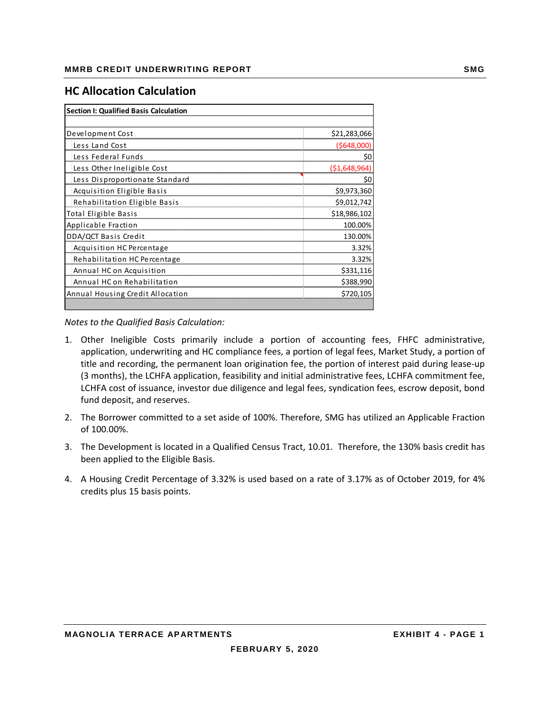## **HC Allocation Calculation**

| <b>Section I: Qualified Basis Calculation</b> |              |
|-----------------------------------------------|--------------|
|                                               |              |
| Development Cost                              | \$21,283,066 |
| Less Land Cost                                | (5648,000)   |
| Less Federal Funds                            | \$0          |
| Less Other Ineligible Cost                    | (51,648,964) |
| Less Disproportionate Standard                | \$0          |
| Acquisition Eligible Basis                    | \$9,973,360  |
| Rehabilitation Eligible Basis                 | \$9,012,742  |
| <b>Total Eligible Basis</b>                   | \$18,986,102 |
| Applicable Fraction                           | 100.00%      |
| DDA/QCT Basis Credit                          | 130.00%      |
| Acquisition HC Percentage                     | 3.32%        |
| Rehabilitation HC Percentage                  | 3.32%        |
| Annual HC on Acquisition                      | \$331,116    |
| Annual HC on Rehabilitation                   | \$388,990    |
| Annual Housing Credit Allocation              | \$720,105    |
|                                               |              |

*Notes to the Qualified Basis Calculation:*

- 1. Other Ineligible Costs primarily include a portion of accounting fees, FHFC administrative, application, underwriting and HC compliance fees, a portion of legal fees, Market Study, a portion of title and recording, the permanent loan origination fee, the portion of interest paid during lease‐up (3 months), the LCHFA application, feasibility and initial administrative fees, LCHFA commitment fee, LCHFA cost of issuance, investor due diligence and legal fees, syndication fees, escrow deposit, bond fund deposit, and reserves.
- 2. The Borrower committed to a set aside of 100%. Therefore, SMG has utilized an Applicable Fraction of 100.00%.
- 3. The Development is located in a Qualified Census Tract, 10.01. Therefore, the 130% basis credit has been applied to the Eligible Basis.
- 4. A Housing Credit Percentage of 3.32% is used based on a rate of 3.17% as of October 2019, for 4% credits plus 15 basis points.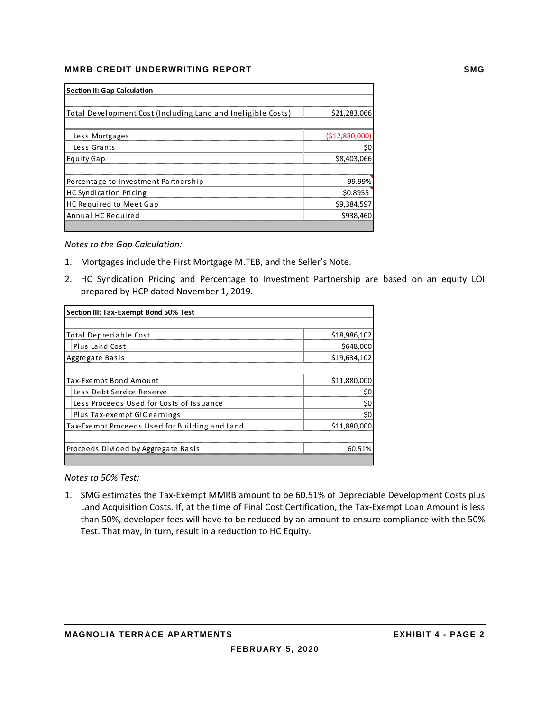#### **MMRB CREDIT UNDERWRITING REPORT SMG AND REALLY ASSESSED AT A SMG**

| <b>Section II: Gap Calculation</b>                           |                |  |  |
|--------------------------------------------------------------|----------------|--|--|
|                                                              |                |  |  |
| Total Development Cost (Including Land and Ineligible Costs) | \$21,283,066   |  |  |
|                                                              |                |  |  |
| Less Mortgages                                               | (\$12,880,000) |  |  |
| Less Grants                                                  | \$0            |  |  |
| <b>Equity Gap</b>                                            | \$8,403,066    |  |  |
|                                                              |                |  |  |
| Percentage to Investment Partnership                         | 99.99%         |  |  |
| HC Syndication Pricing                                       | \$0.8955       |  |  |
| <b>HC Required to Meet Gap</b>                               | \$9,384,597    |  |  |
| Annual HC Required                                           | \$938,460      |  |  |
|                                                              |                |  |  |

*Notes to the Gap Calculation:*

- 1. Mortgages include the First Mortgage M.TEB, and the Seller's Note.
- 2. HC Syndication Pricing and Percentage to Investment Partnership are based on an equity LOI prepared by HCP dated November 1, 2019.

| Section III: Tax-Exempt Bond 50% Test          |              |  |  |
|------------------------------------------------|--------------|--|--|
|                                                |              |  |  |
| Total Depreciable Cost                         | \$18,986,102 |  |  |
| <b>Plus Land Cost</b>                          | \$648,000    |  |  |
| Aggregate Basis                                | \$19,634,102 |  |  |
|                                                |              |  |  |
| Tax-Exempt Bond Amount                         | \$11,880,000 |  |  |
| Less Debt Service Reserve                      | \$0          |  |  |
| Less Proceeds Used for Costs of Issuance       | \$0          |  |  |
| Plus Tax-exempt GIC earnings                   | \$0          |  |  |
| Tax-Exempt Proceeds Used for Building and Land | \$11,880,000 |  |  |
|                                                |              |  |  |
| Proceeds Divided by Aggregate Basis            | 60.51%       |  |  |
|                                                |              |  |  |

*Notes to 50% Test:*

1. SMG estimates the Tax‐Exempt MMRB amount to be 60.51% of Depreciable Development Costs plus Land Acquisition Costs. If, at the time of Final Cost Certification, the Tax‐Exempt Loan Amount is less than 50%, developer fees will have to be reduced by an amount to ensure compliance with the 50% Test. That may, in turn, result in a reduction to HC Equity.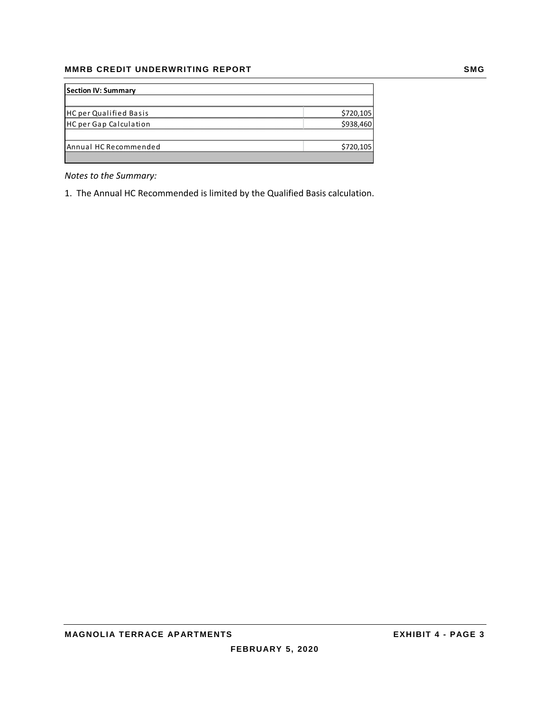#### **MMRB CREDIT UNDERWRITING REPORT SMG**

| <b>Section IV: Summary</b> |           |
|----------------------------|-----------|
|                            |           |
| HC per Qualified Basis     | \$720,105 |
| HC per Gap Calculation     | \$938,460 |
|                            |           |
| Annual HC Recommended      | \$720,105 |
|                            |           |

*Notes to the Summary:*

1. The Annual HC Recommended is limited by the Qualified Basis calculation.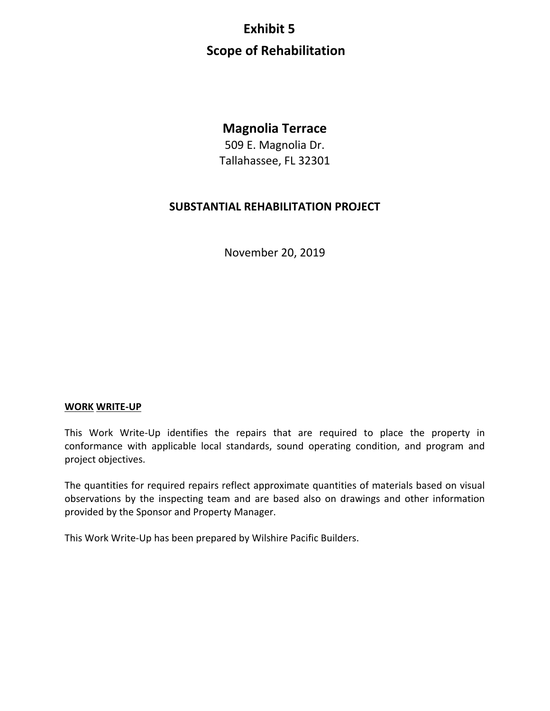# **Exhibit 5 Scope of Rehabilitation**

## **Magnolia Terrace**

509 E. Magnolia Dr. Tallahassee, FL 32301

## **SUBSTANTIAL REHABILITATION PROJECT**

November 20, 2019

### **WORK WRITE‐UP**

This Work Write-Up identifies the repairs that are required to place the property in conformance with applicable local standards, sound operating condition, and program and project objectives.

The quantities for required repairs reflect approximate quantities of materials based on visual observations by the inspecting team and are based also on drawings and other information provided by the Sponsor and Property Manager.

This Work Write‐Up has been prepared by Wilshire Pacific Builders.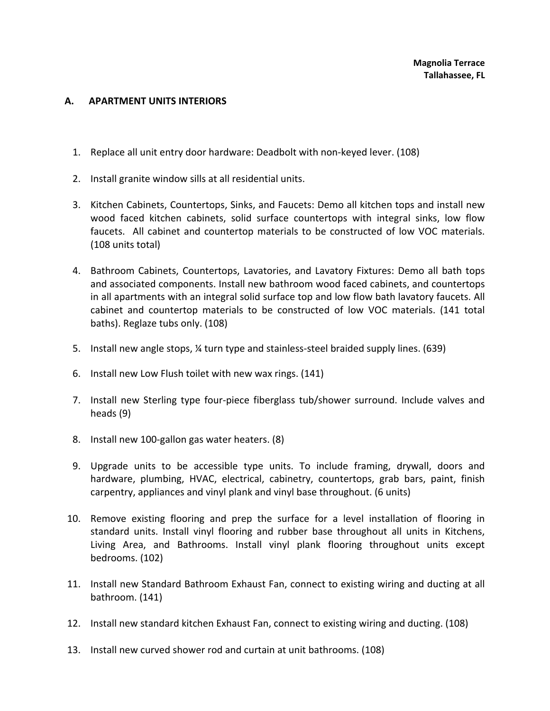#### **A. APARTMENT UNITS INTERIORS**

- 1. Replace all unit entry door hardware: Deadbolt with non‐keyed lever. (108)
- 2. Install granite window sills at all residential units.
- 3. Kitchen Cabinets, Countertops, Sinks, and Faucets: Demo all kitchen tops and install new wood faced kitchen cabinets, solid surface countertops with integral sinks, low flow faucets. All cabinet and countertop materials to be constructed of low VOC materials. (108 units total)
- 4. Bathroom Cabinets, Countertops, Lavatories, and Lavatory Fixtures: Demo all bath tops and associated components. Install new bathroom wood faced cabinets, and countertops in all apartments with an integral solid surface top and low flow bath lavatory faucets. All cabinet and countertop materials to be constructed of low VOC materials. (141 total baths). Reglaze tubs only. (108)
- 5. Install new angle stops, 1/4 turn type and stainless-steel braided supply lines. (639)
- 6. Install new Low Flush toilet with new wax rings. (141)
- 7. Install new Sterling type four‐piece fiberglass tub/shower surround. Include valves and heads (9)
- 8. Install new 100-gallon gas water heaters. (8)
- 9. Upgrade units to be accessible type units. To include framing, drywall, doors and hardware, plumbing, HVAC, electrical, cabinetry, countertops, grab bars, paint, finish carpentry, appliances and vinyl plank and vinyl base throughout. (6 units)
- 10. Remove existing flooring and prep the surface for a level installation of flooring in standard units. Install vinyl flooring and rubber base throughout all units in Kitchens, Living Area, and Bathrooms. Install vinyl plank flooring throughout units except bedrooms. (102)
- 11. Install new Standard Bathroom Exhaust Fan, connect to existing wiring and ducting at all bathroom. (141)
- 12. Install new standard kitchen Exhaust Fan, connect to existing wiring and ducting. (108)
- 13. Install new curved shower rod and curtain at unit bathrooms. (108)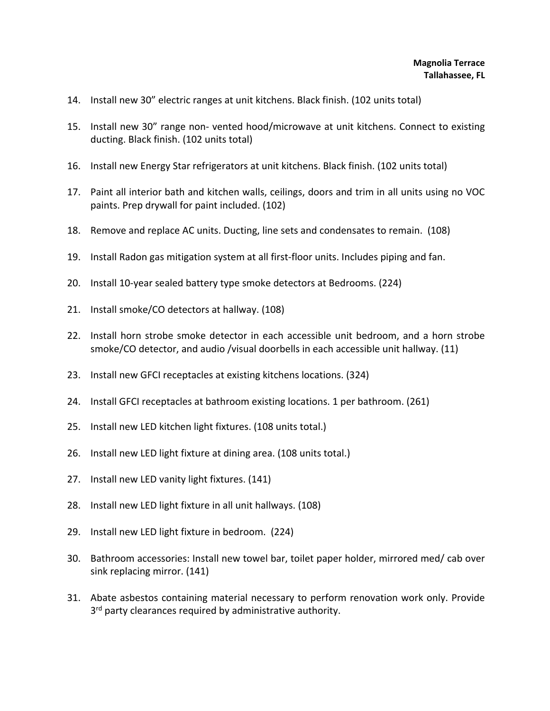- 14. Install new 30" electric ranges at unit kitchens. Black finish. (102 units total)
- 15. Install new 30" range non‐ vented hood/microwave at unit kitchens. Connect to existing ducting. Black finish. (102 units total)
- 16. Install new Energy Star refrigerators at unit kitchens. Black finish. (102 units total)
- 17. Paint all interior bath and kitchen walls, ceilings, doors and trim in all units using no VOC paints. Prep drywall for paint included. (102)
- 18. Remove and replace AC units. Ducting, line sets and condensates to remain. (108)
- 19. Install Radon gas mitigation system at all first‐floor units. Includes piping and fan.
- 20. Install 10‐year sealed battery type smoke detectors at Bedrooms. (224)
- 21. Install smoke/CO detectors at hallway. (108)
- 22. Install horn strobe smoke detector in each accessible unit bedroom, and a horn strobe smoke/CO detector, and audio /visual doorbells in each accessible unit hallway. (11)
- 23. Install new GFCI receptacles at existing kitchens locations. (324)
- 24. Install GFCI receptacles at bathroom existing locations. 1 per bathroom. (261)
- 25. Install new LED kitchen light fixtures. (108 units total.)
- 26. Install new LED light fixture at dining area. (108 units total.)
- 27. Install new LED vanity light fixtures. (141)
- 28. Install new LED light fixture in all unit hallways. (108)
- 29. Install new LED light fixture in bedroom. (224)
- 30. Bathroom accessories: Install new towel bar, toilet paper holder, mirrored med/ cab over sink replacing mirror. (141)
- 31. Abate asbestos containing material necessary to perform renovation work only. Provide 3<sup>rd</sup> party clearances required by administrative authority.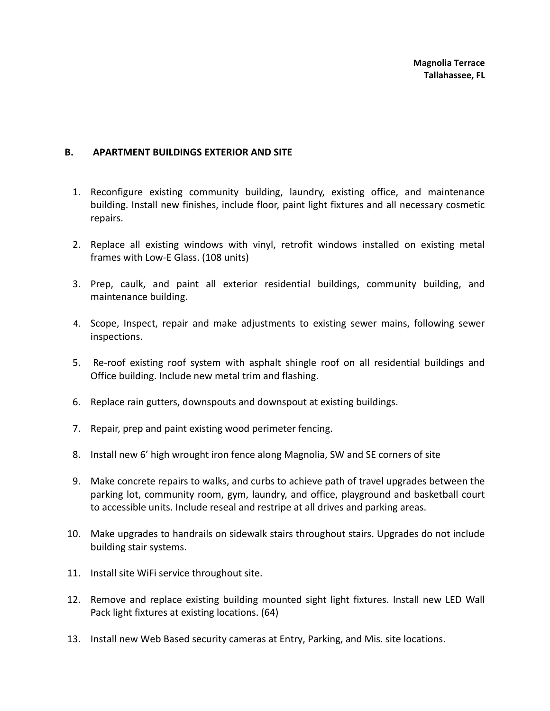#### **B. APARTMENT BUILDINGS EXTERIOR AND SITE**

- 1. Reconfigure existing community building, laundry, existing office, and maintenance building. Install new finishes, include floor, paint light fixtures and all necessary cosmetic repairs.
- 2. Replace all existing windows with vinyl, retrofit windows installed on existing metal frames with Low‐E Glass. (108 units)
- 3. Prep, caulk, and paint all exterior residential buildings, community building, and maintenance building.
- 4. Scope, Inspect, repair and make adjustments to existing sewer mains, following sewer inspections.
- 5. Re-roof existing roof system with asphalt shingle roof on all residential buildings and Office building. Include new metal trim and flashing.
- 6. Replace rain gutters, downspouts and downspout at existing buildings.
- 7. Repair, prep and paint existing wood perimeter fencing.
- 8. Install new 6' high wrought iron fence along Magnolia, SW and SE corners of site
- 9. Make concrete repairs to walks, and curbs to achieve path of travel upgrades between the parking lot, community room, gym, laundry, and office, playground and basketball court to accessible units. Include reseal and restripe at all drives and parking areas.
- 10. Make upgrades to handrails on sidewalk stairs throughout stairs. Upgrades do not include building stair systems.
- 11. Install site WiFi service throughout site.
- 12. Remove and replace existing building mounted sight light fixtures. Install new LED Wall Pack light fixtures at existing locations. (64)
- 13. Install new Web Based security cameras at Entry, Parking, and Mis. site locations.